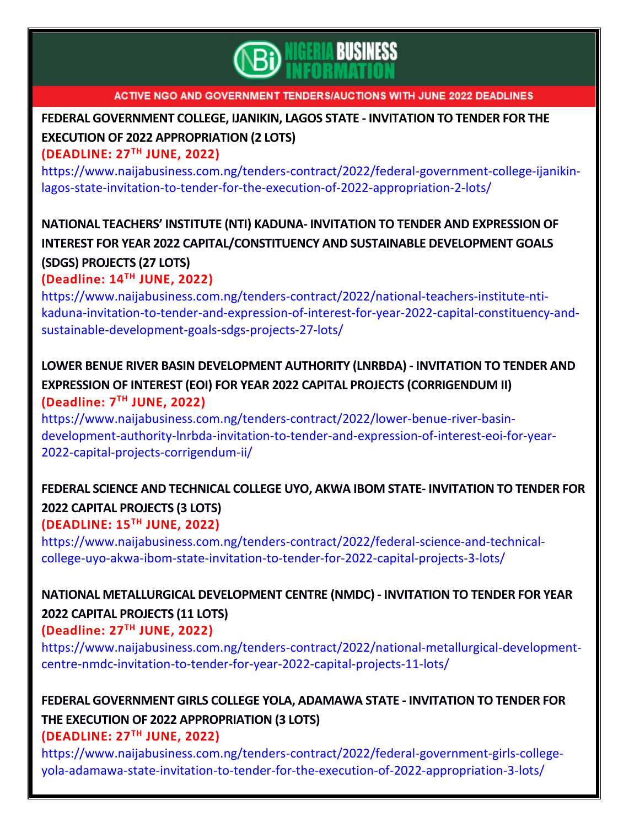

# **FEDERAL [GOVERNMENT](https://www.naijabusiness.com.ng/tenders-contract/2022/federal-government-college-ijanikin-lagos-state-invitation-to-tender-for-the-execution-of-2022-appropriation-2-lots/) COLLEGE, IJANIKIN, LAGOS STATE - INVITATION TO TENDER FOR THE EXECUTION OF 2022 [APPROPRIATION](https://www.naijabusiness.com.ng/tenders-contract/2022/federal-government-college-ijanikin-lagos-state-invitation-to-tender-for-the-execution-of-2022-appropriation-2-lots/) (2 LOTS)**

### **(DEADLINE: 27TH JUNE, 2022)**

[https://www.naijabusiness.com.ng/tenders-contract/2022/federal-government-college-ijanikin](https://www.naijabusiness.com.ng/tenders-contract/2022/federal-government-college-ijanikin-lagos-state-invitation-to-tender-for-the-execution-of-2022-appropriation-2-lots/)[lagos-state-invitation-to-tender-for-the-execution-of-2022-appropriation-2-lots/](https://www.naijabusiness.com.ng/tenders-contract/2022/federal-government-college-ijanikin-lagos-state-invitation-to-tender-for-the-execution-of-2022-appropriation-2-lots/)

## **NATIONAL TEACHERS' INSTITUTE (NTI) KADUNA- INVITATION TO TENDER AND [EXPRESSION](https://www.naijabusiness.com.ng/tenders-contract/2022/national-teachers-institute-nti-kaduna-invitation-to-tender-and-expression-of-interest-for-year-2022-capital-constituency-and-sustainable-development-goals-sdgs-projects-27-lots/) OF INTEREST FOR YEAR 2022 [CAPITAL/CONSTITUENCY](https://www.naijabusiness.com.ng/tenders-contract/2022/national-teachers-institute-nti-kaduna-invitation-to-tender-and-expression-of-interest-for-year-2022-capital-constituency-and-sustainable-development-goals-sdgs-projects-27-lots/) AND SUSTAINABLE DEVELOPMENT GOALS (SDGS) [PROJECTS](https://www.naijabusiness.com.ng/tenders-contract/2022/national-teachers-institute-nti-kaduna-invitation-to-tender-and-expression-of-interest-for-year-2022-capital-constituency-and-sustainable-development-goals-sdgs-projects-27-lots/) (27 LOTS) (Deadline: 14TH JUNE, 2022)**

[https://www.naijabusiness.com.ng/tenders-contract/2022/national-teachers-institute-nti](https://www.naijabusiness.com.ng/tenders-contract/2022/national-teachers-institute-nti-kaduna-invitation-to-tender-and-expression-of-interest-for-year-2022-capital-constituency-and-sustainable-development-goals-sdgs-projects-27-lots/)[kaduna-invitation-to-tender-and-expression-of-interest-for-year-2022-capital-constituency-and](https://www.naijabusiness.com.ng/tenders-contract/2022/national-teachers-institute-nti-kaduna-invitation-to-tender-and-expression-of-interest-for-year-2022-capital-constituency-and-sustainable-development-goals-sdgs-projects-27-lots/)[sustainable-development-goals-sdgs-projects-27-lots/](https://www.naijabusiness.com.ng/tenders-contract/2022/national-teachers-institute-nti-kaduna-invitation-to-tender-and-expression-of-interest-for-year-2022-capital-constituency-and-sustainable-development-goals-sdgs-projects-27-lots/)

## **LOWER BENUE RIVER BASIN [DEVELOPMENT](https://www.naijabusiness.com.ng/tenders-contract/2022/lower-benue-river-basin-development-authority-lnrbda-invitation-to-tender-and-expression-of-interest-eoi-for-year-2022-capital-projects-corrigendum-ii/) AUTHORITY (LNRBDA) - INVITATION TO TENDER AND EXPRESSION OF INTEREST (EOI) FOR YEAR 2022 CAPITAL PROJECTS [\(CORRIGENDUM](https://www.naijabusiness.com.ng/tenders-contract/2022/lower-benue-river-basin-development-authority-lnrbda-invitation-to-tender-and-expression-of-interest-eoi-for-year-2022-capital-projects-corrigendum-ii/) II) (Deadline: 7 TH JUNE, 2022)**

[https://www.naijabusiness.com.ng/tenders-contract/2022/lower-benue-river-basin](https://www.naijabusiness.com.ng/tenders-contract/2022/lower-benue-river-basin-development-authority-lnrbda-invitation-to-tender-and-expression-of-interest-eoi-for-year-2022-capital-projects-corrigendum-ii/)[development-authority-lnrbda-invitation-to-tender-and-expression-of-interest-eoi-for-year-](https://www.naijabusiness.com.ng/tenders-contract/2022/lower-benue-river-basin-development-authority-lnrbda-invitation-to-tender-and-expression-of-interest-eoi-for-year-2022-capital-projects-corrigendum-ii/)[2022-capital-projects-corrigendum-ii/](https://www.naijabusiness.com.ng/tenders-contract/2022/lower-benue-river-basin-development-authority-lnrbda-invitation-to-tender-and-expression-of-interest-eoi-for-year-2022-capital-projects-corrigendum-ii/)

# **FEDERAL SCIENCE AND TECHNICAL COLLEGE UYO, AKWA IBOM STATE- [INVITATION](https://www.naijabusiness.com.ng/tenders-contract/2022/federal-science-and-technical-college-uyo-akwa-ibom-state-invitation-to-tender-for-2022-capital-projects-3-lots/) TO TENDER FOR 2022 CAPITAL [PROJECTS](https://www.naijabusiness.com.ng/tenders-contract/2022/federal-science-and-technical-college-uyo-akwa-ibom-state-invitation-to-tender-for-2022-capital-projects-3-lots/) (3 LOTS)**

**(DEADLINE: 15TH JUNE, 2022)**

[https://www.naijabusiness.com.ng/tenders-contract/2022/federal-science-and-technical](https://www.naijabusiness.com.ng/tenders-contract/2022/federal-science-and-technical-college-uyo-akwa-ibom-state-invitation-to-tender-for-2022-capital-projects-3-lots/)[college-uyo-akwa-ibom-state-invitation-to-tender-for-2022-capital-projects-3-lots/](https://www.naijabusiness.com.ng/tenders-contract/2022/federal-science-and-technical-college-uyo-akwa-ibom-state-invitation-to-tender-for-2022-capital-projects-3-lots/)

## **NATIONAL [METALLURGICAL](https://www.naijabusiness.com.ng/tenders-contract/2022/national-metallurgical-development-centre-nmdc-invitation-to-tender-for-year-2022-capital-projects-11-lots/) DEVELOPMENT CENTRE (NMDC) - INVITATION TO TENDER FOR YEAR 2022 CAPITAL [PROJECTS](https://www.naijabusiness.com.ng/tenders-contract/2022/national-metallurgical-development-centre-nmdc-invitation-to-tender-for-year-2022-capital-projects-11-lots/) (11 LOTS)**

## **(Deadline: 27TH JUNE, 2022)**

[https://www.naijabusiness.com.ng/tenders-contract/2022/national-metallurgical-development](https://www.naijabusiness.com.ng/tenders-contract/2022/national-metallurgical-development-centre-nmdc-invitation-to-tender-for-year-2022-capital-projects-11-lots/)[centre-nmdc-invitation-to-tender-for-year-2022-capital-projects-11-lots/](https://www.naijabusiness.com.ng/tenders-contract/2022/national-metallurgical-development-centre-nmdc-invitation-to-tender-for-year-2022-capital-projects-11-lots/)

# **FEDERAL [GOVERNMENT](https://www.naijabusiness.com.ng/tenders-contract/2022/federal-government-girls-college-yola-adamawa-state-invitation-to-tender-for-the-execution-of-2022-appropriation-3-lots/) GIRLS COLLEGE YOLA, ADAMAWA STATE - INVITATION TO TENDER FOR THE EXECUTION OF 2022 [APPROPRIATION](https://www.naijabusiness.com.ng/tenders-contract/2022/federal-government-girls-college-yola-adamawa-state-invitation-to-tender-for-the-execution-of-2022-appropriation-3-lots/) (3 LOTS)**

**(DEADLINE: 27TH JUNE, 2022)**

[https://www.naijabusiness.com.ng/tenders-contract/2022/federal-government-girls-college](https://www.naijabusiness.com.ng/tenders-contract/2022/federal-government-girls-college-yola-adamawa-state-invitation-to-tender-for-the-execution-of-2022-appropriation-3-lots/)[yola-adamawa-state-invitation-to-tender-for-the-execution-of-2022-appropriation-3-lots/](https://www.naijabusiness.com.ng/tenders-contract/2022/federal-government-girls-college-yola-adamawa-state-invitation-to-tender-for-the-execution-of-2022-appropriation-3-lots/)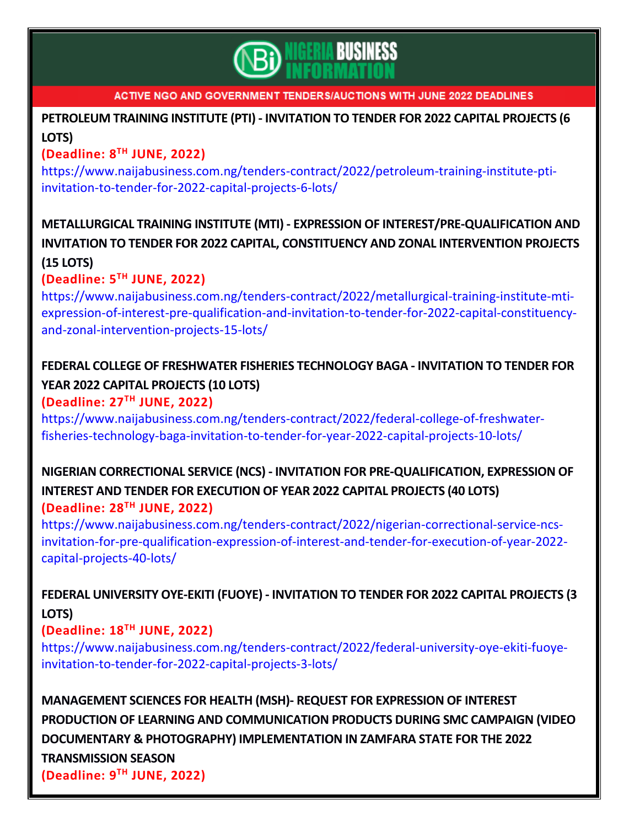

## **[PETROLEUM](https://www.naijabusiness.com.ng/tenders-contract/2022/petroleum-training-institute-pti-invitation-to-tender-for-2022-capital-projects-6-lots/) TRAINING INSTITUTE (PTI) - INVITATION TO TENDER FOR 2022 CAPITAL PROJECTS (6 [LOTS\)](https://www.naijabusiness.com.ng/tenders-contract/2022/petroleum-training-institute-pti-invitation-to-tender-for-2022-capital-projects-6-lots/)**

## **(Deadline: 8 TH JUNE, 2022)**

[https://www.naijabusiness.com.ng/tenders-contract/2022/petroleum-training-institute-pti](https://www.naijabusiness.com.ng/tenders-contract/2022/petroleum-training-institute-pti-invitation-to-tender-for-2022-capital-projects-6-lots/)[invitation-to-tender-for-2022-capital-projects-6-lots/](https://www.naijabusiness.com.ng/tenders-contract/2022/petroleum-training-institute-pti-invitation-to-tender-for-2022-capital-projects-6-lots/)

# **METALLURGICAL TRAINING INSTITUTE (MTI) - EXPRESSION OF [INTEREST/PRE-QUALIFICATION](https://www.naijabusiness.com.ng/tenders-contract/2022/metallurgical-training-institute-mti-expression-of-interest-pre-qualification-and-invitation-to-tender-for-2022-capital-constituency-and-zonal-intervention-projects-15-lots/) AND INVITATION TO TENDER FOR 2022 CAPITAL, [CONSTITUENCY](https://www.naijabusiness.com.ng/tenders-contract/2022/metallurgical-training-institute-mti-expression-of-interest-pre-qualification-and-invitation-to-tender-for-2022-capital-constituency-and-zonal-intervention-projects-15-lots/) AND ZONAL INTERVENTION PROJECTS**

### **(15 [LOTS\)](https://www.naijabusiness.com.ng/tenders-contract/2022/metallurgical-training-institute-mti-expression-of-interest-pre-qualification-and-invitation-to-tender-for-2022-capital-constituency-and-zonal-intervention-projects-15-lots/)**

## **(Deadline: 5 TH JUNE, 2022)**

[https://www.naijabusiness.com.ng/tenders-contract/2022/metallurgical-training-institute-mti](https://www.naijabusiness.com.ng/tenders-contract/2022/metallurgical-training-institute-mti-expression-of-interest-pre-qualification-and-invitation-to-tender-for-2022-capital-constituency-and-zonal-intervention-projects-15-lots/)[expression-of-interest-pre-qualification-and-invitation-to-tender-for-2022-capital-constituency](https://www.naijabusiness.com.ng/tenders-contract/2022/metallurgical-training-institute-mti-expression-of-interest-pre-qualification-and-invitation-to-tender-for-2022-capital-constituency-and-zonal-intervention-projects-15-lots/)[and-zonal-intervention-projects-15-lots/](https://www.naijabusiness.com.ng/tenders-contract/2022/metallurgical-training-institute-mti-expression-of-interest-pre-qualification-and-invitation-to-tender-for-2022-capital-constituency-and-zonal-intervention-projects-15-lots/)

## **FEDERAL COLLEGE OF FRESHWATER FISHERIES [TECHNOLOGY](https://www.naijabusiness.com.ng/tenders-contract/2022/federal-college-of-freshwater-fisheries-technology-baga-invitation-to-tender-for-year-2022-capital-projects-10-lots/) BAGA - INVITATION TO TENDER FOR YEAR 2022 CAPITAL [PROJECTS](https://www.naijabusiness.com.ng/tenders-contract/2022/federal-college-of-freshwater-fisheries-technology-baga-invitation-to-tender-for-year-2022-capital-projects-10-lots/) (10 LOTS)**

### **(Deadline: 27TH JUNE, 2022)**

[https://www.naijabusiness.com.ng/tenders-contract/2022/federal-college-of-freshwater](https://www.naijabusiness.com.ng/tenders-contract/2022/federal-college-of-freshwater-fisheries-technology-baga-invitation-to-tender-for-year-2022-capital-projects-10-lots/)[fisheries-technology-baga-invitation-to-tender-for-year-2022-capital-projects-10-lots/](https://www.naijabusiness.com.ng/tenders-contract/2022/federal-college-of-freshwater-fisheries-technology-baga-invitation-to-tender-for-year-2022-capital-projects-10-lots/)

## **NIGERIAN CORRECTIONAL SERVICE (NCS) - INVITATION FOR [PRE-QUALIFICATION,](https://www.naijabusiness.com.ng/tenders-contract/2022/nigerian-correctional-service-ncs-invitation-for-pre-qualification-expression-of-interest-and-tender-for-execution-of-year-2022-capital-projects-40-lots/) EXPRESSION OF INTEREST AND TENDER FOR [EXECUTION](https://www.naijabusiness.com.ng/tenders-contract/2022/nigerian-correctional-service-ncs-invitation-for-pre-qualification-expression-of-interest-and-tender-for-execution-of-year-2022-capital-projects-40-lots/) OF YEAR 2022 CAPITAL PROJECTS (40 LOTS) (Deadline: 28TH JUNE, 2022)**

[https://www.naijabusiness.com.ng/tenders-contract/2022/nigerian-correctional-service-ncs](https://www.naijabusiness.com.ng/tenders-contract/2022/nigerian-correctional-service-ncs-invitation-for-pre-qualification-expression-of-interest-and-tender-for-execution-of-year-2022-capital-projects-40-lots/)[invitation-for-pre-qualification-expression-of-interest-and-tender-for-execution-of-year-2022](https://www.naijabusiness.com.ng/tenders-contract/2022/nigerian-correctional-service-ncs-invitation-for-pre-qualification-expression-of-interest-and-tender-for-execution-of-year-2022-capital-projects-40-lots/) [capital-projects-40-lots/](https://www.naijabusiness.com.ng/tenders-contract/2022/nigerian-correctional-service-ncs-invitation-for-pre-qualification-expression-of-interest-and-tender-for-execution-of-year-2022-capital-projects-40-lots/)

# **FEDERAL UNIVERSITY OYE-EKITI (FUOYE) - [INVITATION](https://www.naijabusiness.com.ng/tenders-contract/2022/federal-university-oye-ekiti-fuoye-invitation-to-tender-for-2022-capital-projects-3-lots/) TO TENDER FOR 2022 CAPITAL PROJECTS (3 [LOTS\)](https://www.naijabusiness.com.ng/tenders-contract/2022/federal-university-oye-ekiti-fuoye-invitation-to-tender-for-2022-capital-projects-3-lots/)**

## **(Deadline: 18 TH JUNE, 2022)**

[https://www.naijabusiness.com.ng/tenders-contract/2022/federal-university-oye-ekiti-fuoye](https://www.naijabusiness.com.ng/tenders-contract/2022/federal-university-oye-ekiti-fuoye-invitation-to-tender-for-2022-capital-projects-3-lots/)[invitation-to-tender-for-2022-capital-projects-3-lots/](https://www.naijabusiness.com.ng/tenders-contract/2022/federal-university-oye-ekiti-fuoye-invitation-to-tender-for-2022-capital-projects-3-lots/)

**[MANAGEMENT](https://www.naijabusiness.com.ng/tenders-contract/2022/management-sciences-for-health-msh-request-for-expression-of-interest-production-of-learning-and-communication-products-during-smc-campaign-video-documentary-photography-implementation-in-zamfa/) SCIENCES FOR HEALTH (MSH)- REQUEST FOR EXPRESSION OF INTEREST PRODUCTION OF LEARNING AND [COMMUNICATION](https://www.naijabusiness.com.ng/tenders-contract/2022/management-sciences-for-health-msh-request-for-expression-of-interest-production-of-learning-and-communication-products-during-smc-campaign-video-documentary-photography-implementation-in-zamfa/) PRODUCTS DURING SMC CAMPAIGN (VIDEO DOCUMENTARY & PHOTOGRAPHY) [IMPLEMENTATION](https://www.naijabusiness.com.ng/tenders-contract/2022/management-sciences-for-health-msh-request-for-expression-of-interest-production-of-learning-and-communication-products-during-smc-campaign-video-documentary-photography-implementation-in-zamfa/) IN ZAMFARA STATE FOR THE 2022 [TRANSMISSION](https://www.naijabusiness.com.ng/tenders-contract/2022/management-sciences-for-health-msh-request-for-expression-of-interest-production-of-learning-and-communication-products-during-smc-campaign-video-documentary-photography-implementation-in-zamfa/) SEASON (Deadline: 9 TH JUNE, 2022)**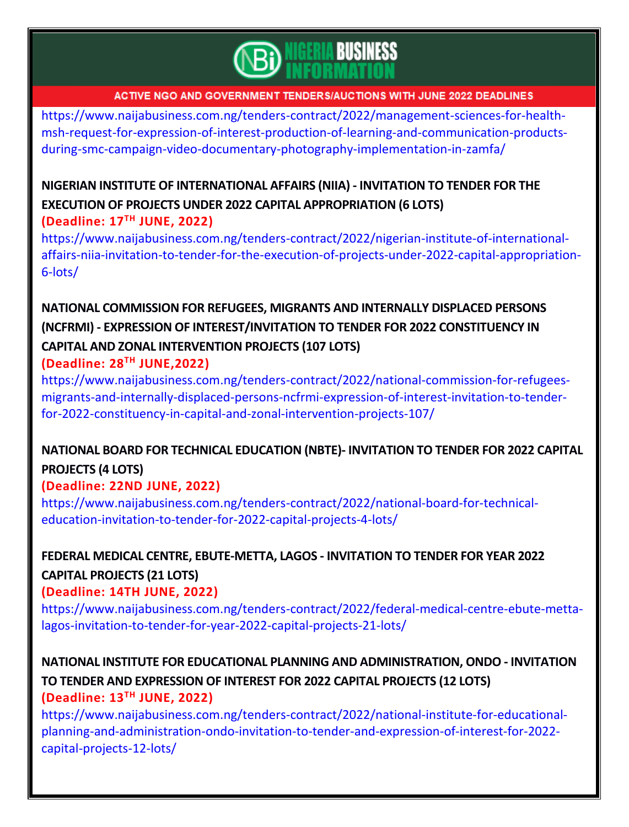

[https://www.naijabusiness.com.ng/tenders-contract/2022/management-sciences-for-health](https://www.naijabusiness.com.ng/tenders-contract/2022/management-sciences-for-health-msh-request-for-expression-of-interest-production-of-learning-and-communication-products-during-smc-campaign-video-documentary-photography-implementation-in-zamfa/)[msh-request-for-expression-of-interest-production-of-learning-and-communication-products](https://www.naijabusiness.com.ng/tenders-contract/2022/management-sciences-for-health-msh-request-for-expression-of-interest-production-of-learning-and-communication-products-during-smc-campaign-video-documentary-photography-implementation-in-zamfa/)[during-smc-campaign-video-documentary-photography-implementation-in-zamfa/](https://www.naijabusiness.com.ng/tenders-contract/2022/management-sciences-for-health-msh-request-for-expression-of-interest-production-of-learning-and-communication-products-during-smc-campaign-video-documentary-photography-implementation-in-zamfa/)

## **NIGERIAN INSTITUTE OF [INTERNATIONAL](https://www.naijabusiness.com.ng/tenders-contract/2022/nigerian-institute-of-international-affairs-niia-invitation-to-tender-for-the-execution-of-projects-under-2022-capital-appropriation-6-lots/) AFFAIRS (NIIA) - INVITATION TO TENDER FOR THE EXECUTION OF PROJECTS UNDER 2022 CAPITAL [APPROPRIATION](https://www.naijabusiness.com.ng/tenders-contract/2022/nigerian-institute-of-international-affairs-niia-invitation-to-tender-for-the-execution-of-projects-under-2022-capital-appropriation-6-lots/) (6 LOTS) (Deadline: 17TH JUNE, 2022)**

[https://www.naijabusiness.com.ng/tenders-contract/2022/nigerian-institute-of-international](https://www.naijabusiness.com.ng/tenders-contract/2022/nigerian-institute-of-international-affairs-niia-invitation-to-tender-for-the-execution-of-projects-under-2022-capital-appropriation-6-lots/)[affairs-niia-invitation-to-tender-for-the-execution-of-projects-under-2022-capital-appropriation-](https://www.naijabusiness.com.ng/tenders-contract/2022/nigerian-institute-of-international-affairs-niia-invitation-to-tender-for-the-execution-of-projects-under-2022-capital-appropriation-6-lots/)[6-lots/](https://www.naijabusiness.com.ng/tenders-contract/2022/nigerian-institute-of-international-affairs-niia-invitation-to-tender-for-the-execution-of-projects-under-2022-capital-appropriation-6-lots/)

# **NATIONAL [COMMISSION](https://www.naijabusiness.com.ng/tenders-contract/2022/national-commission-for-refugees-migrants-and-internally-displaced-persons-ncfrmi-expression-of-interest-invitation-to-tender-for-2022-constituency-in-capital-and-zonal-intervention-projects-107/) FOR REFUGEES, MIGRANTS AND INTERNALLY DISPLACED PERSONS (NCFRMI) - EXPRESSION OF [INTEREST/INVITATION](https://www.naijabusiness.com.ng/tenders-contract/2022/national-commission-for-refugees-migrants-and-internally-displaced-persons-ncfrmi-expression-of-interest-invitation-to-tender-for-2022-constituency-in-capital-and-zonal-intervention-projects-107/) TO TENDER FOR 2022 CONSTITUENCY IN CAPITAL AND ZONAL [INTERVENTION](https://www.naijabusiness.com.ng/tenders-contract/2022/national-commission-for-refugees-migrants-and-internally-displaced-persons-ncfrmi-expression-of-interest-invitation-to-tender-for-2022-constituency-in-capital-and-zonal-intervention-projects-107/) PROJECTS (107 LOTS)**

### **(Deadline: 28TH JUNE,2022)**

[https://www.naijabusiness.com.ng/tenders-contract/2022/national-commission-for-refugees](https://www.naijabusiness.com.ng/tenders-contract/2022/national-commission-for-refugees-migrants-and-internally-displaced-persons-ncfrmi-expression-of-interest-invitation-to-tender-for-2022-constituency-in-capital-and-zonal-intervention-projects-107/)[migrants-and-internally-displaced-persons-ncfrmi-expression-of-interest-invitation-to-tender](https://www.naijabusiness.com.ng/tenders-contract/2022/national-commission-for-refugees-migrants-and-internally-displaced-persons-ncfrmi-expression-of-interest-invitation-to-tender-for-2022-constituency-in-capital-and-zonal-intervention-projects-107/)[for-2022-constituency-in-capital-and-zonal-intervention-projects-107/](https://www.naijabusiness.com.ng/tenders-contract/2022/national-commission-for-refugees-migrants-and-internally-displaced-persons-ncfrmi-expression-of-interest-invitation-to-tender-for-2022-constituency-in-capital-and-zonal-intervention-projects-107/)

# **NATIONAL BOARD FOR TECHNICAL [EDUCATION](https://www.naijabusiness.com.ng/tenders-contract/2022/national-board-for-technical-education-invitation-to-tender-for-2022-capital-projects-4-lots/) (NBTE)- INVITATION TO TENDER FOR 2022 CAPITAL [PROJECTS](https://www.naijabusiness.com.ng/tenders-contract/2022/national-board-for-technical-education-invitation-to-tender-for-2022-capital-projects-4-lots/) (4 LOTS)**

## **(Deadline: 22ND JUNE, 2022)**

[https://www.naijabusiness.com.ng/tenders-contract/2022/national-board-for-technical](https://www.naijabusiness.com.ng/tenders-contract/2022/national-board-for-technical-education-invitation-to-tender-for-2022-capital-projects-4-lots/)[education-invitation-to-tender-for-2022-capital-projects-4-lots/](https://www.naijabusiness.com.ng/tenders-contract/2022/national-board-for-technical-education-invitation-to-tender-for-2022-capital-projects-4-lots/)

## **FEDERAL MEDICAL CENTRE, [EBUTE-METTA,](https://www.naijabusiness.com.ng/tenders-contract/2022/federal-medical-centre-ebute-metta-lagos-invitation-to-tender-for-year-2022-capital-projects-21-lots/) LAGOS - INVITATION TO TENDER FOR YEAR 2022 CAPITAL [PROJECTS](https://www.naijabusiness.com.ng/tenders-contract/2022/federal-medical-centre-ebute-metta-lagos-invitation-to-tender-for-year-2022-capital-projects-21-lots/) (21 LOTS) (Deadline: 14TH JUNE, 2022)**

[https://www.naijabusiness.com.ng/tenders-contract/2022/federal-medical-centre-ebute-metta](https://www.naijabusiness.com.ng/tenders-contract/2022/federal-medical-centre-ebute-metta-lagos-invitation-to-tender-for-year-2022-capital-projects-21-lots/)[lagos-invitation-to-tender-for-year-2022-capital-projects-21-lots/](https://www.naijabusiness.com.ng/tenders-contract/2022/federal-medical-centre-ebute-metta-lagos-invitation-to-tender-for-year-2022-capital-projects-21-lots/)

## **NATIONAL INSTITUTE FOR EDUCATIONAL PLANNING AND [ADMINISTRATION,](https://www.naijabusiness.com.ng/tenders-contract/2022/national-institute-for-educational-planning-and-administration-ondo-invitation-to-tender-and-expression-of-interest-for-2022-capital-projects-12-lots/) ONDO - INVITATION TO TENDER AND [EXPRESSION](https://www.naijabusiness.com.ng/tenders-contract/2022/national-institute-for-educational-planning-and-administration-ondo-invitation-to-tender-and-expression-of-interest-for-2022-capital-projects-12-lots/) OF INTEREST FOR 2022 CAPITAL PROJECTS (12 LOTS) (Deadline: 13TH JUNE, 2022)**

[https://www.naijabusiness.com.ng/tenders-contract/2022/national-institute-for-educational](https://www.naijabusiness.com.ng/tenders-contract/2022/national-institute-for-educational-planning-and-administration-ondo-invitation-to-tender-and-expression-of-interest-for-2022-capital-projects-12-lots/)[planning-and-administration-ondo-invitation-to-tender-and-expression-of-interest-for-2022](https://www.naijabusiness.com.ng/tenders-contract/2022/national-institute-for-educational-planning-and-administration-ondo-invitation-to-tender-and-expression-of-interest-for-2022-capital-projects-12-lots/) [capital-projects-12-lots/](https://www.naijabusiness.com.ng/tenders-contract/2022/national-institute-for-educational-planning-and-administration-ondo-invitation-to-tender-and-expression-of-interest-for-2022-capital-projects-12-lots/)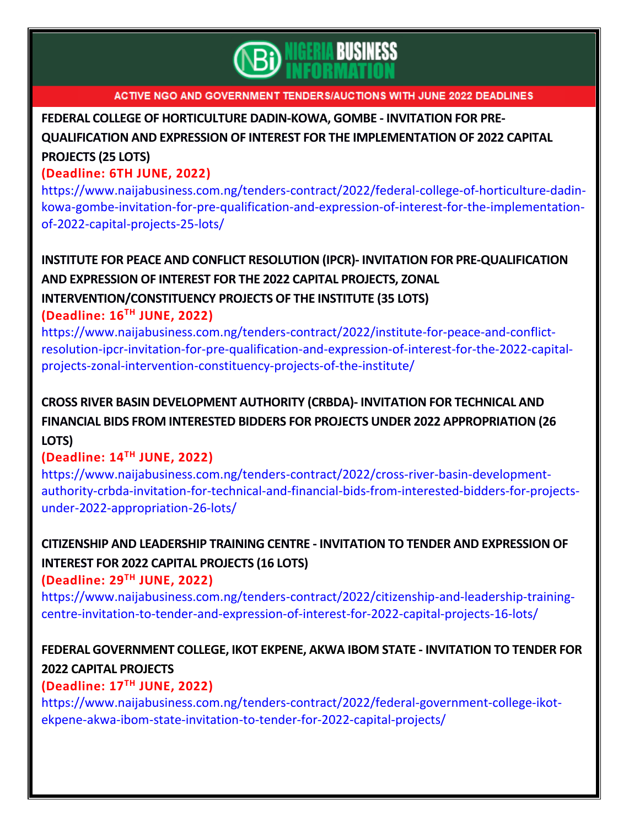

### **FEDERAL COLLEGE OF [HORTICULTURE](https://www.naijabusiness.com.ng/tenders-contract/2022/federal-college-of-horticulture-dadin-kowa-gombe-invitation-for-pre-qualification-and-expression-of-interest-for-the-implementation-of-2022-capital-projects-25-lots/) DADIN-KOWA, GOMBE - INVITATION FOR PRE-**

# **QUALIFICATION AND EXPRESSION OF INTEREST FOR THE [IMPLEMENTATION](https://www.naijabusiness.com.ng/tenders-contract/2022/federal-college-of-horticulture-dadin-kowa-gombe-invitation-for-pre-qualification-and-expression-of-interest-for-the-implementation-of-2022-capital-projects-25-lots/) OF 2022 CAPITAL [PROJECTS](https://www.naijabusiness.com.ng/tenders-contract/2022/federal-college-of-horticulture-dadin-kowa-gombe-invitation-for-pre-qualification-and-expression-of-interest-for-the-implementation-of-2022-capital-projects-25-lots/) (25 LOTS)**

### **(Deadline: 6TH JUNE, 2022)**

[https://www.naijabusiness.com.ng/tenders-contract/2022/federal-college-of-horticulture-dadin](https://www.naijabusiness.com.ng/tenders-contract/2022/federal-college-of-horticulture-dadin-kowa-gombe-invitation-for-pre-qualification-and-expression-of-interest-for-the-implementation-of-2022-capital-projects-25-lots/)[kowa-gombe-invitation-for-pre-qualification-and-expression-of-interest-for-the-implementation](https://www.naijabusiness.com.ng/tenders-contract/2022/federal-college-of-horticulture-dadin-kowa-gombe-invitation-for-pre-qualification-and-expression-of-interest-for-the-implementation-of-2022-capital-projects-25-lots/)[of-2022-capital-projects-25-lots/](https://www.naijabusiness.com.ng/tenders-contract/2022/federal-college-of-horticulture-dadin-kowa-gombe-invitation-for-pre-qualification-and-expression-of-interest-for-the-implementation-of-2022-capital-projects-25-lots/)

## **INSTITUTE FOR PEACE AND CONFLICT RESOLUTION (IPCR)- INVITATION FOR [PRE-QUALIFICATION](https://www.naijabusiness.com.ng/tenders-contract/2022/institute-for-peace-and-conflict-resolution-ipcr-invitation-for-pre-qualification-and-expression-of-interest-for-the-2022-capital-projects-zonal-intervention-constituency-projects-of-the-institute/) AND [EXPRESSION](https://www.naijabusiness.com.ng/tenders-contract/2022/institute-for-peace-and-conflict-resolution-ipcr-invitation-for-pre-qualification-and-expression-of-interest-for-the-2022-capital-projects-zonal-intervention-constituency-projects-of-the-institute/) OF INTEREST FOR THE 2022 CAPITAL PROJECTS, ZONAL**

**[INTERVENTION/CONSTITUENCY](https://www.naijabusiness.com.ng/tenders-contract/2022/institute-for-peace-and-conflict-resolution-ipcr-invitation-for-pre-qualification-and-expression-of-interest-for-the-2022-capital-projects-zonal-intervention-constituency-projects-of-the-institute/) PROJECTS OF THE INSTITUTE (35 LOTS) (Deadline: 16TH JUNE, 2022)**

[https://www.naijabusiness.com.ng/tenders-contract/2022/institute-for-peace-and-conflict](https://www.naijabusiness.com.ng/tenders-contract/2022/institute-for-peace-and-conflict-resolution-ipcr-invitation-for-pre-qualification-and-expression-of-interest-for-the-2022-capital-projects-zonal-intervention-constituency-projects-of-the-institute/)[resolution-ipcr-invitation-for-pre-qualification-and-expression-of-interest-for-the-2022-capital](https://www.naijabusiness.com.ng/tenders-contract/2022/institute-for-peace-and-conflict-resolution-ipcr-invitation-for-pre-qualification-and-expression-of-interest-for-the-2022-capital-projects-zonal-intervention-constituency-projects-of-the-institute/)[projects-zonal-intervention-constituency-projects-of-the-institute/](https://www.naijabusiness.com.ng/tenders-contract/2022/institute-for-peace-and-conflict-resolution-ipcr-invitation-for-pre-qualification-and-expression-of-interest-for-the-2022-capital-projects-zonal-intervention-constituency-projects-of-the-institute/)

## **CROSS RIVER BASIN [DEVELOPMENT](https://www.naijabusiness.com.ng/tenders-contract/2022/cross-river-basin-development-authority-crbda-invitation-for-technical-and-financial-bids-from-interested-bidders-for-projects-under-2022-appropriation-26-lots/) AUTHORITY (CRBDA)- INVITATION FOR TECHNICAL AND FINANCIAL BIDS FROM INTERESTED BIDDERS FOR PROJECTS UNDER 2022 [APPROPRIATION](https://www.naijabusiness.com.ng/tenders-contract/2022/cross-river-basin-development-authority-crbda-invitation-for-technical-and-financial-bids-from-interested-bidders-for-projects-under-2022-appropriation-26-lots/) (26 [LOTS\)](https://www.naijabusiness.com.ng/tenders-contract/2022/cross-river-basin-development-authority-crbda-invitation-for-technical-and-financial-bids-from-interested-bidders-for-projects-under-2022-appropriation-26-lots/)**

## **(Deadline: 14TH JUNE, 2022)**

[https://www.naijabusiness.com.ng/tenders-contract/2022/cross-river-basin-development](https://www.naijabusiness.com.ng/tenders-contract/2022/cross-river-basin-development-authority-crbda-invitation-for-technical-and-financial-bids-from-interested-bidders-for-projects-under-2022-appropriation-26-lots/)[authority-crbda-invitation-for-technical-and-financial-bids-from-interested-bidders-for-projects](https://www.naijabusiness.com.ng/tenders-contract/2022/cross-river-basin-development-authority-crbda-invitation-for-technical-and-financial-bids-from-interested-bidders-for-projects-under-2022-appropriation-26-lots/)[under-2022-appropriation-26-lots/](https://www.naijabusiness.com.ng/tenders-contract/2022/cross-river-basin-development-authority-crbda-invitation-for-technical-and-financial-bids-from-interested-bidders-for-projects-under-2022-appropriation-26-lots/)

## **CITIZENSHIP AND LEADERSHIP TRAINING CENTRE - INVITATION TO TENDER AND [EXPRESSION](https://www.naijabusiness.com.ng/tenders-contract/2022/citizenship-and-leadership-training-centre-invitation-to-tender-and-expression-of-interest-for-2022-capital-projects-16-lots/) OF INTEREST FOR 2022 CAPITAL [PROJECTS](https://www.naijabusiness.com.ng/tenders-contract/2022/citizenship-and-leadership-training-centre-invitation-to-tender-and-expression-of-interest-for-2022-capital-projects-16-lots/) (16 LOTS)**

**(Deadline: 29TH JUNE, 2022)**

[https://www.naijabusiness.com.ng/tenders-contract/2022/citizenship-and-leadership-training](https://www.naijabusiness.com.ng/tenders-contract/2022/citizenship-and-leadership-training-centre-invitation-to-tender-and-expression-of-interest-for-2022-capital-projects-16-lots/)[centre-invitation-to-tender-and-expression-of-interest-for-2022-capital-projects-16-lots/](https://www.naijabusiness.com.ng/tenders-contract/2022/citizenship-and-leadership-training-centre-invitation-to-tender-and-expression-of-interest-for-2022-capital-projects-16-lots/)

# **FEDERAL [GOVERNMENT](https://www.naijabusiness.com.ng/tenders-contract/2022/federal-government-college-ikot-ekpene-akwa-ibom-state-invitation-to-tender-for-2022-capital-projects/) COLLEGE, IKOT EKPENE, AKWA IBOM STATE - INVITATION TO TENDER FOR 2022 CAPITAL [PROJECTS](https://www.naijabusiness.com.ng/tenders-contract/2022/federal-government-college-ikot-ekpene-akwa-ibom-state-invitation-to-tender-for-2022-capital-projects/)**

## **(Deadline: 17TH JUNE, 2022)**

[https://www.naijabusiness.com.ng/tenders-contract/2022/federal-government-college-ikot](https://www.naijabusiness.com.ng/tenders-contract/2022/federal-government-college-ikot-ekpene-akwa-ibom-state-invitation-to-tender-for-2022-capital-projects/)[ekpene-akwa-ibom-state-invitation-to-tender-for-2022-capital-projects/](https://www.naijabusiness.com.ng/tenders-contract/2022/federal-government-college-ikot-ekpene-akwa-ibom-state-invitation-to-tender-for-2022-capital-projects/)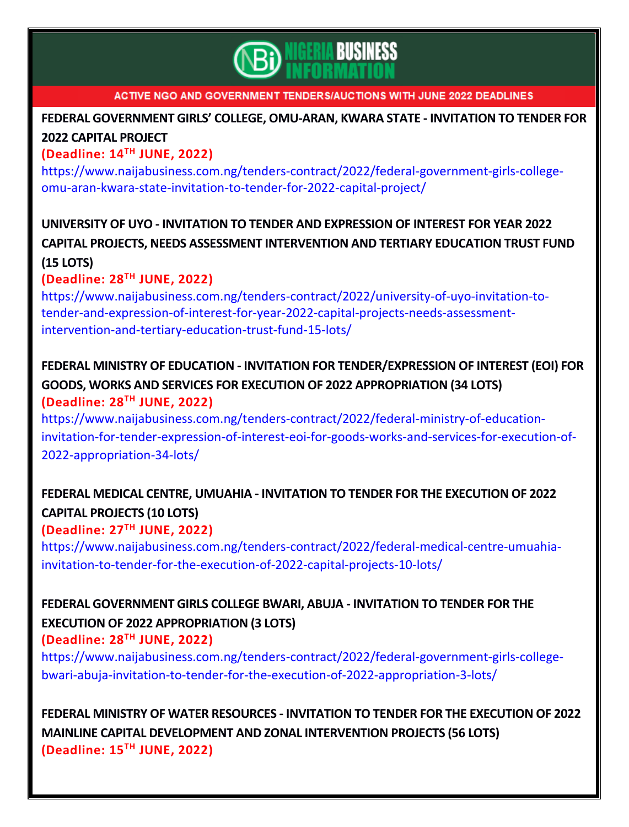

## **FEDERAL [GOVERNMENT](https://www.naijabusiness.com.ng/tenders-contract/2022/federal-government-girls-college-omu-aran-kwara-state-invitation-to-tender-for-2022-capital-project/) GIRLS' COLLEGE, OMU-ARAN, KWARA STATE - INVITATION TO TENDER FOR 2022 CAPITAL [PROJECT](https://www.naijabusiness.com.ng/tenders-contract/2022/federal-government-girls-college-omu-aran-kwara-state-invitation-to-tender-for-2022-capital-project/)**

## **(Deadline: 14 TH JUNE, 2022)**

[https://www.naijabusiness.com.ng/tenders-contract/2022/federal-government-girls-college](https://www.naijabusiness.com.ng/tenders-contract/2022/federal-government-girls-college-omu-aran-kwara-state-invitation-to-tender-for-2022-capital-project/)[omu-aran-kwara-state-invitation-to-tender-for-2022-capital-project/](https://www.naijabusiness.com.ng/tenders-contract/2022/federal-government-girls-college-omu-aran-kwara-state-invitation-to-tender-for-2022-capital-project/)

## **UNIVERSITY OF UYO - INVITATION TO TENDER AND [EXPRESSION](https://www.naijabusiness.com.ng/tenders-contract/2022/university-of-uyo-invitation-to-tender-and-expression-of-interest-for-year-2022-capital-projects-needs-assessment-intervention-and-tertiary-education-trust-fund-15-lots/) OF INTEREST FOR YEAR 2022 CAPITAL PROJECTS, NEEDS ASSESSMENT [INTERVENTION](https://www.naijabusiness.com.ng/tenders-contract/2022/university-of-uyo-invitation-to-tender-and-expression-of-interest-for-year-2022-capital-projects-needs-assessment-intervention-and-tertiary-education-trust-fund-15-lots/) AND TERTIARY EDUCATION TRUST FUND (15 [LOTS\)](https://www.naijabusiness.com.ng/tenders-contract/2022/university-of-uyo-invitation-to-tender-and-expression-of-interest-for-year-2022-capital-projects-needs-assessment-intervention-and-tertiary-education-trust-fund-15-lots/)**

## **(Deadline: 28TH JUNE, 2022)**

[https://www.naijabusiness.com.ng/tenders-contract/2022/university-of-uyo-invitation-to](https://www.naijabusiness.com.ng/tenders-contract/2022/university-of-uyo-invitation-to-tender-and-expression-of-interest-for-year-2022-capital-projects-needs-assessment-intervention-and-tertiary-education-trust-fund-15-lots/)[tender-and-expression-of-interest-for-year-2022-capital-projects-needs-assessment](https://www.naijabusiness.com.ng/tenders-contract/2022/university-of-uyo-invitation-to-tender-and-expression-of-interest-for-year-2022-capital-projects-needs-assessment-intervention-and-tertiary-education-trust-fund-15-lots/)[intervention-and-tertiary-education-trust-fund-15-lots/](https://www.naijabusiness.com.ng/tenders-contract/2022/university-of-uyo-invitation-to-tender-and-expression-of-interest-for-year-2022-capital-projects-needs-assessment-intervention-and-tertiary-education-trust-fund-15-lots/)

## **FEDERAL MINISTRY OF EDUCATION - INVITATION FOR [TENDER/EXPRESSION](https://www.naijabusiness.com.ng/tenders-contract/2022/federal-ministry-of-education-invitation-for-tender-expression-of-interest-eoi-for-goods-works-and-services-for-execution-of-2022-appropriation-34-lots/) OF INTEREST (EOI) FOR GOODS, WORKS AND SERVICES FOR EXECUTION OF 2022 [APPROPRIATION](https://www.naijabusiness.com.ng/tenders-contract/2022/federal-ministry-of-education-invitation-for-tender-expression-of-interest-eoi-for-goods-works-and-services-for-execution-of-2022-appropriation-34-lots/) (34 LOTS) (Deadline: 28 TH JUNE, 2022)**

[https://www.naijabusiness.com.ng/tenders-contract/2022/federal-ministry-of-education](https://www.naijabusiness.com.ng/tenders-contract/2022/federal-ministry-of-education-invitation-for-tender-expression-of-interest-eoi-for-goods-works-and-services-for-execution-of-2022-appropriation-34-lots/)[invitation-for-tender-expression-of-interest-eoi-for-goods-works-and-services-for-execution-of-](https://www.naijabusiness.com.ng/tenders-contract/2022/federal-ministry-of-education-invitation-for-tender-expression-of-interest-eoi-for-goods-works-and-services-for-execution-of-2022-appropriation-34-lots/)[2022-appropriation-34-lots/](https://www.naijabusiness.com.ng/tenders-contract/2022/federal-ministry-of-education-invitation-for-tender-expression-of-interest-eoi-for-goods-works-and-services-for-execution-of-2022-appropriation-34-lots/)

## **FEDERAL MEDICAL CENTRE, UMUAHIA - [INVITATION](https://www.naijabusiness.com.ng/tenders-contract/2022/federal-medical-centre-umuahia-invitation-to-tender-for-the-execution-of-2022-capital-projects-10-lots/) TO TENDER FOR THE EXECUTION OF 2022 CAPITAL [PROJECTS](https://www.naijabusiness.com.ng/tenders-contract/2022/federal-medical-centre-umuahia-invitation-to-tender-for-the-execution-of-2022-capital-projects-10-lots/) (10 LOTS) (Deadline: 27TH JUNE, 2022)**

[https://www.naijabusiness.com.ng/tenders-contract/2022/federal-medical-centre-umuahia](https://www.naijabusiness.com.ng/tenders-contract/2022/federal-medical-centre-umuahia-invitation-to-tender-for-the-execution-of-2022-capital-projects-10-lots/)[invitation-to-tender-for-the-execution-of-2022-capital-projects-10-lots/](https://www.naijabusiness.com.ng/tenders-contract/2022/federal-medical-centre-umuahia-invitation-to-tender-for-the-execution-of-2022-capital-projects-10-lots/)

## **FEDERAL [GOVERNMENT](https://www.naijabusiness.com.ng/tenders-contract/2022/federal-government-girls-college-bwari-abuja-invitation-to-tender-for-the-execution-of-2022-appropriation-3-lots/) GIRLS COLLEGE BWARI, ABUJA - INVITATION TO TENDER FOR THE EXECUTION OF 2022 [APPROPRIATION](https://www.naijabusiness.com.ng/tenders-contract/2022/federal-government-girls-college-bwari-abuja-invitation-to-tender-for-the-execution-of-2022-appropriation-3-lots/) (3 LOTS)**

## **(Deadline: 28TH JUNE, 2022)**

[https://www.naijabusiness.com.ng/tenders-contract/2022/federal-government-girls-college](https://www.naijabusiness.com.ng/tenders-contract/2022/federal-government-girls-college-bwari-abuja-invitation-to-tender-for-the-execution-of-2022-appropriation-3-lots/)[bwari-abuja-invitation-to-tender-for-the-execution-of-2022-appropriation-3-lots/](https://www.naijabusiness.com.ng/tenders-contract/2022/federal-government-girls-college-bwari-abuja-invitation-to-tender-for-the-execution-of-2022-appropriation-3-lots/)

**FEDERAL MINISTRY OF WATER RESOURCES - [INVITATION](https://www.naijabusiness.com.ng/tenders-contract/2022/federal-ministry-of-water-resources-invitation-to-tender-for-the-execution-of-2022-mainline-capital-development-and-zonal-intervention-projects-56-lots/) TO TENDER FOR THE EXECUTION OF 2022 MAINLINE CAPITAL [DEVELOPMENT](https://www.naijabusiness.com.ng/tenders-contract/2022/federal-ministry-of-water-resources-invitation-to-tender-for-the-execution-of-2022-mainline-capital-development-and-zonal-intervention-projects-56-lots/) AND ZONAL INTERVENTION PROJECTS (56 LOTS) (Deadline: 15TH JUNE, 2022)**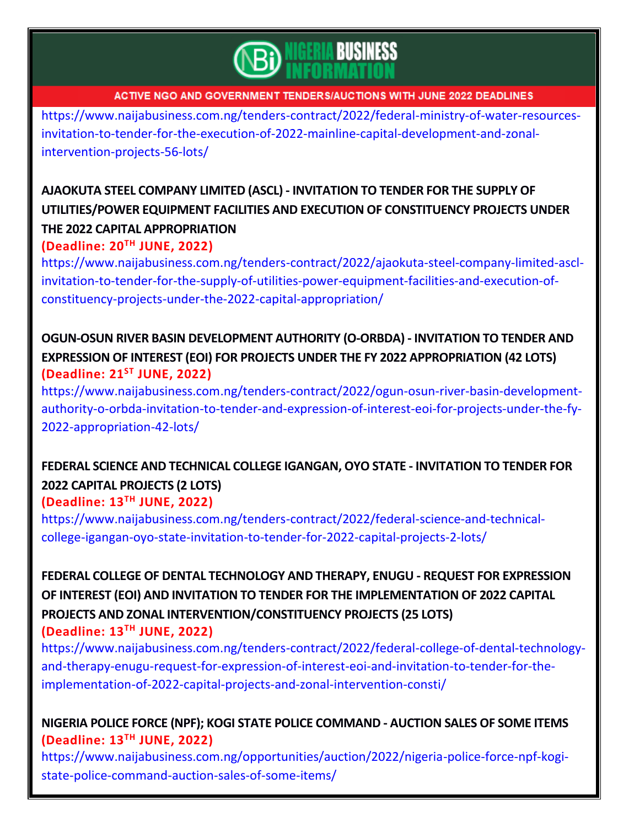

[https://www.naijabusiness.com.ng/tenders-contract/2022/federal-ministry-of-water-resources](https://www.naijabusiness.com.ng/tenders-contract/2022/federal-ministry-of-water-resources-invitation-to-tender-for-the-execution-of-2022-mainline-capital-development-and-zonal-intervention-projects-56-lots/)[invitation-to-tender-for-the-execution-of-2022-mainline-capital-development-and-zonal](https://www.naijabusiness.com.ng/tenders-contract/2022/federal-ministry-of-water-resources-invitation-to-tender-for-the-execution-of-2022-mainline-capital-development-and-zonal-intervention-projects-56-lots/)[intervention-projects-56-lots/](https://www.naijabusiness.com.ng/tenders-contract/2022/federal-ministry-of-water-resources-invitation-to-tender-for-the-execution-of-2022-mainline-capital-development-and-zonal-intervention-projects-56-lots/)

# **AJAOKUTA STEEL COMPANY LIMITED (ASCL) - [INVITATION](https://www.naijabusiness.com.ng/tenders-contract/2022/ajaokuta-steel-company-limited-ascl-invitation-to-tender-for-the-supply-of-utilities-power-equipment-facilities-and-execution-of-constituency-projects-under-the-2022-capital-appropriation/) TO TENDER FOR THE SUPPLY OF [UTILITIES/POWER](https://www.naijabusiness.com.ng/tenders-contract/2022/ajaokuta-steel-company-limited-ascl-invitation-to-tender-for-the-supply-of-utilities-power-equipment-facilities-and-execution-of-constituency-projects-under-the-2022-capital-appropriation/) EQUIPMENT FACILITIES AND EXECUTION OF CONSTITUENCY PROJECTS UNDER THE 2022 CAPITAL [APPROPRIATION](https://www.naijabusiness.com.ng/tenders-contract/2022/ajaokuta-steel-company-limited-ascl-invitation-to-tender-for-the-supply-of-utilities-power-equipment-facilities-and-execution-of-constituency-projects-under-the-2022-capital-appropriation/)**

**(Deadline: 20 TH JUNE, 2022)**

[https://www.naijabusiness.com.ng/tenders-contract/2022/ajaokuta-steel-company-limited-ascl](https://www.naijabusiness.com.ng/tenders-contract/2022/ajaokuta-steel-company-limited-ascl-invitation-to-tender-for-the-supply-of-utilities-power-equipment-facilities-and-execution-of-constituency-projects-under-the-2022-capital-appropriation/)[invitation-to-tender-for-the-supply-of-utilities-power-equipment-facilities-and-execution-of](https://www.naijabusiness.com.ng/tenders-contract/2022/ajaokuta-steel-company-limited-ascl-invitation-to-tender-for-the-supply-of-utilities-power-equipment-facilities-and-execution-of-constituency-projects-under-the-2022-capital-appropriation/)[constituency-projects-under-the-2022-capital-appropriation/](https://www.naijabusiness.com.ng/tenders-contract/2022/ajaokuta-steel-company-limited-ascl-invitation-to-tender-for-the-supply-of-utilities-power-equipment-facilities-and-execution-of-constituency-projects-under-the-2022-capital-appropriation/)

## **OGUN-OSUN RIVER BASIN [DEVELOPMENT](https://www.naijabusiness.com.ng/tenders-contract/2022/ogun-osun-river-basin-development-authority-o-orbda-invitation-to-tender-and-expression-of-interest-eoi-for-projects-under-the-fy-2022-appropriation-42-lots/) AUTHORITY (O-ORBDA) - INVITATION TO TENDER AND EXPRESSION OF INTEREST (EOI) FOR PROJECTS UNDER THE FY 2022 [APPROPRIATION](https://www.naijabusiness.com.ng/tenders-contract/2022/ogun-osun-river-basin-development-authority-o-orbda-invitation-to-tender-and-expression-of-interest-eoi-for-projects-under-the-fy-2022-appropriation-42-lots/) (42 LOTS) (Deadline: 21ST JUNE, 2022)**

[https://www.naijabusiness.com.ng/tenders-contract/2022/ogun-osun-river-basin-development](https://www.naijabusiness.com.ng/tenders-contract/2022/ogun-osun-river-basin-development-authority-o-orbda-invitation-to-tender-and-expression-of-interest-eoi-for-projects-under-the-fy-2022-appropriation-42-lots/)[authority-o-orbda-invitation-to-tender-and-expression-of-interest-eoi-for-projects-under-the-fy-](https://www.naijabusiness.com.ng/tenders-contract/2022/ogun-osun-river-basin-development-authority-o-orbda-invitation-to-tender-and-expression-of-interest-eoi-for-projects-under-the-fy-2022-appropriation-42-lots/)[2022-appropriation-42-lots/](https://www.naijabusiness.com.ng/tenders-contract/2022/ogun-osun-river-basin-development-authority-o-orbda-invitation-to-tender-and-expression-of-interest-eoi-for-projects-under-the-fy-2022-appropriation-42-lots/)

# **FEDERAL SCIENCE AND TECHNICAL COLLEGE IGANGAN, OYO STATE - [INVITATION](https://www.naijabusiness.com.ng/tenders-contract/2022/federal-science-and-technical-college-igangan-oyo-state-invitation-to-tender-for-2022-capital-projects-2-lots/) TO TENDER FOR 2022 CAPITAL [PROJECTS](https://www.naijabusiness.com.ng/tenders-contract/2022/federal-science-and-technical-college-igangan-oyo-state-invitation-to-tender-for-2022-capital-projects-2-lots/) (2 LOTS)**

## **(Deadline: 13 TH JUNE, 2022)**

[https://www.naijabusiness.com.ng/tenders-contract/2022/federal-science-and-technical](https://www.naijabusiness.com.ng/tenders-contract/2022/federal-science-and-technical-college-igangan-oyo-state-invitation-to-tender-for-2022-capital-projects-2-lots/)[college-igangan-oyo-state-invitation-to-tender-for-2022-capital-projects-2-lots/](https://www.naijabusiness.com.ng/tenders-contract/2022/federal-science-and-technical-college-igangan-oyo-state-invitation-to-tender-for-2022-capital-projects-2-lots/)

**FEDERAL COLLEGE OF DENTAL [TECHNOLOGY](https://www.naijabusiness.com.ng/tenders-contract/2022/federal-college-of-dental-technology-and-therapy-enugu-request-for-expression-of-interest-eoi-and-invitation-to-tender-for-the-implementation-of-2022-capital-projects-and-zonal-intervention-consti/) AND THERAPY, ENUGU - REQUEST FOR EXPRESSION OF INTEREST (EOI) AND INVITATION TO TENDER FOR THE [IMPLEMENTATION](https://www.naijabusiness.com.ng/tenders-contract/2022/federal-college-of-dental-technology-and-therapy-enugu-request-for-expression-of-interest-eoi-and-invitation-to-tender-for-the-implementation-of-2022-capital-projects-and-zonal-intervention-consti/) OF 2022 CAPITAL PROJECTS AND ZONAL [INTERVENTION/CONSTITUENCY](https://www.naijabusiness.com.ng/tenders-contract/2022/federal-college-of-dental-technology-and-therapy-enugu-request-for-expression-of-interest-eoi-and-invitation-to-tender-for-the-implementation-of-2022-capital-projects-and-zonal-intervention-consti/) PROJECTS (25 LOTS) (Deadline: 13 TH JUNE, 2022)**

[https://www.naijabusiness.com.ng/tenders-contract/2022/federal-college-of-dental-technology](https://www.naijabusiness.com.ng/tenders-contract/2022/federal-college-of-dental-technology-and-therapy-enugu-request-for-expression-of-interest-eoi-and-invitation-to-tender-for-the-implementation-of-2022-capital-projects-and-zonal-intervention-consti/)[and-therapy-enugu-request-for-expression-of-interest-eoi-and-invitation-to-tender-for-the](https://www.naijabusiness.com.ng/tenders-contract/2022/federal-college-of-dental-technology-and-therapy-enugu-request-for-expression-of-interest-eoi-and-invitation-to-tender-for-the-implementation-of-2022-capital-projects-and-zonal-intervention-consti/)[implementation-of-2022-capital-projects-and-zonal-intervention-consti/](https://www.naijabusiness.com.ng/tenders-contract/2022/federal-college-of-dental-technology-and-therapy-enugu-request-for-expression-of-interest-eoi-and-invitation-to-tender-for-the-implementation-of-2022-capital-projects-and-zonal-intervention-consti/)

## **NIGERIA POLICE FORCE (NPF); KOGI STATE POLICE [COMMAND](https://www.naijabusiness.com.ng/opportunities/auction/2022/nigeria-police-force-npf-kogi-state-police-command-auction-sales-of-some-items/) - AUCTION SALES OF SOME ITEMS (Deadline: 13TH JUNE, 2022)**

[https://www.naijabusiness.com.ng/opportunities/auction/2022/nigeria-police-force-npf-kogi](https://www.naijabusiness.com.ng/opportunities/auction/2022/nigeria-police-force-npf-kogi-state-police-command-auction-sales-of-some-items/)[state-police-command-auction-sales-of-some-items/](https://www.naijabusiness.com.ng/opportunities/auction/2022/nigeria-police-force-npf-kogi-state-police-command-auction-sales-of-some-items/)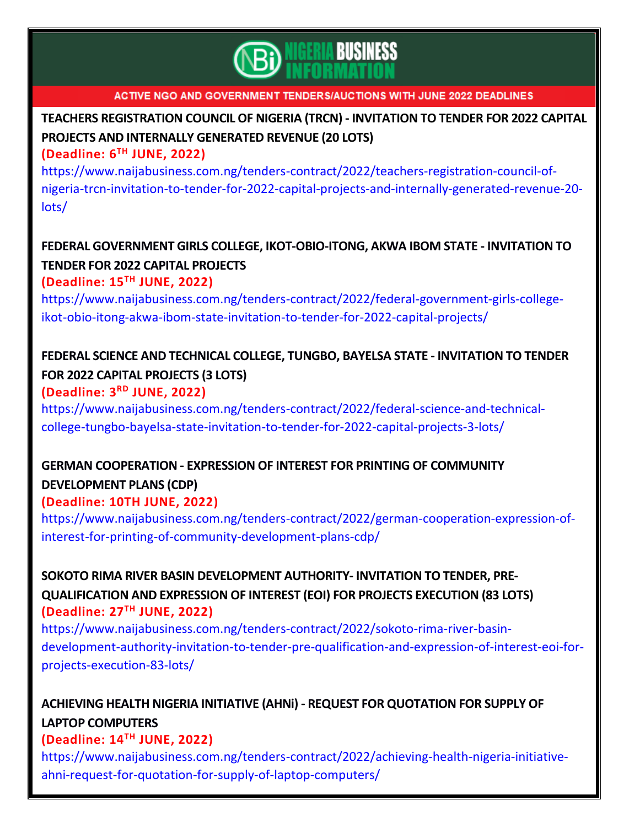

# **TEACHERS [REGISTRATION](https://www.naijabusiness.com.ng/tenders-contract/2022/teachers-registration-council-of-nigeria-trcn-invitation-to-tender-for-2022-capital-projects-and-internally-generated-revenue-20-lots/) COUNCIL OF NIGERIA (TRCN) - INVITATION TO TENDER FOR 2022 CAPITAL PROJECTS AND [INTERNALLY](https://www.naijabusiness.com.ng/tenders-contract/2022/teachers-registration-council-of-nigeria-trcn-invitation-to-tender-for-2022-capital-projects-and-internally-generated-revenue-20-lots/) GENERATED REVENUE (20 LOTS)**

### **(Deadline: 6 TH JUNE, 2022)**

[https://www.naijabusiness.com.ng/tenders-contract/2022/teachers-registration-council-of](https://www.naijabusiness.com.ng/tenders-contract/2022/teachers-registration-council-of-nigeria-trcn-invitation-to-tender-for-2022-capital-projects-and-internally-generated-revenue-20-lots/)[nigeria-trcn-invitation-to-tender-for-2022-capital-projects-and-internally-generated-revenue-20](https://www.naijabusiness.com.ng/tenders-contract/2022/teachers-registration-council-of-nigeria-trcn-invitation-to-tender-for-2022-capital-projects-and-internally-generated-revenue-20-lots/) [lots/](https://www.naijabusiness.com.ng/tenders-contract/2022/teachers-registration-council-of-nigeria-trcn-invitation-to-tender-for-2022-capital-projects-and-internally-generated-revenue-20-lots/)

# **FEDERAL GOVERNMENT GIRLS COLLEGE, [IKOT-OBIO-ITONG,](https://www.naijabusiness.com.ng/tenders-contract/2022/federal-government-girls-college-ikot-obio-itong-akwa-ibom-state-invitation-to-tender-for-2022-capital-projects/) AKWA IBOM STATE - INVITATION TO TENDER FOR 2022 CAPITAL [PROJECTS](https://www.naijabusiness.com.ng/tenders-contract/2022/federal-government-girls-college-ikot-obio-itong-akwa-ibom-state-invitation-to-tender-for-2022-capital-projects/)**

### **(Deadline: 15 TH JUNE, 2022)**

[https://www.naijabusiness.com.ng/tenders-contract/2022/federal-government-girls-college](https://www.naijabusiness.com.ng/tenders-contract/2022/federal-government-girls-college-ikot-obio-itong-akwa-ibom-state-invitation-to-tender-for-2022-capital-projects/)[ikot-obio-itong-akwa-ibom-state-invitation-to-tender-for-2022-capital-projects/](https://www.naijabusiness.com.ng/tenders-contract/2022/federal-government-girls-college-ikot-obio-itong-akwa-ibom-state-invitation-to-tender-for-2022-capital-projects/)

## **FEDERAL SCIENCE AND TECHNICAL COLLEGE, TUNGBO, BAYELSA STATE - [INVITATION](https://www.naijabusiness.com.ng/tenders-contract/2022/federal-science-and-technical-college-tungbo-bayelsa-state-invitation-to-tender-for-2022-capital-projects-3-lots/) TO TENDER FOR 2022 CAPITAL [PROJECTS](https://www.naijabusiness.com.ng/tenders-contract/2022/federal-science-and-technical-college-tungbo-bayelsa-state-invitation-to-tender-for-2022-capital-projects-3-lots/) (3 LOTS) (Deadline: 3 RD JUNE, 2022)**

[https://www.naijabusiness.com.ng/tenders-contract/2022/federal-science-and-technical](https://www.naijabusiness.com.ng/tenders-contract/2022/federal-science-and-technical-college-tungbo-bayelsa-state-invitation-to-tender-for-2022-capital-projects-3-lots/)[college-tungbo-bayelsa-state-invitation-to-tender-for-2022-capital-projects-3-lots/](https://www.naijabusiness.com.ng/tenders-contract/2022/federal-science-and-technical-college-tungbo-bayelsa-state-invitation-to-tender-for-2022-capital-projects-3-lots/)

# **GERMAN [COOPERATION](https://www.naijabusiness.com.ng/tenders-contract/2022/german-cooperation-expression-of-interest-for-printing-of-community-development-plans-cdp/) - EXPRESSION OF INTEREST FOR PRINTING OF COMMUNITY [DEVELOPMENT](https://www.naijabusiness.com.ng/tenders-contract/2022/german-cooperation-expression-of-interest-for-printing-of-community-development-plans-cdp/) PLANS (CDP)**

## **(Deadline: 10TH JUNE, 2022)**

[https://www.naijabusiness.com.ng/tenders-contract/2022/german-cooperation-expression-of](https://www.naijabusiness.com.ng/tenders-contract/2022/german-cooperation-expression-of-interest-for-printing-of-community-development-plans-cdp/)[interest-for-printing-of-community-development-plans-cdp/](https://www.naijabusiness.com.ng/tenders-contract/2022/german-cooperation-expression-of-interest-for-printing-of-community-development-plans-cdp/)

## **SOKOTO RIMA RIVER BASIN [DEVELOPMENT](https://www.naijabusiness.com.ng/tenders-contract/2022/sokoto-rima-river-basin-development-authority-invitation-to-tender-pre-qualification-and-expression-of-interest-eoi-for-projects-execution-83-lots/) AUTHORITY- INVITATION TO TENDER, PRE-[QUALIFICATION](https://www.naijabusiness.com.ng/tenders-contract/2022/sokoto-rima-river-basin-development-authority-invitation-to-tender-pre-qualification-and-expression-of-interest-eoi-for-projects-execution-83-lots/) AND EXPRESSION OF INTEREST (EOI) FOR PROJECTS EXECUTION (83 LOTS) (Deadline: 27TH JUNE, 2022)**

[https://www.naijabusiness.com.ng/tenders-contract/2022/sokoto-rima-river-basin](https://www.naijabusiness.com.ng/tenders-contract/2022/sokoto-rima-river-basin-development-authority-invitation-to-tender-pre-qualification-and-expression-of-interest-eoi-for-projects-execution-83-lots/)[development-authority-invitation-to-tender-pre-qualification-and-expression-of-interest-eoi-for](https://www.naijabusiness.com.ng/tenders-contract/2022/sokoto-rima-river-basin-development-authority-invitation-to-tender-pre-qualification-and-expression-of-interest-eoi-for-projects-execution-83-lots/)[projects-execution-83-lots/](https://www.naijabusiness.com.ng/tenders-contract/2022/sokoto-rima-river-basin-development-authority-invitation-to-tender-pre-qualification-and-expression-of-interest-eoi-for-projects-execution-83-lots/)

## **ACHIEVING HEALTH NIGERIA INITIATIVE (AHNi) - REQUEST FOR [QUOTATION](https://www.naijabusiness.com.ng/tenders-contract/2022/achieving-health-nigeria-initiative-ahni-request-for-quotation-for-supply-of-laptop-computers/) FOR SUPPLY OF LAPTOP [COMPUTERS](https://www.naijabusiness.com.ng/tenders-contract/2022/achieving-health-nigeria-initiative-ahni-request-for-quotation-for-supply-of-laptop-computers/)**

## **(Deadline: 14TH JUNE, 2022)**

[https://www.naijabusiness.com.ng/tenders-contract/2022/achieving-health-nigeria-initiative](https://www.naijabusiness.com.ng/tenders-contract/2022/achieving-health-nigeria-initiative-ahni-request-for-quotation-for-supply-of-laptop-computers/)[ahni-request-for-quotation-for-supply-of-laptop-computers/](https://www.naijabusiness.com.ng/tenders-contract/2022/achieving-health-nigeria-initiative-ahni-request-for-quotation-for-supply-of-laptop-computers/)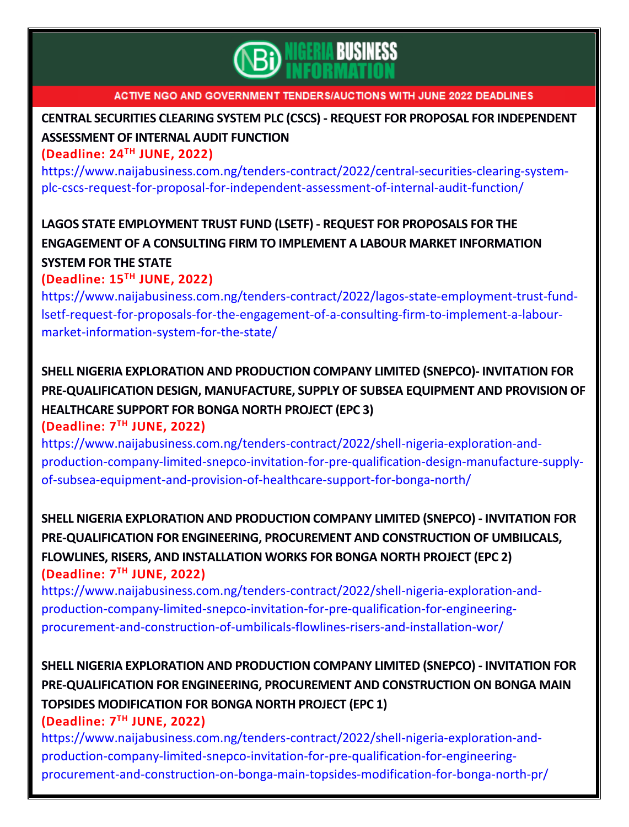

# **CENTRAL SECURITIES CLEARING SYSTEM PLC (CSCS) - REQUEST FOR PROPOSAL FOR [INDEPENDENT](https://www.naijabusiness.com.ng/tenders-contract/2022/central-securities-clearing-system-plc-cscs-request-for-proposal-for-independent-assessment-of-internal-audit-function/) [ASSESSMENT](https://www.naijabusiness.com.ng/tenders-contract/2022/central-securities-clearing-system-plc-cscs-request-for-proposal-for-independent-assessment-of-internal-audit-function/) OF INTERNAL AUDIT FUNCTION**

### **(Deadline: 24 TH JUNE, 2022)**

[https://www.naijabusiness.com.ng/tenders-contract/2022/central-securities-clearing-system](https://www.naijabusiness.com.ng/tenders-contract/2022/central-securities-clearing-system-plc-cscs-request-for-proposal-for-independent-assessment-of-internal-audit-function/)[plc-cscs-request-for-proposal-for-independent-assessment-of-internal-audit-function/](https://www.naijabusiness.com.ng/tenders-contract/2022/central-securities-clearing-system-plc-cscs-request-for-proposal-for-independent-assessment-of-internal-audit-function/)

# **LAGOS STATE [EMPLOYMENT](https://www.naijabusiness.com.ng/tenders-contract/2022/lagos-state-employment-trust-fund-lsetf-request-for-proposals-for-the-engagement-of-a-consulting-firm-to-implement-a-labour-market-information-system-for-the-state/) TRUST FUND (LSETF) - REQUEST FOR PROPOSALS FOR THE ENGAGEMENT OF A CONSULTING FIRM TO IMPLEMENT A LABOUR MARKET [INFORMATION](https://www.naijabusiness.com.ng/tenders-contract/2022/lagos-state-employment-trust-fund-lsetf-request-for-proposals-for-the-engagement-of-a-consulting-firm-to-implement-a-labour-market-information-system-for-the-state/)**

#### **[SYSTEM](https://www.naijabusiness.com.ng/tenders-contract/2022/lagos-state-employment-trust-fund-lsetf-request-for-proposals-for-the-engagement-of-a-consulting-firm-to-implement-a-labour-market-information-system-for-the-state/) FOR THE STATE (Deadline: 15TH JUNE, 2022)**

[https://www.naijabusiness.com.ng/tenders-contract/2022/lagos-state-employment-trust-fund](https://www.naijabusiness.com.ng/tenders-contract/2022/lagos-state-employment-trust-fund-lsetf-request-for-proposals-for-the-engagement-of-a-consulting-firm-to-implement-a-labour-market-information-system-for-the-state/)[lsetf-request-for-proposals-for-the-engagement-of-a-consulting-firm-to-implement-a-labour](https://www.naijabusiness.com.ng/tenders-contract/2022/lagos-state-employment-trust-fund-lsetf-request-for-proposals-for-the-engagement-of-a-consulting-firm-to-implement-a-labour-market-information-system-for-the-state/)[market-information-system-for-the-state/](https://www.naijabusiness.com.ng/tenders-contract/2022/lagos-state-employment-trust-fund-lsetf-request-for-proposals-for-the-engagement-of-a-consulting-firm-to-implement-a-labour-market-information-system-for-the-state/)

## **SHELL NIGERIA [EXPLORATION](https://www.naijabusiness.com.ng/tenders-contract/2022/shell-nigeria-exploration-and-production-company-limited-snepco-invitation-for-pre-qualification-design-manufacture-supply-of-subsea-equipment-and-provision-of-healthcare-support-for-bonga-north/) AND PRODUCTION COMPANY LIMITED (SNEPCO)- INVITATION FOR [PRE-QUALIFICATION](https://www.naijabusiness.com.ng/tenders-contract/2022/shell-nigeria-exploration-and-production-company-limited-snepco-invitation-for-pre-qualification-design-manufacture-supply-of-subsea-equipment-and-provision-of-healthcare-support-for-bonga-north/) DESIGN, MANUFACTURE, SUPPLY OF SUBSEA EQUIPMENT AND PROVISION OF [HEALTHCARE](https://www.naijabusiness.com.ng/tenders-contract/2022/shell-nigeria-exploration-and-production-company-limited-snepco-invitation-for-pre-qualification-design-manufacture-supply-of-subsea-equipment-and-provision-of-healthcare-support-for-bonga-north/) SUPPORT FOR BONGA NORTH PROJECT (EPC 3) (Deadline: 7 TH JUNE, 2022)**

[https://www.naijabusiness.com.ng/tenders-contract/2022/shell-nigeria-exploration-and](https://www.naijabusiness.com.ng/tenders-contract/2022/shell-nigeria-exploration-and-production-company-limited-snepco-invitation-for-pre-qualification-design-manufacture-supply-of-subsea-equipment-and-provision-of-healthcare-support-for-bonga-north/)[production-company-limited-snepco-invitation-for-pre-qualification-design-manufacture-supply](https://www.naijabusiness.com.ng/tenders-contract/2022/shell-nigeria-exploration-and-production-company-limited-snepco-invitation-for-pre-qualification-design-manufacture-supply-of-subsea-equipment-and-provision-of-healthcare-support-for-bonga-north/)[of-subsea-equipment-and-provision-of-healthcare-support-for-bonga-north/](https://www.naijabusiness.com.ng/tenders-contract/2022/shell-nigeria-exploration-and-production-company-limited-snepco-invitation-for-pre-qualification-design-manufacture-supply-of-subsea-equipment-and-provision-of-healthcare-support-for-bonga-north/)

**SHELL NIGERIA [EXPLORATION](https://www.naijabusiness.com.ng/tenders-contract/2022/shell-nigeria-exploration-and-production-company-limited-snepco-invitation-for-pre-qualification-for-engineering-procurement-and-construction-of-umbilicals-flowlines-risers-and-installation-wor/) AND PRODUCTION COMPANY LIMITED (SNEPCO) - INVITATION FOR [PRE-QUALIFICATION](https://www.naijabusiness.com.ng/tenders-contract/2022/shell-nigeria-exploration-and-production-company-limited-snepco-invitation-for-pre-qualification-for-engineering-procurement-and-construction-of-umbilicals-flowlines-risers-and-installation-wor/) FOR ENGINEERING, PROCUREMENT AND CONSTRUCTION OF UMBILICALS, FLOWLINES, RISERS, AND [INSTALLATION](https://www.naijabusiness.com.ng/tenders-contract/2022/shell-nigeria-exploration-and-production-company-limited-snepco-invitation-for-pre-qualification-for-engineering-procurement-and-construction-of-umbilicals-flowlines-risers-and-installation-wor/) WORKS FOR BONGA NORTH PROJECT (EPC 2) (Deadline: 7 TH JUNE, 2022)**

[https://www.naijabusiness.com.ng/tenders-contract/2022/shell-nigeria-exploration-and](https://www.naijabusiness.com.ng/tenders-contract/2022/shell-nigeria-exploration-and-production-company-limited-snepco-invitation-for-pre-qualification-for-engineering-procurement-and-construction-of-umbilicals-flowlines-risers-and-installation-wor/)[production-company-limited-snepco-invitation-for-pre-qualification-for-engineering](https://www.naijabusiness.com.ng/tenders-contract/2022/shell-nigeria-exploration-and-production-company-limited-snepco-invitation-for-pre-qualification-for-engineering-procurement-and-construction-of-umbilicals-flowlines-risers-and-installation-wor/)[procurement-and-construction-of-umbilicals-flowlines-risers-and-installation-wor/](https://www.naijabusiness.com.ng/tenders-contract/2022/shell-nigeria-exploration-and-production-company-limited-snepco-invitation-for-pre-qualification-for-engineering-procurement-and-construction-of-umbilicals-flowlines-risers-and-installation-wor/)

# **SHELL NIGERIA [EXPLORATION](https://www.naijabusiness.com.ng/tenders-contract/2022/shell-nigeria-exploration-and-production-company-limited-snepco-invitation-for-pre-qualification-for-engineering-procurement-and-construction-on-bonga-main-topsides-modification-for-bonga-north-pr/) AND PRODUCTION COMPANY LIMITED (SNEPCO) - INVITATION FOR [PRE-QUALIFICATION](https://www.naijabusiness.com.ng/tenders-contract/2022/shell-nigeria-exploration-and-production-company-limited-snepco-invitation-for-pre-qualification-for-engineering-procurement-and-construction-on-bonga-main-topsides-modification-for-bonga-north-pr/) FOR ENGINEERING, PROCUREMENT AND CONSTRUCTION ON BONGA MAIN TOPSIDES [MODIFICATION](https://www.naijabusiness.com.ng/tenders-contract/2022/shell-nigeria-exploration-and-production-company-limited-snepco-invitation-for-pre-qualification-for-engineering-procurement-and-construction-on-bonga-main-topsides-modification-for-bonga-north-pr/) FOR BONGA NORTH PROJECT (EPC 1)**

### **(Deadline: 7 TH JUNE, 2022)**

[https://www.naijabusiness.com.ng/tenders-contract/2022/shell-nigeria-exploration-and](https://www.naijabusiness.com.ng/tenders-contract/2022/shell-nigeria-exploration-and-production-company-limited-snepco-invitation-for-pre-qualification-for-engineering-procurement-and-construction-on-bonga-main-topsides-modification-for-bonga-north-pr/)[production-company-limited-snepco-invitation-for-pre-qualification-for-engineering](https://www.naijabusiness.com.ng/tenders-contract/2022/shell-nigeria-exploration-and-production-company-limited-snepco-invitation-for-pre-qualification-for-engineering-procurement-and-construction-on-bonga-main-topsides-modification-for-bonga-north-pr/)[procurement-and-construction-on-bonga-main-topsides-modification-for-bonga-north-pr/](https://www.naijabusiness.com.ng/tenders-contract/2022/shell-nigeria-exploration-and-production-company-limited-snepco-invitation-for-pre-qualification-for-engineering-procurement-and-construction-on-bonga-main-topsides-modification-for-bonga-north-pr/)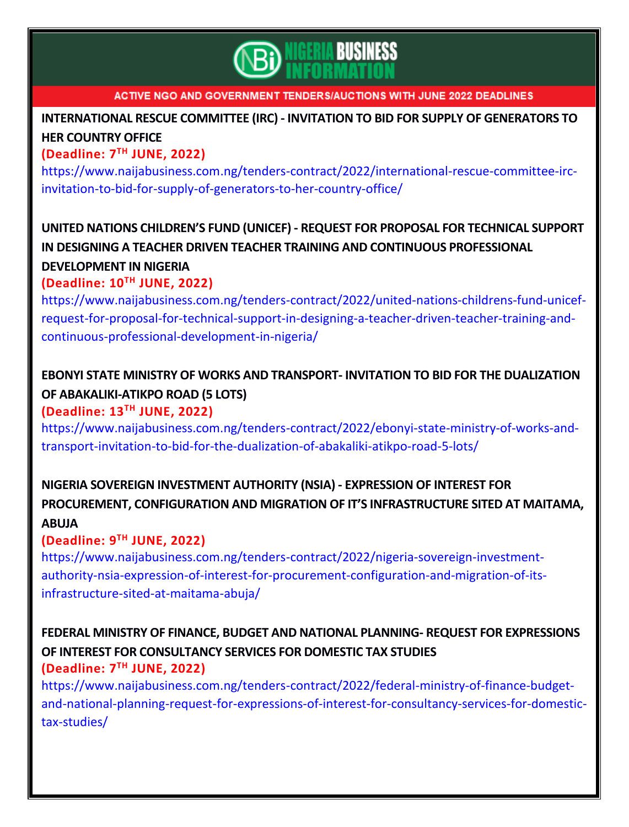

# **[INTERNATIONAL](https://www.naijabusiness.com.ng/tenders-contract/2022/international-rescue-committee-irc-invitation-to-bid-for-supply-of-generators-to-her-country-office/) RESCUE COMMITTEE (IRC) - INVITATION TO BID FOR SUPPLY OF GENERATORS TO HER [COUNTRY](https://www.naijabusiness.com.ng/tenders-contract/2022/international-rescue-committee-irc-invitation-to-bid-for-supply-of-generators-to-her-country-office/) OFFICE**

### **(Deadline: 7 TH JUNE, 2022)**

[https://www.naijabusiness.com.ng/tenders-contract/2022/international-rescue-committee-irc](https://www.naijabusiness.com.ng/tenders-contract/2022/international-rescue-committee-irc-invitation-to-bid-for-supply-of-generators-to-her-country-office/)[invitation-to-bid-for-supply-of-generators-to-her-country-office/](https://www.naijabusiness.com.ng/tenders-contract/2022/international-rescue-committee-irc-invitation-to-bid-for-supply-of-generators-to-her-country-office/)

## **UNITED NATIONS [CHILDREN'S](https://www.naijabusiness.com.ng/tenders-contract/2022/united-nations-childrens-fund-unicef-request-for-proposal-for-technical-support-in-designing-a-teacher-driven-teacher-training-and-continuous-professional-development-in-nigeria/) FUND (UNICEF) - REQUEST FOR PROPOSAL FOR TECHNICAL SUPPORT IN DESIGNING A TEACHER DRIVEN TEACHER TRAINING AND CONTINUOUS [PROFESSIONAL](https://www.naijabusiness.com.ng/tenders-contract/2022/united-nations-childrens-fund-unicef-request-for-proposal-for-technical-support-in-designing-a-teacher-driven-teacher-training-and-continuous-professional-development-in-nigeria/) [DEVELOPMENT](https://www.naijabusiness.com.ng/tenders-contract/2022/united-nations-childrens-fund-unicef-request-for-proposal-for-technical-support-in-designing-a-teacher-driven-teacher-training-and-continuous-professional-development-in-nigeria/) IN NIGERIA**

### **(Deadline: 10TH JUNE, 2022)**

[https://www.naijabusiness.com.ng/tenders-contract/2022/united-nations-childrens-fund-unicef](https://www.naijabusiness.com.ng/tenders-contract/2022/united-nations-childrens-fund-unicef-request-for-proposal-for-technical-support-in-designing-a-teacher-driven-teacher-training-and-continuous-professional-development-in-nigeria/)[request-for-proposal-for-technical-support-in-designing-a-teacher-driven-teacher-training-and](https://www.naijabusiness.com.ng/tenders-contract/2022/united-nations-childrens-fund-unicef-request-for-proposal-for-technical-support-in-designing-a-teacher-driven-teacher-training-and-continuous-professional-development-in-nigeria/)[continuous-professional-development-in-nigeria/](https://www.naijabusiness.com.ng/tenders-contract/2022/united-nations-childrens-fund-unicef-request-for-proposal-for-technical-support-in-designing-a-teacher-driven-teacher-training-and-continuous-professional-development-in-nigeria/)

# **EBONYI STATE MINISTRY OF WORKS AND TRANSPORT- INVITATION TO BID FOR THE [DUALIZATION](https://www.naijabusiness.com.ng/tenders-contract/2022/ebonyi-state-ministry-of-works-and-transport-invitation-to-bid-for-the-dualization-of-abakaliki-atikpo-road-5-lots/) OF [ABAKALIKI-ATIKPO](https://www.naijabusiness.com.ng/tenders-contract/2022/ebonyi-state-ministry-of-works-and-transport-invitation-to-bid-for-the-dualization-of-abakaliki-atikpo-road-5-lots/) ROAD (5 LOTS)**

### **(Deadline: 13TH JUNE, 2022)**

[https://www.naijabusiness.com.ng/tenders-contract/2022/ebonyi-state-ministry-of-works-and](https://www.naijabusiness.com.ng/tenders-contract/2022/ebonyi-state-ministry-of-works-and-transport-invitation-to-bid-for-the-dualization-of-abakaliki-atikpo-road-5-lots/)[transport-invitation-to-bid-for-the-dualization-of-abakaliki-atikpo-road-5-lots/](https://www.naijabusiness.com.ng/tenders-contract/2022/ebonyi-state-ministry-of-works-and-transport-invitation-to-bid-for-the-dualization-of-abakaliki-atikpo-road-5-lots/)

# **NIGERIA SOVEREIGN [INVESTMENT](https://www.naijabusiness.com.ng/tenders-contract/2022/nigeria-sovereign-investment-authority-nsia-expression-of-interest-for-procurement-configuration-and-migration-of-its-infrastructure-sited-at-maitama-abuja/) AUTHORITY (NSIA) - EXPRESSION OF INTEREST FOR PROCUREMENT, CONFIGURATION AND MIGRATION OF IT'S [INFRASTRUCTURE](https://www.naijabusiness.com.ng/tenders-contract/2022/nigeria-sovereign-investment-authority-nsia-expression-of-interest-for-procurement-configuration-and-migration-of-its-infrastructure-sited-at-maitama-abuja/) SITED AT MAITAMA, [ABUJA](https://www.naijabusiness.com.ng/tenders-contract/2022/nigeria-sovereign-investment-authority-nsia-expression-of-interest-for-procurement-configuration-and-migration-of-its-infrastructure-sited-at-maitama-abuja/)**

## **(Deadline: 9 TH JUNE, 2022)**

[https://www.naijabusiness.com.ng/tenders-contract/2022/nigeria-sovereign-investment](https://www.naijabusiness.com.ng/tenders-contract/2022/nigeria-sovereign-investment-authority-nsia-expression-of-interest-for-procurement-configuration-and-migration-of-its-infrastructure-sited-at-maitama-abuja/)[authority-nsia-expression-of-interest-for-procurement-configuration-and-migration-of-its](https://www.naijabusiness.com.ng/tenders-contract/2022/nigeria-sovereign-investment-authority-nsia-expression-of-interest-for-procurement-configuration-and-migration-of-its-infrastructure-sited-at-maitama-abuja/)[infrastructure-sited-at-maitama-abuja/](https://www.naijabusiness.com.ng/tenders-contract/2022/nigeria-sovereign-investment-authority-nsia-expression-of-interest-for-procurement-configuration-and-migration-of-its-infrastructure-sited-at-maitama-abuja/)

## **FEDERAL MINISTRY OF FINANCE, BUDGET AND NATIONAL PLANNING- REQUEST FOR [EXPRESSIONS](https://www.naijabusiness.com.ng/tenders-contract/2022/federal-ministry-of-finance-budget-and-national-planning-request-for-expressions-of-interest-for-consultancy-services-for-domestic-tax-studies/) OF INTEREST FOR [CONSULTANCY](https://www.naijabusiness.com.ng/tenders-contract/2022/federal-ministry-of-finance-budget-and-national-planning-request-for-expressions-of-interest-for-consultancy-services-for-domestic-tax-studies/) SERVICES FOR DOMESTIC TAX STUDIES (Deadline: 7 TH JUNE, 2022)**

[https://www.naijabusiness.com.ng/tenders-contract/2022/federal-ministry-of-finance-budget](https://www.naijabusiness.com.ng/tenders-contract/2022/federal-ministry-of-finance-budget-and-national-planning-request-for-expressions-of-interest-for-consultancy-services-for-domestic-tax-studies/)[and-national-planning-request-for-expressions-of-interest-for-consultancy-services-for-domestic](https://www.naijabusiness.com.ng/tenders-contract/2022/federal-ministry-of-finance-budget-and-national-planning-request-for-expressions-of-interest-for-consultancy-services-for-domestic-tax-studies/)[tax-studies/](https://www.naijabusiness.com.ng/tenders-contract/2022/federal-ministry-of-finance-budget-and-national-planning-request-for-expressions-of-interest-for-consultancy-services-for-domestic-tax-studies/)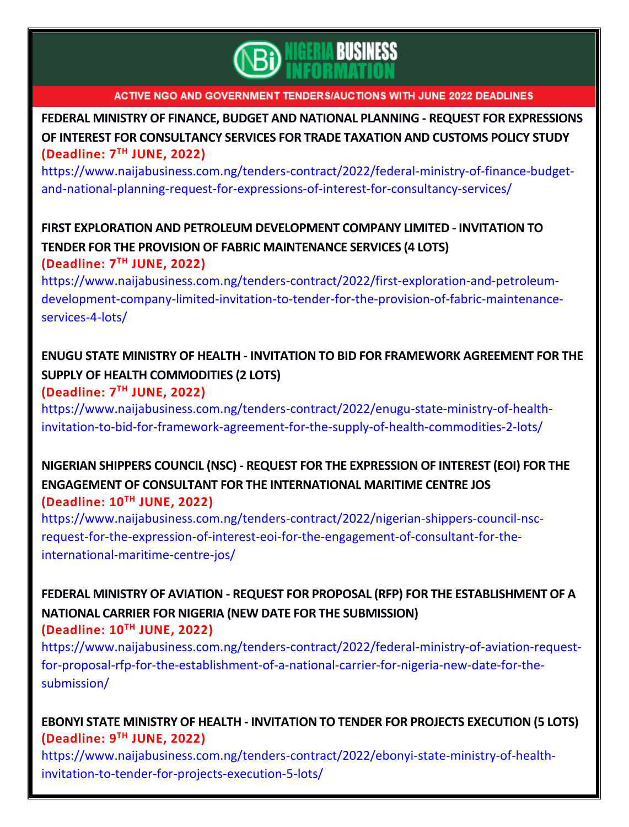

**FEDERAL MINISTRY OF FINANCE, BUDGET AND NATIONAL PLANNING - REQUEST FOR [EXPRESSIONS](https://www.naijabusiness.com.ng/tenders-contract/2022/federal-ministry-of-finance-budget-and-national-planning-request-for-expressions-of-interest-for-consultancy-services/) OF INTEREST FOR [CONSULTANCY](https://www.naijabusiness.com.ng/tenders-contract/2022/federal-ministry-of-finance-budget-and-national-planning-request-for-expressions-of-interest-for-consultancy-services/) SERVICES FOR TRADE TAXATION AND CUSTOMS POLICY STUDY (Deadline: 7 TH JUNE, 2022)**

[https://www.naijabusiness.com.ng/tenders-contract/2022/federal-ministry-of-finance-budget](https://www.naijabusiness.com.ng/tenders-contract/2022/federal-ministry-of-finance-budget-and-national-planning-request-for-expressions-of-interest-for-consultancy-services/)[and-national-planning-request-for-expressions-of-interest-for-consultancy-services/](https://www.naijabusiness.com.ng/tenders-contract/2022/federal-ministry-of-finance-budget-and-national-planning-request-for-expressions-of-interest-for-consultancy-services/)

## **FIRST EXPLORATION AND PETROLEUM [DEVELOPMENT](https://www.naijabusiness.com.ng/tenders-contract/2022/first-exploration-and-petroleum-development-company-limited-invitation-to-tender-for-the-provision-of-fabric-maintenance-services-4-lots/) COMPANY LIMITED - INVITATION TO TENDER FOR THE PROVISION OF FABRIC [MAINTENANCE](https://www.naijabusiness.com.ng/tenders-contract/2022/first-exploration-and-petroleum-development-company-limited-invitation-to-tender-for-the-provision-of-fabric-maintenance-services-4-lots/) SERVICES (4 LOTS) (Deadline: 7 TH JUNE, 2022)**

[https://www.naijabusiness.com.ng/tenders-contract/2022/first-exploration-and-petroleum](https://www.naijabusiness.com.ng/tenders-contract/2022/first-exploration-and-petroleum-development-company-limited-invitation-to-tender-for-the-provision-of-fabric-maintenance-services-4-lots/)[development-company-limited-invitation-to-tender-for-the-provision-of-fabric-maintenance](https://www.naijabusiness.com.ng/tenders-contract/2022/first-exploration-and-petroleum-development-company-limited-invitation-to-tender-for-the-provision-of-fabric-maintenance-services-4-lots/)[services-4-lots/](https://www.naijabusiness.com.ng/tenders-contract/2022/first-exploration-and-petroleum-development-company-limited-invitation-to-tender-for-the-provision-of-fabric-maintenance-services-4-lots/)

## **ENUGU STATE MINISTRY OF HEALTH - INVITATION TO BID FOR [FRAMEWORK](https://www.naijabusiness.com.ng/tenders-contract/2022/enugu-state-ministry-of-health-invitation-to-bid-for-framework-agreement-for-the-supply-of-health-commodities-2-lots/) AGREEMENT FOR THE SUPPLY OF HEALTH [COMMODITIES](https://www.naijabusiness.com.ng/tenders-contract/2022/enugu-state-ministry-of-health-invitation-to-bid-for-framework-agreement-for-the-supply-of-health-commodities-2-lots/) (2 LOTS) (Deadline: 7 TH JUNE, 2022)**

[https://www.naijabusiness.com.ng/tenders-contract/2022/enugu-state-ministry-of-health](https://www.naijabusiness.com.ng/tenders-contract/2022/enugu-state-ministry-of-health-invitation-to-bid-for-framework-agreement-for-the-supply-of-health-commodities-2-lots/)[invitation-to-bid-for-framework-agreement-for-the-supply-of-health-commodities-2-lots/](https://www.naijabusiness.com.ng/tenders-contract/2022/enugu-state-ministry-of-health-invitation-to-bid-for-framework-agreement-for-the-supply-of-health-commodities-2-lots/)

## **NIGERIAN SHIPPERS COUNCIL (NSC) - REQUEST FOR THE [EXPRESSION](https://www.naijabusiness.com.ng/tenders-contract/2022/nigerian-shippers-council-nsc-request-for-the-expression-of-interest-eoi-for-the-engagement-of-consultant-for-the-international-maritime-centre-jos/) OF INTEREST (EOI) FOR THE ENGAGEMENT OF CONSULTANT FOR THE [INTERNATIONAL](https://www.naijabusiness.com.ng/tenders-contract/2022/nigerian-shippers-council-nsc-request-for-the-expression-of-interest-eoi-for-the-engagement-of-consultant-for-the-international-maritime-centre-jos/) MARITIME CENTRE JOS (Deadline: 10 TH JUNE, 2022)**

[https://www.naijabusiness.com.ng/tenders-contract/2022/nigerian-shippers-council-nsc](https://www.naijabusiness.com.ng/tenders-contract/2022/nigerian-shippers-council-nsc-request-for-the-expression-of-interest-eoi-for-the-engagement-of-consultant-for-the-international-maritime-centre-jos/)[request-for-the-expression-of-interest-eoi-for-the-engagement-of-consultant-for-the](https://www.naijabusiness.com.ng/tenders-contract/2022/nigerian-shippers-council-nsc-request-for-the-expression-of-interest-eoi-for-the-engagement-of-consultant-for-the-international-maritime-centre-jos/)[international-maritime-centre-jos/](https://www.naijabusiness.com.ng/tenders-contract/2022/nigerian-shippers-council-nsc-request-for-the-expression-of-interest-eoi-for-the-engagement-of-consultant-for-the-international-maritime-centre-jos/)

## **FEDERAL MINISTRY OF AVIATION - REQUEST FOR PROPOSAL (RFP) FOR THE [ESTABLISHMENT](https://www.naijabusiness.com.ng/tenders-contract/2022/federal-ministry-of-aviation-request-for-proposal-rfp-for-the-establishment-of-a-national-carrier-for-nigeria-new-date-for-the-submission/) OF A NATIONAL CARRIER FOR NIGERIA (NEW DATE FOR THE [SUBMISSION\)](https://www.naijabusiness.com.ng/tenders-contract/2022/federal-ministry-of-aviation-request-for-proposal-rfp-for-the-establishment-of-a-national-carrier-for-nigeria-new-date-for-the-submission/) (Deadline: 10 TH JUNE, 2022)**

[https://www.naijabusiness.com.ng/tenders-contract/2022/federal-ministry-of-aviation-request](https://www.naijabusiness.com.ng/tenders-contract/2022/federal-ministry-of-aviation-request-for-proposal-rfp-for-the-establishment-of-a-national-carrier-for-nigeria-new-date-for-the-submission/)[for-proposal-rfp-for-the-establishment-of-a-national-carrier-for-nigeria-new-date-for-the](https://www.naijabusiness.com.ng/tenders-contract/2022/federal-ministry-of-aviation-request-for-proposal-rfp-for-the-establishment-of-a-national-carrier-for-nigeria-new-date-for-the-submission/)[submission/](https://www.naijabusiness.com.ng/tenders-contract/2022/federal-ministry-of-aviation-request-for-proposal-rfp-for-the-establishment-of-a-national-carrier-for-nigeria-new-date-for-the-submission/)

## **EBONYI STATE MINISTRY OF HEALTH - [INVITATION](https://www.naijabusiness.com.ng/tenders-contract/2022/ebonyi-state-ministry-of-health-invitation-to-tender-for-projects-execution-5-lots/) TO TENDER FOR PROJECTS EXECUTION (5 LOTS) (Deadline: 9 TH JUNE, 2022)**

[https://www.naijabusiness.com.ng/tenders-contract/2022/ebonyi-state-ministry-of-health](https://www.naijabusiness.com.ng/tenders-contract/2022/ebonyi-state-ministry-of-health-invitation-to-tender-for-projects-execution-5-lots/)[invitation-to-tender-for-projects-execution-5-lots/](https://www.naijabusiness.com.ng/tenders-contract/2022/ebonyi-state-ministry-of-health-invitation-to-tender-for-projects-execution-5-lots/)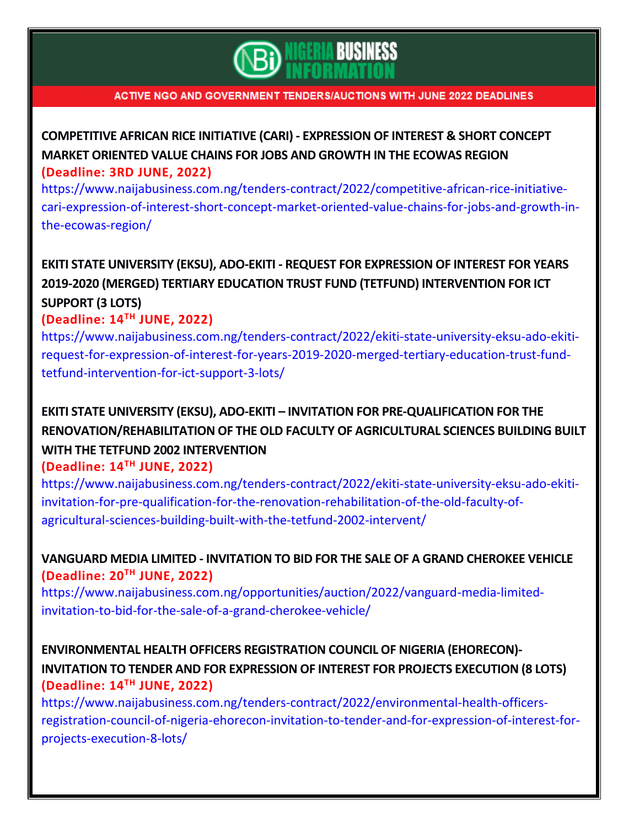

**[COMPETITIVE](https://www.naijabusiness.com.ng/tenders-contract/2022/competitive-african-rice-initiative-cari-expression-of-interest-short-concept-market-oriented-value-chains-for-jobs-and-growth-in-the-ecowas-region/) AFRICAN RICE INITIATIVE (CARI) - EXPRESSION OF INTEREST & SHORT CONCEPT MARKET [ORIENTED](https://www.naijabusiness.com.ng/tenders-contract/2022/competitive-african-rice-initiative-cari-expression-of-interest-short-concept-market-oriented-value-chains-for-jobs-and-growth-in-the-ecowas-region/) VALUE CHAINS FOR JOBS AND GROWTH IN THE ECOWAS REGION (Deadline: 3RD JUNE, 2022)**

[https://www.naijabusiness.com.ng/tenders-contract/2022/competitive-african-rice-initiative](https://www.naijabusiness.com.ng/tenders-contract/2022/competitive-african-rice-initiative-cari-expression-of-interest-short-concept-market-oriented-value-chains-for-jobs-and-growth-in-the-ecowas-region/)[cari-expression-of-interest-short-concept-market-oriented-value-chains-for-jobs-and-growth-in](https://www.naijabusiness.com.ng/tenders-contract/2022/competitive-african-rice-initiative-cari-expression-of-interest-short-concept-market-oriented-value-chains-for-jobs-and-growth-in-the-ecowas-region/)[the-ecowas-region/](https://www.naijabusiness.com.ng/tenders-contract/2022/competitive-african-rice-initiative-cari-expression-of-interest-short-concept-market-oriented-value-chains-for-jobs-and-growth-in-the-ecowas-region/)

**EKITI STATE UNIVERSITY (EKSU), ADO-EKITI - REQUEST FOR [EXPRESSION](https://www.naijabusiness.com.ng/tenders-contract/2022/ekiti-state-university-eksu-ado-ekiti-request-for-expression-of-interest-for-years-2019-2020-merged-tertiary-education-trust-fund-tetfund-intervention-for-ict-support-3-lots/) OF INTEREST FOR YEARS 2019-2020 (MERGED) TERTIARY EDUCATION TRUST FUND (TETFUND) [INTERVENTION](https://www.naijabusiness.com.ng/tenders-contract/2022/ekiti-state-university-eksu-ado-ekiti-request-for-expression-of-interest-for-years-2019-2020-merged-tertiary-education-trust-fund-tetfund-intervention-for-ict-support-3-lots/) FOR ICT [SUPPORT](https://www.naijabusiness.com.ng/tenders-contract/2022/ekiti-state-university-eksu-ado-ekiti-request-for-expression-of-interest-for-years-2019-2020-merged-tertiary-education-trust-fund-tetfund-intervention-for-ict-support-3-lots/) (3 LOTS)**

### **(Deadline: 14 TH JUNE, 2022)**

[https://www.naijabusiness.com.ng/tenders-contract/2022/ekiti-state-university-eksu-ado-ekiti](https://www.naijabusiness.com.ng/tenders-contract/2022/ekiti-state-university-eksu-ado-ekiti-request-for-expression-of-interest-for-years-2019-2020-merged-tertiary-education-trust-fund-tetfund-intervention-for-ict-support-3-lots/)[request-for-expression-of-interest-for-years-2019-2020-merged-tertiary-education-trust-fund](https://www.naijabusiness.com.ng/tenders-contract/2022/ekiti-state-university-eksu-ado-ekiti-request-for-expression-of-interest-for-years-2019-2020-merged-tertiary-education-trust-fund-tetfund-intervention-for-ict-support-3-lots/)[tetfund-intervention-for-ict-support-3-lots/](https://www.naijabusiness.com.ng/tenders-contract/2022/ekiti-state-university-eksu-ado-ekiti-request-for-expression-of-interest-for-years-2019-2020-merged-tertiary-education-trust-fund-tetfund-intervention-for-ict-support-3-lots/)

# **EKITI STATE UNIVERSITY (EKSU), ADO-EKITI – INVITATION FOR [PRE-QUALIFICATION](https://www.naijabusiness.com.ng/tenders-contract/2022/ekiti-state-university-eksu-ado-ekiti-invitation-for-pre-qualification-for-the-renovation-rehabilitation-of-the-old-faculty-of-agricultural-sciences-building-built-with-the-tetfund-2002-intervent/) FOR THE [RENOVATION/REHABILITATION](https://www.naijabusiness.com.ng/tenders-contract/2022/ekiti-state-university-eksu-ado-ekiti-invitation-for-pre-qualification-for-the-renovation-rehabilitation-of-the-old-faculty-of-agricultural-sciences-building-built-with-the-tetfund-2002-intervent/) OF THE OLD FACULTY OF AGRICULTURAL SCIENCES BUILDING BUILT WITH THE TETFUND 2002 [INTERVENTION](https://www.naijabusiness.com.ng/tenders-contract/2022/ekiti-state-university-eksu-ado-ekiti-invitation-for-pre-qualification-for-the-renovation-rehabilitation-of-the-old-faculty-of-agricultural-sciences-building-built-with-the-tetfund-2002-intervent/)**

### **(Deadline: 14 TH JUNE, 2022)**

[https://www.naijabusiness.com.ng/tenders-contract/2022/ekiti-state-university-eksu-ado-ekiti](https://www.naijabusiness.com.ng/tenders-contract/2022/ekiti-state-university-eksu-ado-ekiti-invitation-for-pre-qualification-for-the-renovation-rehabilitation-of-the-old-faculty-of-agricultural-sciences-building-built-with-the-tetfund-2002-intervent/)[invitation-for-pre-qualification-for-the-renovation-rehabilitation-of-the-old-faculty-of](https://www.naijabusiness.com.ng/tenders-contract/2022/ekiti-state-university-eksu-ado-ekiti-invitation-for-pre-qualification-for-the-renovation-rehabilitation-of-the-old-faculty-of-agricultural-sciences-building-built-with-the-tetfund-2002-intervent/)[agricultural-sciences-building-built-with-the-tetfund-2002-intervent/](https://www.naijabusiness.com.ng/tenders-contract/2022/ekiti-state-university-eksu-ado-ekiti-invitation-for-pre-qualification-for-the-renovation-rehabilitation-of-the-old-faculty-of-agricultural-sciences-building-built-with-the-tetfund-2002-intervent/)

### **[VANGUARD](https://www.naijabusiness.com.ng/opportunities/auction/2022/vanguard-media-limited-invitation-to-bid-for-the-sale-of-a-grand-cherokee-vehicle/) MEDIA LIMITED - INVITATION TO BID FOR THE SALE OF A GRAND CHEROKEE VEHICLE (Deadline: 20 TH JUNE, 2022)**

[https://www.naijabusiness.com.ng/opportunities/auction/2022/vanguard-media-limited](https://www.naijabusiness.com.ng/opportunities/auction/2022/vanguard-media-limited-invitation-to-bid-for-the-sale-of-a-grand-cherokee-vehicle/)[invitation-to-bid-for-the-sale-of-a-grand-cherokee-vehicle/](https://www.naijabusiness.com.ng/opportunities/auction/2022/vanguard-media-limited-invitation-to-bid-for-the-sale-of-a-grand-cherokee-vehicle/)

## **[ENVIRONMENTAL](https://www.naijabusiness.com.ng/tenders-contract/2022/environmental-health-officers-registration-council-of-nigeria-ehorecon-invitation-to-tender-and-for-expression-of-interest-for-projects-execution-8-lots/) HEALTH OFFICERS REGISTRATION COUNCIL OF NIGERIA (EHORECON)- INVITATION TO TENDER AND FOR [EXPRESSION](https://www.naijabusiness.com.ng/tenders-contract/2022/environmental-health-officers-registration-council-of-nigeria-ehorecon-invitation-to-tender-and-for-expression-of-interest-for-projects-execution-8-lots/) OF INTEREST FOR PROJECTS EXECUTION (8 LOTS) (Deadline: 14 TH JUNE, 2022)**

[https://www.naijabusiness.com.ng/tenders-contract/2022/environmental-health-officers](https://www.naijabusiness.com.ng/tenders-contract/2022/environmental-health-officers-registration-council-of-nigeria-ehorecon-invitation-to-tender-and-for-expression-of-interest-for-projects-execution-8-lots/)[registration-council-of-nigeria-ehorecon-invitation-to-tender-and-for-expression-of-interest-for](https://www.naijabusiness.com.ng/tenders-contract/2022/environmental-health-officers-registration-council-of-nigeria-ehorecon-invitation-to-tender-and-for-expression-of-interest-for-projects-execution-8-lots/)[projects-execution-8-lots/](https://www.naijabusiness.com.ng/tenders-contract/2022/environmental-health-officers-registration-council-of-nigeria-ehorecon-invitation-to-tender-and-for-expression-of-interest-for-projects-execution-8-lots/)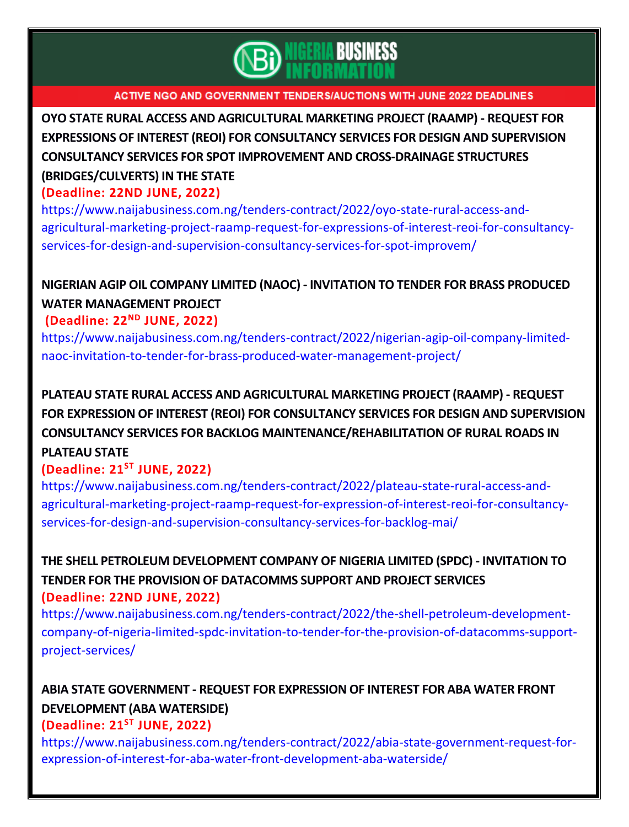

**OYO STATE RURAL ACCESS AND [AGRICULTURAL](https://www.naijabusiness.com.ng/tenders-contract/2022/oyo-state-rural-access-and-agricultural-marketing-project-raamp-request-for-expressions-of-interest-reoi-for-consultancy-services-for-design-and-supervision-consultancy-services-for-spot-improvem/) MARKETING PROJECT (RAAMP) - REQUEST FOR EXPRESSIONS OF INTEREST (REOI) FOR [CONSULTANCY](https://www.naijabusiness.com.ng/tenders-contract/2022/oyo-state-rural-access-and-agricultural-marketing-project-raamp-request-for-expressions-of-interest-reoi-for-consultancy-services-for-design-and-supervision-consultancy-services-for-spot-improvem/) SERVICES FOR DESIGN AND SUPERVISION CONSULTANCY SERVICES FOR SPOT IMPROVEMENT AND [CROSS-DRAINAGE](https://www.naijabusiness.com.ng/tenders-contract/2022/oyo-state-rural-access-and-agricultural-marketing-project-raamp-request-for-expressions-of-interest-reoi-for-consultancy-services-for-design-and-supervision-consultancy-services-for-spot-improvem/) STRUCTURES [\(BRIDGES/CULVERTS\)](https://www.naijabusiness.com.ng/tenders-contract/2022/oyo-state-rural-access-and-agricultural-marketing-project-raamp-request-for-expressions-of-interest-reoi-for-consultancy-services-for-design-and-supervision-consultancy-services-for-spot-improvem/) IN THE STATE**

### **(Deadline: 22ND JUNE, 2022)**

[https://www.naijabusiness.com.ng/tenders-contract/2022/oyo-state-rural-access-and](https://www.naijabusiness.com.ng/tenders-contract/2022/oyo-state-rural-access-and-agricultural-marketing-project-raamp-request-for-expressions-of-interest-reoi-for-consultancy-services-for-design-and-supervision-consultancy-services-for-spot-improvem/)[agricultural-marketing-project-raamp-request-for-expressions-of-interest-reoi-for-consultancy](https://www.naijabusiness.com.ng/tenders-contract/2022/oyo-state-rural-access-and-agricultural-marketing-project-raamp-request-for-expressions-of-interest-reoi-for-consultancy-services-for-design-and-supervision-consultancy-services-for-spot-improvem/)[services-for-design-and-supervision-consultancy-services-for-spot-improvem/](https://www.naijabusiness.com.ng/tenders-contract/2022/oyo-state-rural-access-and-agricultural-marketing-project-raamp-request-for-expressions-of-interest-reoi-for-consultancy-services-for-design-and-supervision-consultancy-services-for-spot-improvem/)

## **NIGERIAN AGIP OIL COMPANY LIMITED (NAOC) - [INVITATION](https://www.naijabusiness.com.ng/tenders-contract/2022/nigerian-agip-oil-company-limited-naoc-invitation-to-tender-for-brass-produced-water-management-project/) TO TENDER FOR BRASS PRODUCED WATER [MANAGEMENT](https://www.naijabusiness.com.ng/tenders-contract/2022/nigerian-agip-oil-company-limited-naoc-invitation-to-tender-for-brass-produced-water-management-project/) PROJECT**

### **(Deadline: 22ND JUNE, 2022)**

[https://www.naijabusiness.com.ng/tenders-contract/2022/nigerian-agip-oil-company-limited](https://www.naijabusiness.com.ng/tenders-contract/2022/nigerian-agip-oil-company-limited-naoc-invitation-to-tender-for-brass-produced-water-management-project/)[naoc-invitation-to-tender-for-brass-produced-water-management-project/](https://www.naijabusiness.com.ng/tenders-contract/2022/nigerian-agip-oil-company-limited-naoc-invitation-to-tender-for-brass-produced-water-management-project/)

**PLATEAU STATE RURAL ACCESS AND [AGRICULTURAL](https://www.naijabusiness.com.ng/tenders-contract/2022/plateau-state-rural-access-and-agricultural-marketing-project-raamp-request-for-expression-of-interest-reoi-for-consultancy-services-for-design-and-supervision-consultancy-services-for-backlog-mai/) MARKETING PROJECT (RAAMP) - REQUEST FOR EXPRESSION OF INTEREST (REOI) FOR [CONSULTANCY](https://www.naijabusiness.com.ng/tenders-contract/2022/plateau-state-rural-access-and-agricultural-marketing-project-raamp-request-for-expression-of-interest-reoi-for-consultancy-services-for-design-and-supervision-consultancy-services-for-backlog-mai/) SERVICES FOR DESIGN AND SUPERVISION CONSULTANCY SERVICES FOR BACKLOG [MAINTENANCE/REHABILITATION](https://www.naijabusiness.com.ng/tenders-contract/2022/plateau-state-rural-access-and-agricultural-marketing-project-raamp-request-for-expression-of-interest-reoi-for-consultancy-services-for-design-and-supervision-consultancy-services-for-backlog-mai/) OF RURAL ROADS IN [PLATEAU](https://www.naijabusiness.com.ng/tenders-contract/2022/plateau-state-rural-access-and-agricultural-marketing-project-raamp-request-for-expression-of-interest-reoi-for-consultancy-services-for-design-and-supervision-consultancy-services-for-backlog-mai/) STATE**

### **(Deadline: 21 ST JUNE, 2022)**

[https://www.naijabusiness.com.ng/tenders-contract/2022/plateau-state-rural-access-and](https://www.naijabusiness.com.ng/tenders-contract/2022/plateau-state-rural-access-and-agricultural-marketing-project-raamp-request-for-expression-of-interest-reoi-for-consultancy-services-for-design-and-supervision-consultancy-services-for-backlog-mai/)[agricultural-marketing-project-raamp-request-for-expression-of-interest-reoi-for-consultancy](https://www.naijabusiness.com.ng/tenders-contract/2022/plateau-state-rural-access-and-agricultural-marketing-project-raamp-request-for-expression-of-interest-reoi-for-consultancy-services-for-design-and-supervision-consultancy-services-for-backlog-mai/)[services-for-design-and-supervision-consultancy-services-for-backlog-mai/](https://www.naijabusiness.com.ng/tenders-contract/2022/plateau-state-rural-access-and-agricultural-marketing-project-raamp-request-for-expression-of-interest-reoi-for-consultancy-services-for-design-and-supervision-consultancy-services-for-backlog-mai/)

**THE SHELL PETROLEUM [DEVELOPMENT](https://www.naijabusiness.com.ng/tenders-contract/2022/the-shell-petroleum-development-company-of-nigeria-limited-spdc-invitation-to-tender-for-the-provision-of-datacomms-support-project-services/) COMPANY OF NIGERIA LIMITED (SPDC) - INVITATION TO TENDER FOR THE PROVISION OF [DATACOMMS](https://www.naijabusiness.com.ng/tenders-contract/2022/the-shell-petroleum-development-company-of-nigeria-limited-spdc-invitation-to-tender-for-the-provision-of-datacomms-support-project-services/) SUPPORT AND PROJECT SERVICES (Deadline: 22ND JUNE, 2022)**

[https://www.naijabusiness.com.ng/tenders-contract/2022/the-shell-petroleum-development](https://www.naijabusiness.com.ng/tenders-contract/2022/the-shell-petroleum-development-company-of-nigeria-limited-spdc-invitation-to-tender-for-the-provision-of-datacomms-support-project-services/)[company-of-nigeria-limited-spdc-invitation-to-tender-for-the-provision-of-datacomms-support](https://www.naijabusiness.com.ng/tenders-contract/2022/the-shell-petroleum-development-company-of-nigeria-limited-spdc-invitation-to-tender-for-the-provision-of-datacomms-support-project-services/)[project-services/](https://www.naijabusiness.com.ng/tenders-contract/2022/the-shell-petroleum-development-company-of-nigeria-limited-spdc-invitation-to-tender-for-the-provision-of-datacomms-support-project-services/)

# **ABIA STATE [GOVERNMENT](https://www.naijabusiness.com.ng/tenders-contract/2022/abia-state-government-request-for-expression-of-interest-for-aba-water-front-development-aba-waterside/) - REQUEST FOR EXPRESSION OF INTEREST FOR ABA WATER FRONT [DEVELOPMENT](https://www.naijabusiness.com.ng/tenders-contract/2022/abia-state-government-request-for-expression-of-interest-for-aba-water-front-development-aba-waterside/) (ABA WATERSIDE)**

### **(Deadline: 21ST JUNE, 2022)**

[https://www.naijabusiness.com.ng/tenders-contract/2022/abia-state-government-request-for](https://www.naijabusiness.com.ng/tenders-contract/2022/abia-state-government-request-for-expression-of-interest-for-aba-water-front-development-aba-waterside/)[expression-of-interest-for-aba-water-front-development-aba-waterside/](https://www.naijabusiness.com.ng/tenders-contract/2022/abia-state-government-request-for-expression-of-interest-for-aba-water-front-development-aba-waterside/)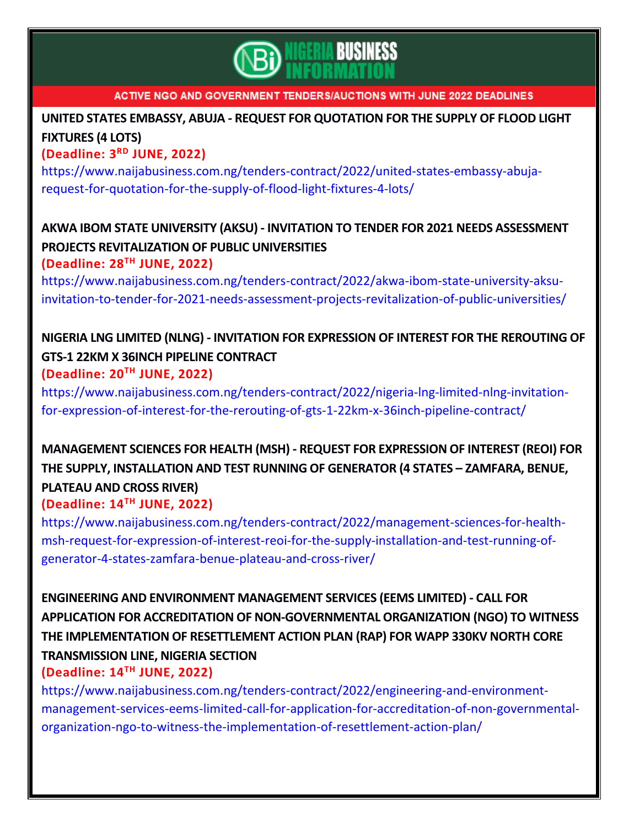

# **UNITED STATES EMBASSY, ABUJA - REQUEST FOR [QUOTATION](https://www.naijabusiness.com.ng/tenders-contract/2022/united-states-embassy-abuja-request-for-quotation-for-the-supply-of-flood-light-fixtures-4-lots/) FOR THE SUPPLY OF FLOOD LIGHT [FIXTURES](https://www.naijabusiness.com.ng/tenders-contract/2022/united-states-embassy-abuja-request-for-quotation-for-the-supply-of-flood-light-fixtures-4-lots/) (4 LOTS)**

### **(Deadline: 3 RD JUNE, 2022)**

[https://www.naijabusiness.com.ng/tenders-contract/2022/united-states-embassy-abuja](https://www.naijabusiness.com.ng/tenders-contract/2022/united-states-embassy-abuja-request-for-quotation-for-the-supply-of-flood-light-fixtures-4-lots/)[request-for-quotation-for-the-supply-of-flood-light-fixtures-4-lots/](https://www.naijabusiness.com.ng/tenders-contract/2022/united-states-embassy-abuja-request-for-quotation-for-the-supply-of-flood-light-fixtures-4-lots/)

# **AKWA IBOM STATE UNIVERSITY (AKSU) - INVITATION TO TENDER FOR 2021 NEEDS [ASSESSMENT](https://www.naijabusiness.com.ng/tenders-contract/2022/akwa-ibom-state-university-aksu-invitation-to-tender-for-2021-needs-assessment-projects-revitalization-of-public-universities/) PROJECTS [REVITALIZATION](https://www.naijabusiness.com.ng/tenders-contract/2022/akwa-ibom-state-university-aksu-invitation-to-tender-for-2021-needs-assessment-projects-revitalization-of-public-universities/) OF PUBLIC UNIVERSITIES**

## **(Deadline: 28 TH JUNE, 2022)**

[https://www.naijabusiness.com.ng/tenders-contract/2022/akwa-ibom-state-university-aksu](https://www.naijabusiness.com.ng/tenders-contract/2022/akwa-ibom-state-university-aksu-invitation-to-tender-for-2021-needs-assessment-projects-revitalization-of-public-universities/)[invitation-to-tender-for-2021-needs-assessment-projects-revitalization-of-public-universities/](https://www.naijabusiness.com.ng/tenders-contract/2022/akwa-ibom-state-university-aksu-invitation-to-tender-for-2021-needs-assessment-projects-revitalization-of-public-universities/)

## **NIGERIA LNG LIMITED (NLNG) - INVITATION FOR [EXPRESSION](https://www.naijabusiness.com.ng/tenders-contract/2022/nigeria-lng-limited-nlng-invitation-for-expression-of-interest-for-the-rerouting-of-gts-1-22km-x-36inch-pipeline-contract/) OF INTEREST FOR THE REROUTING OF GTS-1 22KM X 36INCH PIPELINE [CONTRACT](https://www.naijabusiness.com.ng/tenders-contract/2022/nigeria-lng-limited-nlng-invitation-for-expression-of-interest-for-the-rerouting-of-gts-1-22km-x-36inch-pipeline-contract/) (Deadline: 20TH JUNE, 2022)**

[https://www.naijabusiness.com.ng/tenders-contract/2022/nigeria-lng-limited-nlng-invitation](https://www.naijabusiness.com.ng/tenders-contract/2022/nigeria-lng-limited-nlng-invitation-for-expression-of-interest-for-the-rerouting-of-gts-1-22km-x-36inch-pipeline-contract/)[for-expression-of-interest-for-the-rerouting-of-gts-1-22km-x-36inch-pipeline-contract/](https://www.naijabusiness.com.ng/tenders-contract/2022/nigeria-lng-limited-nlng-invitation-for-expression-of-interest-for-the-rerouting-of-gts-1-22km-x-36inch-pipeline-contract/)

# **[MANAGEMENT](https://www.naijabusiness.com.ng/tenders-contract/2022/management-sciences-for-health-msh-request-for-expression-of-interest-reoi-for-the-supply-installation-and-test-running-of-generator-4-states-zamfara-benue-plateau-and-cross-river/) SCIENCES FOR HEALTH (MSH) - REQUEST FOR EXPRESSION OF INTEREST (REOI) FOR THE SUPPLY, [INSTALLATION](https://www.naijabusiness.com.ng/tenders-contract/2022/management-sciences-for-health-msh-request-for-expression-of-interest-reoi-for-the-supply-installation-and-test-running-of-generator-4-states-zamfara-benue-plateau-and-cross-river/) AND TEST RUNNING OF GENERATOR (4 STATES – ZAMFARA, BENUE, [PLATEAU](https://www.naijabusiness.com.ng/tenders-contract/2022/management-sciences-for-health-msh-request-for-expression-of-interest-reoi-for-the-supply-installation-and-test-running-of-generator-4-states-zamfara-benue-plateau-and-cross-river/) AND CROSS RIVER)**

## **(Deadline: 14 TH JUNE, 2022)**

[https://www.naijabusiness.com.ng/tenders-contract/2022/management-sciences-for-health](https://www.naijabusiness.com.ng/tenders-contract/2022/management-sciences-for-health-msh-request-for-expression-of-interest-reoi-for-the-supply-installation-and-test-running-of-generator-4-states-zamfara-benue-plateau-and-cross-river/)[msh-request-for-expression-of-interest-reoi-for-the-supply-installation-and-test-running-of](https://www.naijabusiness.com.ng/tenders-contract/2022/management-sciences-for-health-msh-request-for-expression-of-interest-reoi-for-the-supply-installation-and-test-running-of-generator-4-states-zamfara-benue-plateau-and-cross-river/)[generator-4-states-zamfara-benue-plateau-and-cross-river/](https://www.naijabusiness.com.ng/tenders-contract/2022/management-sciences-for-health-msh-request-for-expression-of-interest-reoi-for-the-supply-installation-and-test-running-of-generator-4-states-zamfara-benue-plateau-and-cross-river/)

# **ENGINEERING AND [ENVIRONMENT](https://www.naijabusiness.com.ng/tenders-contract/2022/engineering-and-environment-management-services-eems-limited-call-for-application-for-accreditation-of-non-governmental-organization-ngo-to-witness-the-implementation-of-resettlement-action-plan/) MANAGEMENT SERVICES (EEMS LIMITED) - CALL FOR APPLICATION FOR ACCREDITATION OF [NON-GOVERNMENTAL](https://www.naijabusiness.com.ng/tenders-contract/2022/engineering-and-environment-management-services-eems-limited-call-for-application-for-accreditation-of-non-governmental-organization-ngo-to-witness-the-implementation-of-resettlement-action-plan/) ORGANIZATION (NGO) TO WITNESS THE [IMPLEMENTATION](https://www.naijabusiness.com.ng/tenders-contract/2022/engineering-and-environment-management-services-eems-limited-call-for-application-for-accreditation-of-non-governmental-organization-ngo-to-witness-the-implementation-of-resettlement-action-plan/) OF RESETTLEMENT ACTION PLAN (RAP) FOR WAPP 330KV NORTH CORE [TRANSMISSION](https://www.naijabusiness.com.ng/tenders-contract/2022/engineering-and-environment-management-services-eems-limited-call-for-application-for-accreditation-of-non-governmental-organization-ngo-to-witness-the-implementation-of-resettlement-action-plan/) LINE, NIGERIA SECTION**

## **(Deadline: 14TH JUNE, 2022)**

[https://www.naijabusiness.com.ng/tenders-contract/2022/engineering-and-environment](https://www.naijabusiness.com.ng/tenders-contract/2022/engineering-and-environment-management-services-eems-limited-call-for-application-for-accreditation-of-non-governmental-organization-ngo-to-witness-the-implementation-of-resettlement-action-plan/)[management-services-eems-limited-call-for-application-for-accreditation-of-non-governmental](https://www.naijabusiness.com.ng/tenders-contract/2022/engineering-and-environment-management-services-eems-limited-call-for-application-for-accreditation-of-non-governmental-organization-ngo-to-witness-the-implementation-of-resettlement-action-plan/)[organization-ngo-to-witness-the-implementation-of-resettlement-action-plan/](https://www.naijabusiness.com.ng/tenders-contract/2022/engineering-and-environment-management-services-eems-limited-call-for-application-for-accreditation-of-non-governmental-organization-ngo-to-witness-the-implementation-of-resettlement-action-plan/)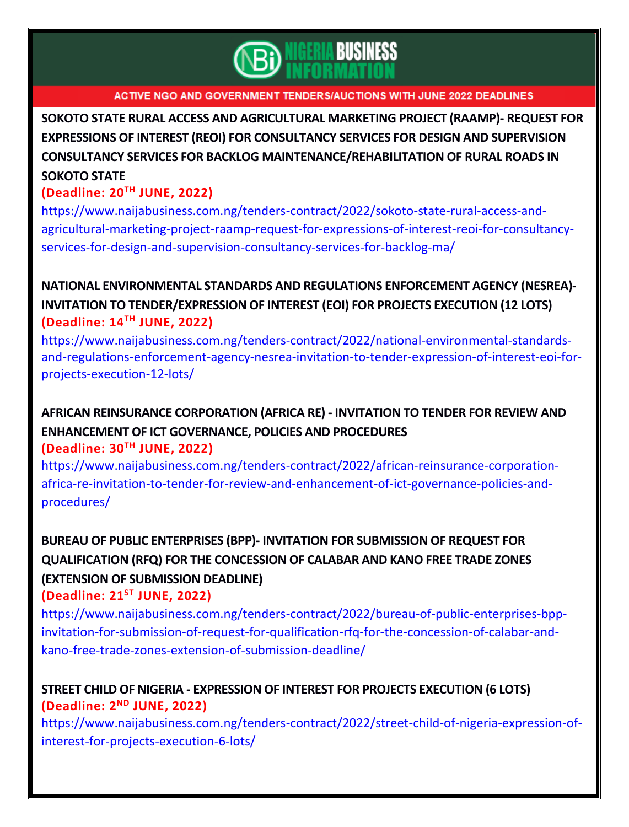

**SOKOTO STATE RURAL ACCESS AND [AGRICULTURAL](https://www.naijabusiness.com.ng/tenders-contract/2022/sokoto-state-rural-access-and-agricultural-marketing-project-raamp-request-for-expressions-of-interest-reoi-for-consultancy-services-for-design-and-supervision-consultancy-services-for-backlog-ma/) MARKETING PROJECT (RAAMP)- REQUEST FOR EXPRESSIONS OF INTEREST (REOI) FOR [CONSULTANCY](https://www.naijabusiness.com.ng/tenders-contract/2022/sokoto-state-rural-access-and-agricultural-marketing-project-raamp-request-for-expressions-of-interest-reoi-for-consultancy-services-for-design-and-supervision-consultancy-services-for-backlog-ma/) SERVICES FOR DESIGN AND SUPERVISION CONSULTANCY SERVICES FOR BACKLOG [MAINTENANCE/REHABILITATION](https://www.naijabusiness.com.ng/tenders-contract/2022/sokoto-state-rural-access-and-agricultural-marketing-project-raamp-request-for-expressions-of-interest-reoi-for-consultancy-services-for-design-and-supervision-consultancy-services-for-backlog-ma/) OF RURAL ROADS IN [SOKOTO](https://www.naijabusiness.com.ng/tenders-contract/2022/sokoto-state-rural-access-and-agricultural-marketing-project-raamp-request-for-expressions-of-interest-reoi-for-consultancy-services-for-design-and-supervision-consultancy-services-for-backlog-ma/) STATE**

### **(Deadline: 20TH JUNE, 2022)**

[https://www.naijabusiness.com.ng/tenders-contract/2022/sokoto-state-rural-access-and](https://www.naijabusiness.com.ng/tenders-contract/2022/sokoto-state-rural-access-and-agricultural-marketing-project-raamp-request-for-expressions-of-interest-reoi-for-consultancy-services-for-design-and-supervision-consultancy-services-for-backlog-ma/)[agricultural-marketing-project-raamp-request-for-expressions-of-interest-reoi-for-consultancy](https://www.naijabusiness.com.ng/tenders-contract/2022/sokoto-state-rural-access-and-agricultural-marketing-project-raamp-request-for-expressions-of-interest-reoi-for-consultancy-services-for-design-and-supervision-consultancy-services-for-backlog-ma/)[services-for-design-and-supervision-consultancy-services-for-backlog-ma/](https://www.naijabusiness.com.ng/tenders-contract/2022/sokoto-state-rural-access-and-agricultural-marketing-project-raamp-request-for-expressions-of-interest-reoi-for-consultancy-services-for-design-and-supervision-consultancy-services-for-backlog-ma/)

**NATIONAL [ENVIRONMENTAL](https://www.naijabusiness.com.ng/tenders-contract/2022/national-environmental-standards-and-regulations-enforcement-agency-nesrea-invitation-to-tender-expression-of-interest-eoi-for-projects-execution-12-lots/) STANDARDS AND REGULATIONS ENFORCEMENT AGENCY (NESREA)- INVITATION TO [TENDER/EXPRESSION](https://www.naijabusiness.com.ng/tenders-contract/2022/national-environmental-standards-and-regulations-enforcement-agency-nesrea-invitation-to-tender-expression-of-interest-eoi-for-projects-execution-12-lots/) OF INTEREST (EOI) FOR PROJECTS EXECUTION (12 LOTS) (Deadline: 14TH JUNE, 2022)**

[https://www.naijabusiness.com.ng/tenders-contract/2022/national-environmental-standards](https://www.naijabusiness.com.ng/tenders-contract/2022/national-environmental-standards-and-regulations-enforcement-agency-nesrea-invitation-to-tender-expression-of-interest-eoi-for-projects-execution-12-lots/)[and-regulations-enforcement-agency-nesrea-invitation-to-tender-expression-of-interest-eoi-for](https://www.naijabusiness.com.ng/tenders-contract/2022/national-environmental-standards-and-regulations-enforcement-agency-nesrea-invitation-to-tender-expression-of-interest-eoi-for-projects-execution-12-lots/)[projects-execution-12-lots/](https://www.naijabusiness.com.ng/tenders-contract/2022/national-environmental-standards-and-regulations-enforcement-agency-nesrea-invitation-to-tender-expression-of-interest-eoi-for-projects-execution-12-lots/)

# **AFRICAN REINSURANCE [CORPORATION](https://www.naijabusiness.com.ng/tenders-contract/2022/african-reinsurance-corporation-africa-re-invitation-to-tender-for-review-and-enhancement-of-ict-governance-policies-and-procedures/) (AFRICA RE) - INVITATION TO TENDER FOR REVIEW AND [ENHANCEMENT](https://www.naijabusiness.com.ng/tenders-contract/2022/african-reinsurance-corporation-africa-re-invitation-to-tender-for-review-and-enhancement-of-ict-governance-policies-and-procedures/) OF ICT GOVERNANCE, POLICIES AND PROCEDURES**

#### **(Deadline: 30TH JUNE, 2022)**

[https://www.naijabusiness.com.ng/tenders-contract/2022/african-reinsurance-corporation](https://www.naijabusiness.com.ng/tenders-contract/2022/african-reinsurance-corporation-africa-re-invitation-to-tender-for-review-and-enhancement-of-ict-governance-policies-and-procedures/)[africa-re-invitation-to-tender-for-review-and-enhancement-of-ict-governance-policies-and](https://www.naijabusiness.com.ng/tenders-contract/2022/african-reinsurance-corporation-africa-re-invitation-to-tender-for-review-and-enhancement-of-ict-governance-policies-and-procedures/)[procedures/](https://www.naijabusiness.com.ng/tenders-contract/2022/african-reinsurance-corporation-africa-re-invitation-to-tender-for-review-and-enhancement-of-ict-governance-policies-and-procedures/)

# **BUREAU OF PUBLIC [ENTERPRISES](https://www.naijabusiness.com.ng/tenders-contract/2022/bureau-of-public-enterprises-bpp-invitation-for-submission-of-request-for-qualification-rfq-for-the-concession-of-calabar-and-kano-free-trade-zones-extension-of-submission-deadline/) (BPP)- INVITATION FOR SUBMISSION OF REQUEST FOR [QUALIFICATION](https://www.naijabusiness.com.ng/tenders-contract/2022/bureau-of-public-enterprises-bpp-invitation-for-submission-of-request-for-qualification-rfq-for-the-concession-of-calabar-and-kano-free-trade-zones-extension-of-submission-deadline/) (RFQ) FOR THE CONCESSION OF CALABAR AND KANO FREE TRADE ZONES (EXTENSION OF [SUBMISSION](https://www.naijabusiness.com.ng/tenders-contract/2022/bureau-of-public-enterprises-bpp-invitation-for-submission-of-request-for-qualification-rfq-for-the-concession-of-calabar-and-kano-free-trade-zones-extension-of-submission-deadline/) DEADLINE)**

## **(Deadline: 21ST JUNE, 2022)**

[https://www.naijabusiness.com.ng/tenders-contract/2022/bureau-of-public-enterprises-bpp](https://www.naijabusiness.com.ng/tenders-contract/2022/bureau-of-public-enterprises-bpp-invitation-for-submission-of-request-for-qualification-rfq-for-the-concession-of-calabar-and-kano-free-trade-zones-extension-of-submission-deadline/)[invitation-for-submission-of-request-for-qualification-rfq-for-the-concession-of-calabar-and](https://www.naijabusiness.com.ng/tenders-contract/2022/bureau-of-public-enterprises-bpp-invitation-for-submission-of-request-for-qualification-rfq-for-the-concession-of-calabar-and-kano-free-trade-zones-extension-of-submission-deadline/)[kano-free-trade-zones-extension-of-submission-deadline/](https://www.naijabusiness.com.ng/tenders-contract/2022/bureau-of-public-enterprises-bpp-invitation-for-submission-of-request-for-qualification-rfq-for-the-concession-of-calabar-and-kano-free-trade-zones-extension-of-submission-deadline/)

## **STREET CHILD OF NIGERIA - [EXPRESSION](https://www.naijabusiness.com.ng/tenders-contract/2022/street-child-of-nigeria-expression-of-interest-for-projects-execution-6-lots/) OF INTEREST FOR PROJECTS EXECUTION (6 LOTS) (Deadline: 2 ND JUNE, 2022)**

[https://www.naijabusiness.com.ng/tenders-contract/2022/street-child-of-nigeria-expression-of](https://www.naijabusiness.com.ng/tenders-contract/2022/street-child-of-nigeria-expression-of-interest-for-projects-execution-6-lots/)[interest-for-projects-execution-6-lots/](https://www.naijabusiness.com.ng/tenders-contract/2022/street-child-of-nigeria-expression-of-interest-for-projects-execution-6-lots/)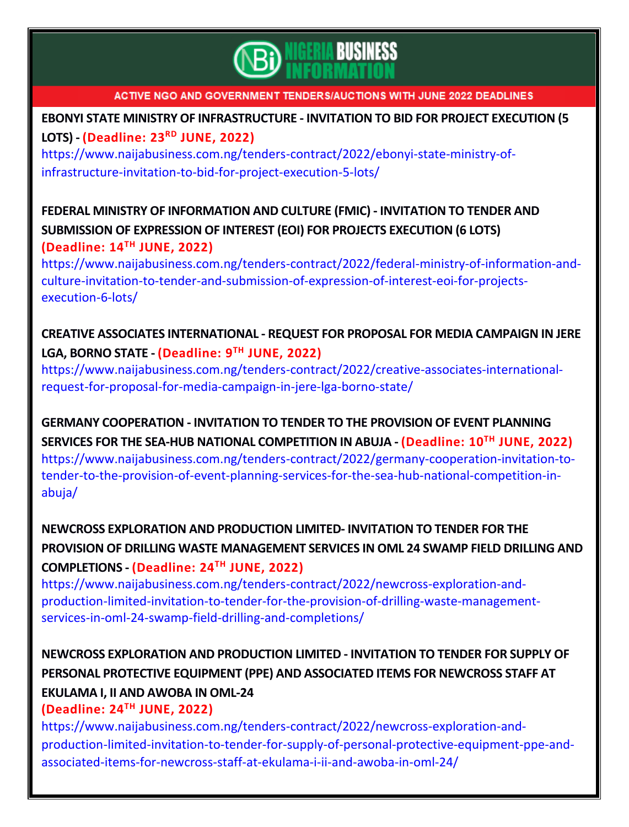

## **EBONYI STATE MINISTRY OF [INFRASTRUCTURE](https://www.naijabusiness.com.ng/tenders-contract/2022/ebonyi-state-ministry-of-infrastructure-invitation-to-bid-for-project-execution-5-lots/) - INVITATION TO BID FOR PROJECT EXECUTION (5 [LOTS\)](https://www.naijabusiness.com.ng/tenders-contract/2022/ebonyi-state-ministry-of-infrastructure-invitation-to-bid-for-project-execution-5-lots/) - (Deadline: 23RD JUNE, 2022)**

[https://www.naijabusiness.com.ng/tenders-contract/2022/ebonyi-state-ministry-of](https://www.naijabusiness.com.ng/tenders-contract/2022/ebonyi-state-ministry-of-infrastructure-invitation-to-bid-for-project-execution-5-lots/)[infrastructure-invitation-to-bid-for-project-execution-5-lots/](https://www.naijabusiness.com.ng/tenders-contract/2022/ebonyi-state-ministry-of-infrastructure-invitation-to-bid-for-project-execution-5-lots/)

## **FEDERAL MINISTRY OF [INFORMATION](https://www.naijabusiness.com.ng/tenders-contract/2022/federal-ministry-of-information-and-culture-invitation-to-tender-and-submission-of-expression-of-interest-eoi-for-projects-execution-6-lots/) AND CULTURE (FMIC) - INVITATION TO TENDER AND [SUBMISSION](https://www.naijabusiness.com.ng/tenders-contract/2022/federal-ministry-of-information-and-culture-invitation-to-tender-and-submission-of-expression-of-interest-eoi-for-projects-execution-6-lots/) OF EXPRESSION OF INTEREST (EOI) FOR PROJECTS EXECUTION (6 LOTS) (Deadline: 14TH JUNE, 2022)**

[https://www.naijabusiness.com.ng/tenders-contract/2022/federal-ministry-of-information-and](https://www.naijabusiness.com.ng/tenders-contract/2022/federal-ministry-of-information-and-culture-invitation-to-tender-and-submission-of-expression-of-interest-eoi-for-projects-execution-6-lots/)[culture-invitation-to-tender-and-submission-of-expression-of-interest-eoi-for-projects](https://www.naijabusiness.com.ng/tenders-contract/2022/federal-ministry-of-information-and-culture-invitation-to-tender-and-submission-of-expression-of-interest-eoi-for-projects-execution-6-lots/)[execution-6-lots/](https://www.naijabusiness.com.ng/tenders-contract/2022/federal-ministry-of-information-and-culture-invitation-to-tender-and-submission-of-expression-of-interest-eoi-for-projects-execution-6-lots/)

## **CREATIVE ASSOCIATES [INTERNATIONAL](https://www.naijabusiness.com.ng/tenders-contract/2022/creative-associates-international-request-for-proposal-for-media-campaign-in-jere-lga-borno-state/) - REQUEST FOR PROPOSAL FOR MEDIA CAMPAIGN IN JERE LGA, [BORNO](https://www.naijabusiness.com.ng/tenders-contract/2022/creative-associates-international-request-for-proposal-for-media-campaign-in-jere-lga-borno-state/) STATE - (Deadline: 9 TH JUNE, 2022)**

[https://www.naijabusiness.com.ng/tenders-contract/2022/creative-associates-international](https://www.naijabusiness.com.ng/tenders-contract/2022/creative-associates-international-request-for-proposal-for-media-campaign-in-jere-lga-borno-state/)[request-for-proposal-for-media-campaign-in-jere-lga-borno-state/](https://www.naijabusiness.com.ng/tenders-contract/2022/creative-associates-international-request-for-proposal-for-media-campaign-in-jere-lga-borno-state/)

**GERMANY [COOPERATION](https://www.naijabusiness.com.ng/tenders-contract/2022/germany-cooperation-invitation-to-tender-to-the-provision-of-event-planning-services-for-the-sea-hub-national-competition-in-abuja/) - INVITATION TO TENDER TO THE PROVISION OF EVENT PLANNING SERVICES FOR THE SEA-HUB NATIONAL [COMPETITION](https://www.naijabusiness.com.ng/tenders-contract/2022/germany-cooperation-invitation-to-tender-to-the-provision-of-event-planning-services-for-the-sea-hub-national-competition-in-abuja/) IN ABUJA - (Deadline: 10 TH JUNE, 2022)** [https://www.naijabusiness.com.ng/tenders-contract/2022/germany-cooperation-invitation-to](https://www.naijabusiness.com.ng/tenders-contract/2022/germany-cooperation-invitation-to-tender-to-the-provision-of-event-planning-services-for-the-sea-hub-national-competition-in-abuja/)[tender-to-the-provision-of-event-planning-services-for-the-sea-hub-national-competition-in](https://www.naijabusiness.com.ng/tenders-contract/2022/germany-cooperation-invitation-to-tender-to-the-provision-of-event-planning-services-for-the-sea-hub-national-competition-in-abuja/)[abuja/](https://www.naijabusiness.com.ng/tenders-contract/2022/germany-cooperation-invitation-to-tender-to-the-provision-of-event-planning-services-for-the-sea-hub-national-competition-in-abuja/)

**NEWCROSS [EXPLORATION](https://www.naijabusiness.com.ng/tenders-contract/2022/newcross-exploration-and-production-limited-invitation-to-tender-for-the-provision-of-drilling-waste-management-services-in-oml-24-swamp-field-drilling-and-completions/) AND PRODUCTION LIMITED- INVITATION TO TENDER FOR THE PROVISION OF DRILLING WASTE [MANAGEMENT](https://www.naijabusiness.com.ng/tenders-contract/2022/newcross-exploration-and-production-limited-invitation-to-tender-for-the-provision-of-drilling-waste-management-services-in-oml-24-swamp-field-drilling-and-completions/) SERVICES IN OML 24 SWAMP FIELD DRILLING AND [COMPLETIONS](https://www.naijabusiness.com.ng/tenders-contract/2022/newcross-exploration-and-production-limited-invitation-to-tender-for-the-provision-of-drilling-waste-management-services-in-oml-24-swamp-field-drilling-and-completions/) - (Deadline: 24 TH JUNE, 2022)**

[https://www.naijabusiness.com.ng/tenders-contract/2022/newcross-exploration-and](https://www.naijabusiness.com.ng/tenders-contract/2022/newcross-exploration-and-production-limited-invitation-to-tender-for-the-provision-of-drilling-waste-management-services-in-oml-24-swamp-field-drilling-and-completions/)[production-limited-invitation-to-tender-for-the-provision-of-drilling-waste-management](https://www.naijabusiness.com.ng/tenders-contract/2022/newcross-exploration-and-production-limited-invitation-to-tender-for-the-provision-of-drilling-waste-management-services-in-oml-24-swamp-field-drilling-and-completions/)[services-in-oml-24-swamp-field-drilling-and-completions/](https://www.naijabusiness.com.ng/tenders-contract/2022/newcross-exploration-and-production-limited-invitation-to-tender-for-the-provision-of-drilling-waste-management-services-in-oml-24-swamp-field-drilling-and-completions/)

# **NEWCROSS [EXPLORATION](https://www.naijabusiness.com.ng/tenders-contract/2022/newcross-exploration-and-production-limited-invitation-to-tender-for-supply-of-personal-protective-equipment-ppe-and-associated-items-for-newcross-staff-at-ekulama-i-ii-and-awoba-in-oml-24/) AND PRODUCTION LIMITED - INVITATION TO TENDER FOR SUPPLY OF PERSONAL PROTECTIVE EQUIPMENT (PPE) AND [ASSOCIATED](https://www.naijabusiness.com.ng/tenders-contract/2022/newcross-exploration-and-production-limited-invitation-to-tender-for-supply-of-personal-protective-equipment-ppe-and-associated-items-for-newcross-staff-at-ekulama-i-ii-and-awoba-in-oml-24/) ITEMS FOR NEWCROSS STAFF AT [EKULAMA](https://www.naijabusiness.com.ng/tenders-contract/2022/newcross-exploration-and-production-limited-invitation-to-tender-for-supply-of-personal-protective-equipment-ppe-and-associated-items-for-newcross-staff-at-ekulama-i-ii-and-awoba-in-oml-24/) I, II AND AWOBA IN OML-24**

## **(Deadline: 24 TH JUNE, 2022)**

[https://www.naijabusiness.com.ng/tenders-contract/2022/newcross-exploration-and](https://www.naijabusiness.com.ng/tenders-contract/2022/newcross-exploration-and-production-limited-invitation-to-tender-for-supply-of-personal-protective-equipment-ppe-and-associated-items-for-newcross-staff-at-ekulama-i-ii-and-awoba-in-oml-24/)[production-limited-invitation-to-tender-for-supply-of-personal-protective-equipment-ppe-and](https://www.naijabusiness.com.ng/tenders-contract/2022/newcross-exploration-and-production-limited-invitation-to-tender-for-supply-of-personal-protective-equipment-ppe-and-associated-items-for-newcross-staff-at-ekulama-i-ii-and-awoba-in-oml-24/)[associated-items-for-newcross-staff-at-ekulama-i-ii-and-awoba-in-oml-24/](https://www.naijabusiness.com.ng/tenders-contract/2022/newcross-exploration-and-production-limited-invitation-to-tender-for-supply-of-personal-protective-equipment-ppe-and-associated-items-for-newcross-staff-at-ekulama-i-ii-and-awoba-in-oml-24/)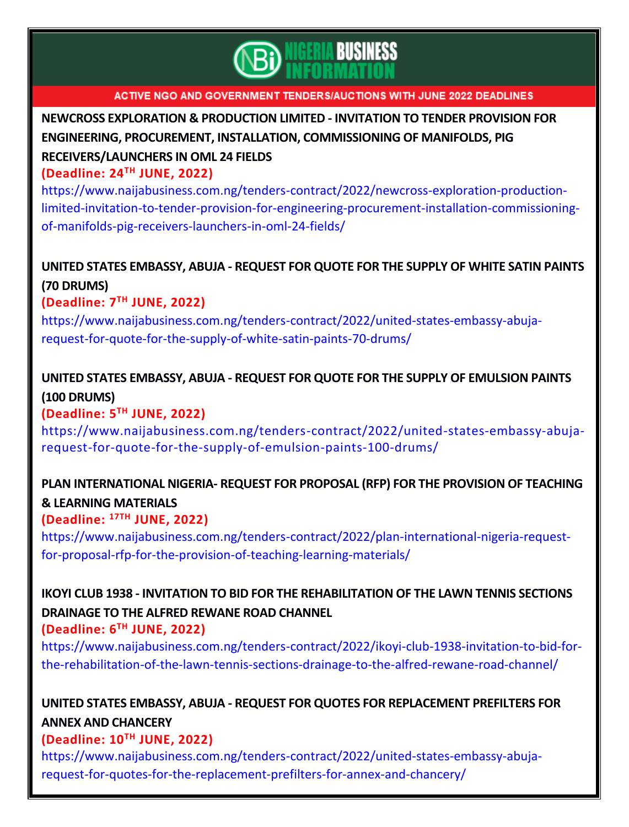

**NEWCROSS [EXPLORATION](https://www.naijabusiness.com.ng/tenders-contract/2022/newcross-exploration-production-limited-invitation-to-tender-provision-for-engineering-procurement-installation-commissioning-of-manifolds-pig-receivers-launchers-in-oml-24-fields/) & PRODUCTION LIMITED - INVITATION TO TENDER PROVISION FOR ENGINEERING, PROCUREMENT, INSTALLATION, [COMMISSIONING](https://www.naijabusiness.com.ng/tenders-contract/2022/newcross-exploration-production-limited-invitation-to-tender-provision-for-engineering-procurement-installation-commissioning-of-manifolds-pig-receivers-launchers-in-oml-24-fields/) OF MANIFOLDS, PIG [RECEIVERS/LAUNCHERS](https://www.naijabusiness.com.ng/tenders-contract/2022/newcross-exploration-production-limited-invitation-to-tender-provision-for-engineering-procurement-installation-commissioning-of-manifolds-pig-receivers-launchers-in-oml-24-fields/) IN OML 24 FIELDS**

### **(Deadline: 24TH JUNE, 2022)**

[https://www.naijabusiness.com.ng/tenders-contract/2022/newcross-exploration-production](https://www.naijabusiness.com.ng/tenders-contract/2022/newcross-exploration-production-limited-invitation-to-tender-provision-for-engineering-procurement-installation-commissioning-of-manifolds-pig-receivers-launchers-in-oml-24-fields/)[limited-invitation-to-tender-provision-for-engineering-procurement-installation-commissioning](https://www.naijabusiness.com.ng/tenders-contract/2022/newcross-exploration-production-limited-invitation-to-tender-provision-for-engineering-procurement-installation-commissioning-of-manifolds-pig-receivers-launchers-in-oml-24-fields/)[of-manifolds-pig-receivers-launchers-in-oml-24-fields/](https://www.naijabusiness.com.ng/tenders-contract/2022/newcross-exploration-production-limited-invitation-to-tender-provision-for-engineering-procurement-installation-commissioning-of-manifolds-pig-receivers-launchers-in-oml-24-fields/)

## **UNITED STATES [EMBASSY,](https://www.naijabusiness.com.ng/tenders-contract/2022/united-states-embassy-abuja-request-for-quote-for-the-supply-of-white-satin-paints-70-drums/) ABUJA - REQUEST FOR QUOTE FOR THE SUPPLY OF WHITE SATIN PAINTS (70 [DRUMS\)](https://www.naijabusiness.com.ng/tenders-contract/2022/united-states-embassy-abuja-request-for-quote-for-the-supply-of-white-satin-paints-70-drums/)**

**(Deadline: 7 TH JUNE, 2022)**

[https://www.naijabusiness.com.ng/tenders-contract/2022/united-states-embassy-abuja](https://www.naijabusiness.com.ng/tenders-contract/2022/united-states-embassy-abuja-request-for-quote-for-the-supply-of-white-satin-paints-70-drums/)[request-for-quote-for-the-supply-of-white-satin-paints-70-drums/](https://www.naijabusiness.com.ng/tenders-contract/2022/united-states-embassy-abuja-request-for-quote-for-the-supply-of-white-satin-paints-70-drums/)

## **UNITED STATES EMBASSY, ABUJA - REQUEST FOR QUOTE FOR THE SUPPLY OF [EMULSION](https://www.naijabusiness.com.ng/tenders-contract/2022/united-states-embassy-abuja-request-for-quote-for-the-supply-of-emulsion-paints-100-drums/) PAINTS (100 [DRUMS\)](https://www.naijabusiness.com.ng/tenders-contract/2022/united-states-embassy-abuja-request-for-quote-for-the-supply-of-emulsion-paints-100-drums/)**

### **(Deadline: 5 TH JUNE, 2022)**

[https://www.naijabusiness.com.ng/tenders-contract/2022/united-states-embassy-abuja](https://www.naijabusiness.com.ng/tenders-contract/2022/united-states-embassy-abuja-request-for-quote-for-the-supply-of-emulsion-paints-100-drums/)[request-for-quote-for-the-supply-of-emulsion-paints-100-drums/](https://www.naijabusiness.com.ng/tenders-contract/2022/united-states-embassy-abuja-request-for-quote-for-the-supply-of-emulsion-paints-100-drums/)

## **PLAN [INTERNATIONAL](https://www.naijabusiness.com.ng/tenders-contract/2022/plan-international-nigeria-request-for-proposal-rfp-for-the-provision-of-teaching-learning-materials/) NIGERIA- REQUEST FOR PROPOSAL (RFP) FOR THE PROVISION OF TEACHING & LEARNING [MATERIALS](https://www.naijabusiness.com.ng/tenders-contract/2022/plan-international-nigeria-request-for-proposal-rfp-for-the-provision-of-teaching-learning-materials/)**

## **(Deadline: 17TH JUNE, 2022)**

[https://www.naijabusiness.com.ng/tenders-contract/2022/plan-international-nigeria-request](https://www.naijabusiness.com.ng/tenders-contract/2022/plan-international-nigeria-request-for-proposal-rfp-for-the-provision-of-teaching-learning-materials/)[for-proposal-rfp-for-the-provision-of-teaching-learning-materials/](https://www.naijabusiness.com.ng/tenders-contract/2022/plan-international-nigeria-request-for-proposal-rfp-for-the-provision-of-teaching-learning-materials/)

# **IKOYI CLUB 1938 - INVITATION TO BID FOR THE [REHABILITATION](https://www.naijabusiness.com.ng/tenders-contract/2022/ikoyi-club-1938-invitation-to-bid-for-the-rehabilitation-of-the-lawn-tennis-sections-drainage-to-the-alfred-rewane-road-channel/) OF THE LAWN TENNIS SECTIONS [DRAINAGE](https://www.naijabusiness.com.ng/tenders-contract/2022/ikoyi-club-1938-invitation-to-bid-for-the-rehabilitation-of-the-lawn-tennis-sections-drainage-to-the-alfred-rewane-road-channel/) TO THE ALFRED REWANE ROAD CHANNEL**

### **(Deadline: 6 TH JUNE, 2022)**

[https://www.naijabusiness.com.ng/tenders-contract/2022/ikoyi-club-1938-invitation-to-bid-for](https://www.naijabusiness.com.ng/tenders-contract/2022/ikoyi-club-1938-invitation-to-bid-for-the-rehabilitation-of-the-lawn-tennis-sections-drainage-to-the-alfred-rewane-road-channel/)[the-rehabilitation-of-the-lawn-tennis-sections-drainage-to-the-alfred-rewane-road-channel/](https://www.naijabusiness.com.ng/tenders-contract/2022/ikoyi-club-1938-invitation-to-bid-for-the-rehabilitation-of-the-lawn-tennis-sections-drainage-to-the-alfred-rewane-road-channel/)

## **UNITED STATES EMBASSY, ABUJA - REQUEST FOR QUOTES FOR [REPLACEMENT](https://www.naijabusiness.com.ng/tenders-contract/2022/united-states-embassy-abuja-request-for-quotes-for-the-replacement-prefilters-for-annex-and-chancery/) PREFILTERS FOR ANNEX AND [CHANCERY](https://www.naijabusiness.com.ng/tenders-contract/2022/united-states-embassy-abuja-request-for-quotes-for-the-replacement-prefilters-for-annex-and-chancery/)**

### **(Deadline: 10TH JUNE, 2022)**

[https://www.naijabusiness.com.ng/tenders-contract/2022/united-states-embassy-abuja](https://www.naijabusiness.com.ng/tenders-contract/2022/united-states-embassy-abuja-request-for-quotes-for-the-replacement-prefilters-for-annex-and-chancery/)[request-for-quotes-for-the-replacement-prefilters-for-annex-and-chancery/](https://www.naijabusiness.com.ng/tenders-contract/2022/united-states-embassy-abuja-request-for-quotes-for-the-replacement-prefilters-for-annex-and-chancery/)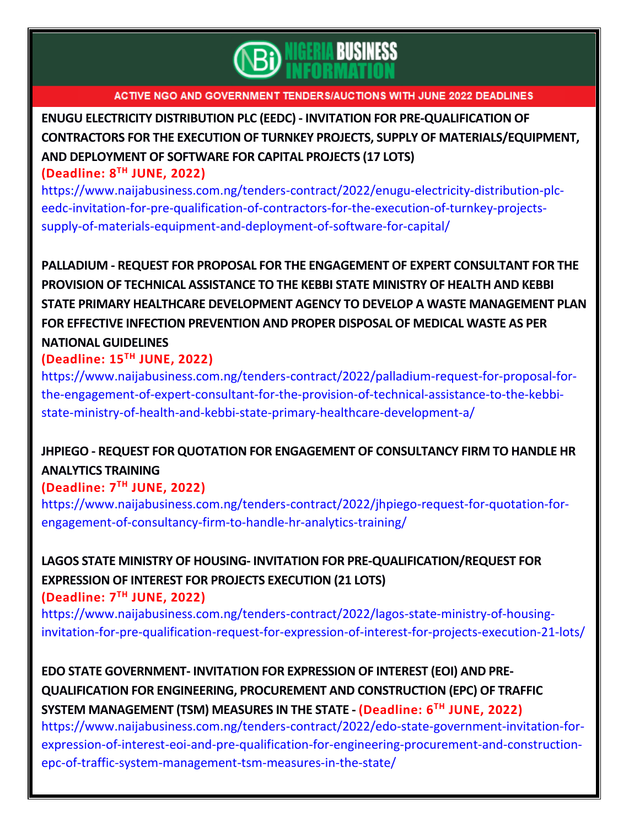

**ENUGU ELECTRICITY DISTRIBUTION PLC (EEDC) - INVITATION FOR [PRE-QUALIFICATION](https://www.naijabusiness.com.ng/tenders-contract/2022/enugu-electricity-distribution-plc-eedc-invitation-for-pre-qualification-of-contractors-for-the-execution-of-turnkey-projects-supply-of-materials-equipment-and-deployment-of-software-for-capital/) OF CONTRACTORS FOR THE EXECUTION OF TURNKEY PROJECTS, SUPPLY OF [MATERIALS/EQUIPMENT,](https://www.naijabusiness.com.ng/tenders-contract/2022/enugu-electricity-distribution-plc-eedc-invitation-for-pre-qualification-of-contractors-for-the-execution-of-turnkey-projects-supply-of-materials-equipment-and-deployment-of-software-for-capital/) AND [DEPLOYMENT](https://www.naijabusiness.com.ng/tenders-contract/2022/enugu-electricity-distribution-plc-eedc-invitation-for-pre-qualification-of-contractors-for-the-execution-of-turnkey-projects-supply-of-materials-equipment-and-deployment-of-software-for-capital/) OF SOFTWARE FOR CAPITAL PROJECTS (17 LOTS) (Deadline: 8 TH JUNE, 2022)**

[https://www.naijabusiness.com.ng/tenders-contract/2022/enugu-electricity-distribution-plc](https://www.naijabusiness.com.ng/tenders-contract/2022/enugu-electricity-distribution-plc-eedc-invitation-for-pre-qualification-of-contractors-for-the-execution-of-turnkey-projects-supply-of-materials-equipment-and-deployment-of-software-for-capital/)[eedc-invitation-for-pre-qualification-of-contractors-for-the-execution-of-turnkey-projects](https://www.naijabusiness.com.ng/tenders-contract/2022/enugu-electricity-distribution-plc-eedc-invitation-for-pre-qualification-of-contractors-for-the-execution-of-turnkey-projects-supply-of-materials-equipment-and-deployment-of-software-for-capital/)[supply-of-materials-equipment-and-deployment-of-software-for-capital/](https://www.naijabusiness.com.ng/tenders-contract/2022/enugu-electricity-distribution-plc-eedc-invitation-for-pre-qualification-of-contractors-for-the-execution-of-turnkey-projects-supply-of-materials-equipment-and-deployment-of-software-for-capital/)

**PALLADIUM - REQUEST FOR PROPOSAL FOR THE [ENGAGEMENT](https://www.naijabusiness.com.ng/tenders-contract/2022/palladium-request-for-proposal-for-the-engagement-of-expert-consultant-for-the-provision-of-technical-assistance-to-the-kebbi-state-ministry-of-health-and-kebbi-state-primary-healthcare-development-a/) OF EXPERT CONSULTANT FOR THE PROVISION OF TECHNICAL [ASSISTANCE](https://www.naijabusiness.com.ng/tenders-contract/2022/palladium-request-for-proposal-for-the-engagement-of-expert-consultant-for-the-provision-of-technical-assistance-to-the-kebbi-state-ministry-of-health-and-kebbi-state-primary-healthcare-development-a/) TO THE KEBBI STATE MINISTRY OF HEALTH AND KEBBI STATE PRIMARY HEALTHCARE DEVELOPMENT AGENCY TO DEVELOP A WASTE [MANAGEMENT](https://www.naijabusiness.com.ng/tenders-contract/2022/palladium-request-for-proposal-for-the-engagement-of-expert-consultant-for-the-provision-of-technical-assistance-to-the-kebbi-state-ministry-of-health-and-kebbi-state-primary-healthcare-development-a/) PLAN FOR EFFECTIVE INFECTION [PREVENTION](https://www.naijabusiness.com.ng/tenders-contract/2022/palladium-request-for-proposal-for-the-engagement-of-expert-consultant-for-the-provision-of-technical-assistance-to-the-kebbi-state-ministry-of-health-and-kebbi-state-primary-healthcare-development-a/) AND PROPER DISPOSAL OF MEDICAL WASTE AS PER NATIONAL [GUIDELINES](https://www.naijabusiness.com.ng/tenders-contract/2022/palladium-request-for-proposal-for-the-engagement-of-expert-consultant-for-the-provision-of-technical-assistance-to-the-kebbi-state-ministry-of-health-and-kebbi-state-primary-healthcare-development-a/)**

### **(Deadline: 15TH JUNE, 2022)**

[https://www.naijabusiness.com.ng/tenders-contract/2022/palladium-request-for-proposal-for](https://www.naijabusiness.com.ng/tenders-contract/2022/palladium-request-for-proposal-for-the-engagement-of-expert-consultant-for-the-provision-of-technical-assistance-to-the-kebbi-state-ministry-of-health-and-kebbi-state-primary-healthcare-development-a/)[the-engagement-of-expert-consultant-for-the-provision-of-technical-assistance-to-the-kebbi](https://www.naijabusiness.com.ng/tenders-contract/2022/palladium-request-for-proposal-for-the-engagement-of-expert-consultant-for-the-provision-of-technical-assistance-to-the-kebbi-state-ministry-of-health-and-kebbi-state-primary-healthcare-development-a/)[state-ministry-of-health-and-kebbi-state-primary-healthcare-development-a/](https://www.naijabusiness.com.ng/tenders-contract/2022/palladium-request-for-proposal-for-the-engagement-of-expert-consultant-for-the-provision-of-technical-assistance-to-the-kebbi-state-ministry-of-health-and-kebbi-state-primary-healthcare-development-a/)

## **JHPIEGO - REQUEST FOR QUOTATION FOR ENGAGEMENT OF [CONSULTANCY](https://www.naijabusiness.com.ng/tenders-contract/2022/jhpiego-request-for-quotation-for-engagement-of-consultancy-firm-to-handle-hr-analytics-training/) FIRM TO HANDLE HR [ANALYTICS](https://www.naijabusiness.com.ng/tenders-contract/2022/jhpiego-request-for-quotation-for-engagement-of-consultancy-firm-to-handle-hr-analytics-training/) TRAINING**

### **(Deadline: 7 TH JUNE, 2022)**

[https://www.naijabusiness.com.ng/tenders-contract/2022/jhpiego-request-for-quotation-for](https://www.naijabusiness.com.ng/tenders-contract/2022/jhpiego-request-for-quotation-for-engagement-of-consultancy-firm-to-handle-hr-analytics-training/)[engagement-of-consultancy-firm-to-handle-hr-analytics-training/](https://www.naijabusiness.com.ng/tenders-contract/2022/jhpiego-request-for-quotation-for-engagement-of-consultancy-firm-to-handle-hr-analytics-training/)

# **LAGOS STATE MINISTRY OF HOUSING- INVITATION FOR [PRE-QUALIFICATION/REQUEST](https://www.naijabusiness.com.ng/tenders-contract/2022/lagos-state-ministry-of-housing-invitation-for-pre-qualification-request-for-expression-of-interest-for-projects-execution-21-lots/) FOR [EXPRESSION](https://www.naijabusiness.com.ng/tenders-contract/2022/lagos-state-ministry-of-housing-invitation-for-pre-qualification-request-for-expression-of-interest-for-projects-execution-21-lots/) OF INTEREST FOR PROJECTS EXECUTION (21 LOTS)**

**(Deadline: 7 TH JUNE, 2022)**

[https://www.naijabusiness.com.ng/tenders-contract/2022/lagos-state-ministry-of-housing](https://www.naijabusiness.com.ng/tenders-contract/2022/lagos-state-ministry-of-housing-invitation-for-pre-qualification-request-for-expression-of-interest-for-projects-execution-21-lots/)[invitation-for-pre-qualification-request-for-expression-of-interest-for-projects-execution-21-lots/](https://www.naijabusiness.com.ng/tenders-contract/2022/lagos-state-ministry-of-housing-invitation-for-pre-qualification-request-for-expression-of-interest-for-projects-execution-21-lots/)

**EDO STATE [GOVERNMENT-](https://www.naijabusiness.com.ng/tenders-contract/2022/edo-state-government-invitation-for-expression-of-interest-eoi-and-pre-qualification-for-engineering-procurement-and-construction-epc-of-traffic-system-management-tsm-measures-in-the-state/) INVITATION FOR EXPRESSION OF INTEREST (EOI) AND PRE-QUALIFICATION FOR ENGINEERING, PROCUREMENT AND [CONSTRUCTION](https://www.naijabusiness.com.ng/tenders-contract/2022/edo-state-government-invitation-for-expression-of-interest-eoi-and-pre-qualification-for-engineering-procurement-and-construction-epc-of-traffic-system-management-tsm-measures-in-the-state/) (EPC) OF TRAFFIC SYSTEM [MANAGEMENT](https://www.naijabusiness.com.ng/tenders-contract/2022/edo-state-government-invitation-for-expression-of-interest-eoi-and-pre-qualification-for-engineering-procurement-and-construction-epc-of-traffic-system-management-tsm-measures-in-the-state/) (TSM) MEASURES IN THE STATE - (Deadline: 6TH JUNE, 2022)**

[https://www.naijabusiness.com.ng/tenders-contract/2022/edo-state-government-invitation-for](https://www.naijabusiness.com.ng/tenders-contract/2022/edo-state-government-invitation-for-expression-of-interest-eoi-and-pre-qualification-for-engineering-procurement-and-construction-epc-of-traffic-system-management-tsm-measures-in-the-state/)[expression-of-interest-eoi-and-pre-qualification-for-engineering-procurement-and-construction](https://www.naijabusiness.com.ng/tenders-contract/2022/edo-state-government-invitation-for-expression-of-interest-eoi-and-pre-qualification-for-engineering-procurement-and-construction-epc-of-traffic-system-management-tsm-measures-in-the-state/)[epc-of-traffic-system-management-tsm-measures-in-the-state/](https://www.naijabusiness.com.ng/tenders-contract/2022/edo-state-government-invitation-for-expression-of-interest-eoi-and-pre-qualification-for-engineering-procurement-and-construction-epc-of-traffic-system-management-tsm-measures-in-the-state/)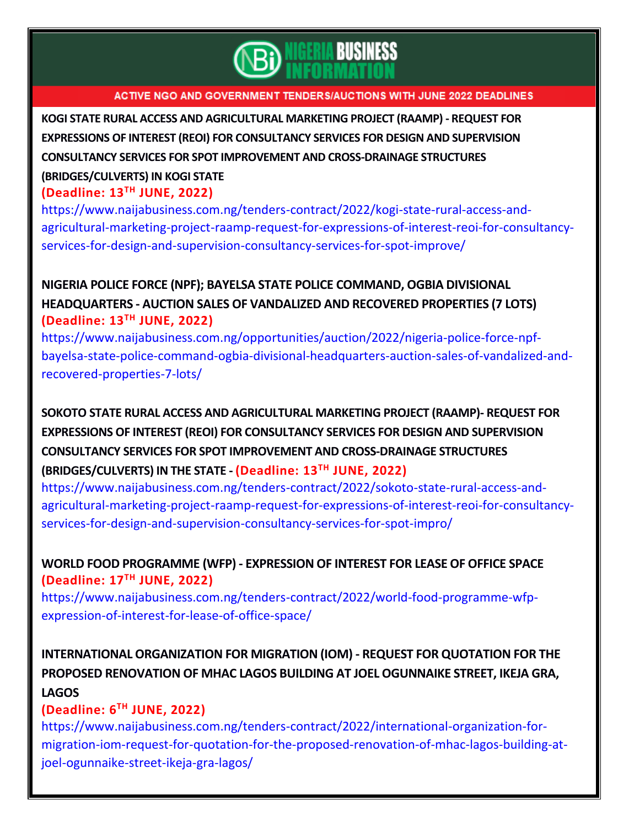

**KOGI STATE RURAL ACCESS AND [AGRICULTURAL](https://www.naijabusiness.com.ng/tenders-contract/2022/kogi-state-rural-access-and-agricultural-marketing-project-raamp-request-for-expressions-of-interest-reoi-for-consultancy-services-for-design-and-supervision-consultancy-services-for-spot-improve/) MARKETING PROJECT (RAAMP) - REQUEST FOR EXPRESSIONS OF INTEREST (REOI) FOR [CONSULTANCY](https://www.naijabusiness.com.ng/tenders-contract/2022/kogi-state-rural-access-and-agricultural-marketing-project-raamp-request-for-expressions-of-interest-reoi-for-consultancy-services-for-design-and-supervision-consultancy-services-for-spot-improve/) SERVICES FOR DESIGN AND SUPERVISION CONSULTANCY SERVICES FOR SPOT IMPROVEMENT AND [CROSS-DRAINAGE](https://www.naijabusiness.com.ng/tenders-contract/2022/kogi-state-rural-access-and-agricultural-marketing-project-raamp-request-for-expressions-of-interest-reoi-for-consultancy-services-for-design-and-supervision-consultancy-services-for-spot-improve/) STRUCTURES**

## **[\(BRIDGES/CULVERTS\)](https://www.naijabusiness.com.ng/tenders-contract/2022/kogi-state-rural-access-and-agricultural-marketing-project-raamp-request-for-expressions-of-interest-reoi-for-consultancy-services-for-design-and-supervision-consultancy-services-for-spot-improve/) IN KOGI STATE**

## **(Deadline: 13TH JUNE, 2022)**

[https://www.naijabusiness.com.ng/tenders-contract/2022/kogi-state-rural-access-and](https://www.naijabusiness.com.ng/tenders-contract/2022/kogi-state-rural-access-and-agricultural-marketing-project-raamp-request-for-expressions-of-interest-reoi-for-consultancy-services-for-design-and-supervision-consultancy-services-for-spot-improve/)[agricultural-marketing-project-raamp-request-for-expressions-of-interest-reoi-for-consultancy](https://www.naijabusiness.com.ng/tenders-contract/2022/kogi-state-rural-access-and-agricultural-marketing-project-raamp-request-for-expressions-of-interest-reoi-for-consultancy-services-for-design-and-supervision-consultancy-services-for-spot-improve/)[services-for-design-and-supervision-consultancy-services-for-spot-improve/](https://www.naijabusiness.com.ng/tenders-contract/2022/kogi-state-rural-access-and-agricultural-marketing-project-raamp-request-for-expressions-of-interest-reoi-for-consultancy-services-for-design-and-supervision-consultancy-services-for-spot-improve/)

## **NIGERIA POLICE FORCE (NPF); BAYELSA STATE POLICE [COMMAND,](https://www.naijabusiness.com.ng/opportunities/auction/2022/nigeria-police-force-npf-bayelsa-state-police-command-ogbia-divisional-headquarters-auction-sales-of-vandalized-and-recovered-properties-7-lots/) OGBIA DIVISIONAL [HEADQUARTERS](https://www.naijabusiness.com.ng/opportunities/auction/2022/nigeria-police-force-npf-bayelsa-state-police-command-ogbia-divisional-headquarters-auction-sales-of-vandalized-and-recovered-properties-7-lots/) - AUCTION SALES OF VANDALIZED AND RECOVERED PROPERTIES (7 LOTS) (Deadline: 13TH JUNE, 2022)**

[https://www.naijabusiness.com.ng/opportunities/auction/2022/nigeria-police-force-npf](https://www.naijabusiness.com.ng/opportunities/auction/2022/nigeria-police-force-npf-bayelsa-state-police-command-ogbia-divisional-headquarters-auction-sales-of-vandalized-and-recovered-properties-7-lots/)[bayelsa-state-police-command-ogbia-divisional-headquarters-auction-sales-of-vandalized-and](https://www.naijabusiness.com.ng/opportunities/auction/2022/nigeria-police-force-npf-bayelsa-state-police-command-ogbia-divisional-headquarters-auction-sales-of-vandalized-and-recovered-properties-7-lots/)[recovered-properties-7-lots/](https://www.naijabusiness.com.ng/opportunities/auction/2022/nigeria-police-force-npf-bayelsa-state-police-command-ogbia-divisional-headquarters-auction-sales-of-vandalized-and-recovered-properties-7-lots/)

**SOKOTO STATE RURAL ACCESS AND [AGRICULTURAL](https://www.naijabusiness.com.ng/tenders-contract/2022/sokoto-state-rural-access-and-agricultural-marketing-project-raamp-request-for-expressions-of-interest-reoi-for-consultancy-services-for-design-and-supervision-consultancy-services-for-spot-impro/) MARKETING PROJECT (RAAMP)- REQUEST FOR EXPRESSIONS OF INTEREST (REOI) FOR [CONSULTANCY](https://www.naijabusiness.com.ng/tenders-contract/2022/sokoto-state-rural-access-and-agricultural-marketing-project-raamp-request-for-expressions-of-interest-reoi-for-consultancy-services-for-design-and-supervision-consultancy-services-for-spot-impro/) SERVICES FOR DESIGN AND SUPERVISION CONSULTANCY SERVICES FOR SPOT IMPROVEMENT AND [CROSS-DRAINAGE](https://www.naijabusiness.com.ng/tenders-contract/2022/sokoto-state-rural-access-and-agricultural-marketing-project-raamp-request-for-expressions-of-interest-reoi-for-consultancy-services-for-design-and-supervision-consultancy-services-for-spot-impro/) STRUCTURES [\(BRIDGES/CULVERTS\)](https://www.naijabusiness.com.ng/tenders-contract/2022/sokoto-state-rural-access-and-agricultural-marketing-project-raamp-request-for-expressions-of-interest-reoi-for-consultancy-services-for-design-and-supervision-consultancy-services-for-spot-impro/) IN THE STATE - (Deadline: 13TH JUNE, 2022)**

[https://www.naijabusiness.com.ng/tenders-contract/2022/sokoto-state-rural-access-and](https://www.naijabusiness.com.ng/tenders-contract/2022/sokoto-state-rural-access-and-agricultural-marketing-project-raamp-request-for-expressions-of-interest-reoi-for-consultancy-services-for-design-and-supervision-consultancy-services-for-spot-impro/)[agricultural-marketing-project-raamp-request-for-expressions-of-interest-reoi-for-consultancy](https://www.naijabusiness.com.ng/tenders-contract/2022/sokoto-state-rural-access-and-agricultural-marketing-project-raamp-request-for-expressions-of-interest-reoi-for-consultancy-services-for-design-and-supervision-consultancy-services-for-spot-impro/)[services-for-design-and-supervision-consultancy-services-for-spot-impro/](https://www.naijabusiness.com.ng/tenders-contract/2022/sokoto-state-rural-access-and-agricultural-marketing-project-raamp-request-for-expressions-of-interest-reoi-for-consultancy-services-for-design-and-supervision-consultancy-services-for-spot-impro/)

## **WORLD FOOD [PROGRAMME](https://www.naijabusiness.com.ng/tenders-contract/2022/world-food-programme-wfp-expression-of-interest-for-lease-of-office-space/) (WFP) - EXPRESSION OF INTEREST FOR LEASE OF OFFICE SPACE (Deadline: 17TH JUNE, 2022)**

[https://www.naijabusiness.com.ng/tenders-contract/2022/world-food-programme-wfp](https://www.naijabusiness.com.ng/tenders-contract/2022/world-food-programme-wfp-expression-of-interest-for-lease-of-office-space/)[expression-of-interest-for-lease-of-office-space/](https://www.naijabusiness.com.ng/tenders-contract/2022/world-food-programme-wfp-expression-of-interest-for-lease-of-office-space/)

# **[INTERNATIONAL](https://www.naijabusiness.com.ng/tenders-contract/2022/international-organization-for-migration-iom-request-for-quotation-for-the-proposed-renovation-of-mhac-lagos-building-at-joel-ogunnaike-street-ikeja-gra-lagos/) ORGANIZATION FOR MIGRATION (IOM) - REQUEST FOR QUOTATION FOR THE PROPOSED [RENOVATION](https://www.naijabusiness.com.ng/tenders-contract/2022/international-organization-for-migration-iom-request-for-quotation-for-the-proposed-renovation-of-mhac-lagos-building-at-joel-ogunnaike-street-ikeja-gra-lagos/) OF MHAC LAGOS BUILDING AT JOEL OGUNNAIKE STREET, IKEJA GRA, [LAGOS](https://www.naijabusiness.com.ng/tenders-contract/2022/international-organization-for-migration-iom-request-for-quotation-for-the-proposed-renovation-of-mhac-lagos-building-at-joel-ogunnaike-street-ikeja-gra-lagos/)**

### **(Deadline: 6 TH JUNE, 2022)**

[https://www.naijabusiness.com.ng/tenders-contract/2022/international-organization-for](https://www.naijabusiness.com.ng/tenders-contract/2022/international-organization-for-migration-iom-request-for-quotation-for-the-proposed-renovation-of-mhac-lagos-building-at-joel-ogunnaike-street-ikeja-gra-lagos/)[migration-iom-request-for-quotation-for-the-proposed-renovation-of-mhac-lagos-building-at](https://www.naijabusiness.com.ng/tenders-contract/2022/international-organization-for-migration-iom-request-for-quotation-for-the-proposed-renovation-of-mhac-lagos-building-at-joel-ogunnaike-street-ikeja-gra-lagos/)[joel-ogunnaike-street-ikeja-gra-lagos/](https://www.naijabusiness.com.ng/tenders-contract/2022/international-organization-for-migration-iom-request-for-quotation-for-the-proposed-renovation-of-mhac-lagos-building-at-joel-ogunnaike-street-ikeja-gra-lagos/)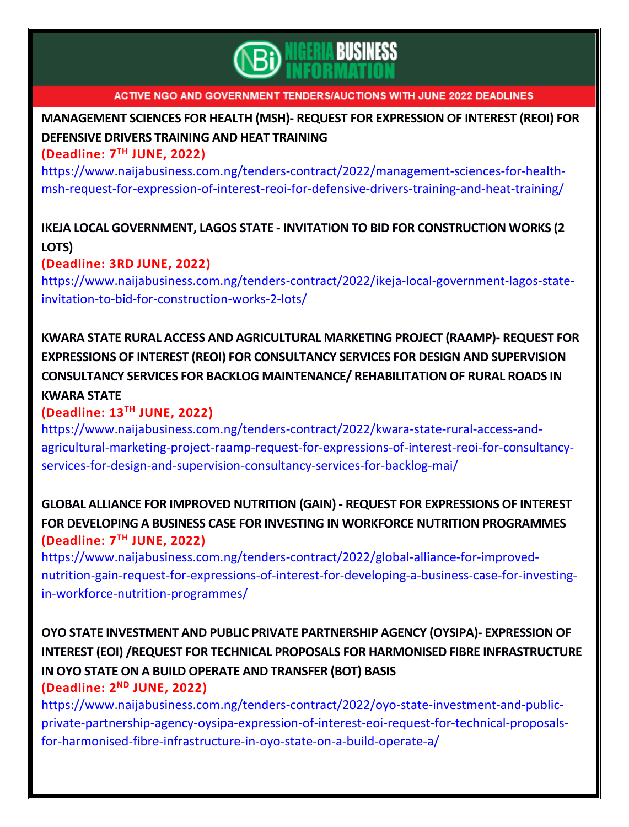

**[MANAGEMENT](https://www.naijabusiness.com.ng/tenders-contract/2022/management-sciences-for-health-msh-request-for-expression-of-interest-reoi-for-defensive-drivers-training-and-heat-training/) SCIENCES FOR HEALTH (MSH)- REQUEST FOR EXPRESSION OF INTEREST (REOI) FOR [DEFENSIVE](https://www.naijabusiness.com.ng/tenders-contract/2022/management-sciences-for-health-msh-request-for-expression-of-interest-reoi-for-defensive-drivers-training-and-heat-training/) DRIVERS TRAINING AND HEAT TRAINING**

**(Deadline: 7 TH JUNE, 2022)**

[https://www.naijabusiness.com.ng/tenders-contract/2022/management-sciences-for-health](https://www.naijabusiness.com.ng/tenders-contract/2022/management-sciences-for-health-msh-request-for-expression-of-interest-reoi-for-defensive-drivers-training-and-heat-training/)[msh-request-for-expression-of-interest-reoi-for-defensive-drivers-training-and-heat-training/](https://www.naijabusiness.com.ng/tenders-contract/2022/management-sciences-for-health-msh-request-for-expression-of-interest-reoi-for-defensive-drivers-training-and-heat-training/)

## **IKEJA LOCAL GOVERNMENT, LAGOS STATE - INVITATION TO BID FOR [CONSTRUCTION](https://www.naijabusiness.com.ng/tenders-contract/2022/ikeja-local-government-lagos-state-invitation-to-bid-for-construction-works-2-lots/) WORKS (2 [LOTS\)](https://www.naijabusiness.com.ng/tenders-contract/2022/ikeja-local-government-lagos-state-invitation-to-bid-for-construction-works-2-lots/)**

## **(Deadline: 3RD JUNE, 2022)**

[https://www.naijabusiness.com.ng/tenders-contract/2022/ikeja-local-government-lagos-state](https://www.naijabusiness.com.ng/tenders-contract/2022/ikeja-local-government-lagos-state-invitation-to-bid-for-construction-works-2-lots/)[invitation-to-bid-for-construction-works-2-lots/](https://www.naijabusiness.com.ng/tenders-contract/2022/ikeja-local-government-lagos-state-invitation-to-bid-for-construction-works-2-lots/)

# **KWARA STATE RURAL ACCESS AND [AGRICULTURAL](https://www.naijabusiness.com.ng/tenders-contract/2022/kwara-state-rural-access-and-agricultural-marketing-project-raamp-request-for-expressions-of-interest-reoi-for-consultancy-services-for-design-and-supervision-consultancy-services-for-backlog-mai/) MARKETING PROJECT (RAAMP)- REQUEST FOR EXPRESSIONS OF INTEREST (REOI) FOR [CONSULTANCY](https://www.naijabusiness.com.ng/tenders-contract/2022/kwara-state-rural-access-and-agricultural-marketing-project-raamp-request-for-expressions-of-interest-reoi-for-consultancy-services-for-design-and-supervision-consultancy-services-for-backlog-mai/) SERVICES FOR DESIGN AND SUPERVISION CONSULTANCY SERVICES FOR BACKLOG MAINTENANCE/ [REHABILITATION](https://www.naijabusiness.com.ng/tenders-contract/2022/kwara-state-rural-access-and-agricultural-marketing-project-raamp-request-for-expressions-of-interest-reoi-for-consultancy-services-for-design-and-supervision-consultancy-services-for-backlog-mai/) OF RURAL ROADS IN [KWARA](https://www.naijabusiness.com.ng/tenders-contract/2022/kwara-state-rural-access-and-agricultural-marketing-project-raamp-request-for-expressions-of-interest-reoi-for-consultancy-services-for-design-and-supervision-consultancy-services-for-backlog-mai/) STATE**

## **(Deadline: 13 TH JUNE, 2022)**

[https://www.naijabusiness.com.ng/tenders-contract/2022/kwara-state-rural-access-and](https://www.naijabusiness.com.ng/tenders-contract/2022/kwara-state-rural-access-and-agricultural-marketing-project-raamp-request-for-expressions-of-interest-reoi-for-consultancy-services-for-design-and-supervision-consultancy-services-for-backlog-mai/)[agricultural-marketing-project-raamp-request-for-expressions-of-interest-reoi-for-consultancy](https://www.naijabusiness.com.ng/tenders-contract/2022/kwara-state-rural-access-and-agricultural-marketing-project-raamp-request-for-expressions-of-interest-reoi-for-consultancy-services-for-design-and-supervision-consultancy-services-for-backlog-mai/)[services-for-design-and-supervision-consultancy-services-for-backlog-mai/](https://www.naijabusiness.com.ng/tenders-contract/2022/kwara-state-rural-access-and-agricultural-marketing-project-raamp-request-for-expressions-of-interest-reoi-for-consultancy-services-for-design-and-supervision-consultancy-services-for-backlog-mai/)

## **GLOBAL ALLIANCE FOR IMPROVED NUTRITION (GAIN) - REQUEST FOR [EXPRESSIONS](https://www.naijabusiness.com.ng/tenders-contract/2022/global-alliance-for-improved-nutrition-gain-request-for-expressions-of-interest-for-developing-a-business-case-for-investing-in-workforce-nutrition-programmes/) OF INTEREST FOR DEVELOPING A BUSINESS CASE FOR INVESTING IN WORKFORCE NUTRITION [PROGRAMMES](https://www.naijabusiness.com.ng/tenders-contract/2022/global-alliance-for-improved-nutrition-gain-request-for-expressions-of-interest-for-developing-a-business-case-for-investing-in-workforce-nutrition-programmes/) (Deadline: 7 TH JUNE, 2022)**

[https://www.naijabusiness.com.ng/tenders-contract/2022/global-alliance-for-improved](https://www.naijabusiness.com.ng/tenders-contract/2022/global-alliance-for-improved-nutrition-gain-request-for-expressions-of-interest-for-developing-a-business-case-for-investing-in-workforce-nutrition-programmes/)[nutrition-gain-request-for-expressions-of-interest-for-developing-a-business-case-for-investing](https://www.naijabusiness.com.ng/tenders-contract/2022/global-alliance-for-improved-nutrition-gain-request-for-expressions-of-interest-for-developing-a-business-case-for-investing-in-workforce-nutrition-programmes/)[in-workforce-nutrition-programmes/](https://www.naijabusiness.com.ng/tenders-contract/2022/global-alliance-for-improved-nutrition-gain-request-for-expressions-of-interest-for-developing-a-business-case-for-investing-in-workforce-nutrition-programmes/)

# **OYO STATE INVESTMENT AND PUBLIC PRIVATE [PARTNERSHIP](https://www.naijabusiness.com.ng/tenders-contract/2022/oyo-state-investment-and-public-private-partnership-agency-oysipa-expression-of-interest-eoi-request-for-technical-proposals-for-harmonised-fibre-infrastructure-in-oyo-state-on-a-build-operate-a/) AGENCY (OYSIPA)- EXPRESSION OF INTEREST (EOI) /REQUEST FOR TECHNICAL PROPOSALS FOR HARMONISED FIBRE [INFRASTRUCTURE](https://www.naijabusiness.com.ng/tenders-contract/2022/oyo-state-investment-and-public-private-partnership-agency-oysipa-expression-of-interest-eoi-request-for-technical-proposals-for-harmonised-fibre-infrastructure-in-oyo-state-on-a-build-operate-a/) IN OYO STATE ON A BUILD OPERATE AND [TRANSFER](https://www.naijabusiness.com.ng/tenders-contract/2022/oyo-state-investment-and-public-private-partnership-agency-oysipa-expression-of-interest-eoi-request-for-technical-proposals-for-harmonised-fibre-infrastructure-in-oyo-state-on-a-build-operate-a/) (BOT) BASIS**

## **(Deadline: 2 ND JUNE, 2022)** [https://www.naijabusiness.com.ng/tenders-contract/2022/oyo-state-investment-and-public](https://www.naijabusiness.com.ng/tenders-contract/2022/oyo-state-investment-and-public-private-partnership-agency-oysipa-expression-of-interest-eoi-request-for-technical-proposals-for-harmonised-fibre-infrastructure-in-oyo-state-on-a-build-operate-a/)[private-partnership-agency-oysipa-expression-of-interest-eoi-request-for-technical-proposals](https://www.naijabusiness.com.ng/tenders-contract/2022/oyo-state-investment-and-public-private-partnership-agency-oysipa-expression-of-interest-eoi-request-for-technical-proposals-for-harmonised-fibre-infrastructure-in-oyo-state-on-a-build-operate-a/)[for-harmonised-fibre-infrastructure-in-oyo-state-on-a-build-operate-a/](https://www.naijabusiness.com.ng/tenders-contract/2022/oyo-state-investment-and-public-private-partnership-agency-oysipa-expression-of-interest-eoi-request-for-technical-proposals-for-harmonised-fibre-infrastructure-in-oyo-state-on-a-build-operate-a/)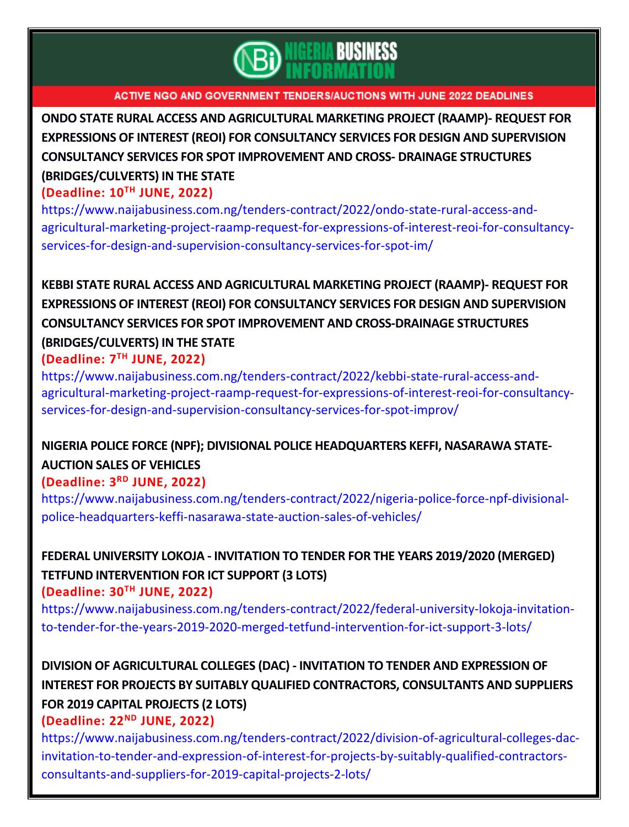

**ONDO STATE RURAL ACCESS AND [AGRICULTURAL](https://www.naijabusiness.com.ng/tenders-contract/2022/ondo-state-rural-access-and-agricultural-marketing-project-raamp-request-for-expressions-of-interest-reoi-for-consultancy-services-for-design-and-supervision-consultancy-services-for-spot-im/) MARKETING PROJECT (RAAMP)- REQUEST FOR EXPRESSIONS OF INTEREST (REOI) FOR [CONSULTANCY](https://www.naijabusiness.com.ng/tenders-contract/2022/ondo-state-rural-access-and-agricultural-marketing-project-raamp-request-for-expressions-of-interest-reoi-for-consultancy-services-for-design-and-supervision-consultancy-services-for-spot-im/) SERVICES FOR DESIGN AND SUPERVISION CONSULTANCY SERVICES FOR SPOT [IMPROVEMENT](https://www.naijabusiness.com.ng/tenders-contract/2022/ondo-state-rural-access-and-agricultural-marketing-project-raamp-request-for-expressions-of-interest-reoi-for-consultancy-services-for-design-and-supervision-consultancy-services-for-spot-im/) AND CROSS- DRAINAGE STRUCTURES [\(BRIDGES/CULVERTS\)](https://www.naijabusiness.com.ng/tenders-contract/2022/ondo-state-rural-access-and-agricultural-marketing-project-raamp-request-for-expressions-of-interest-reoi-for-consultancy-services-for-design-and-supervision-consultancy-services-for-spot-im/) IN THE STATE**

### **(Deadline: 10TH JUNE, 2022)**

[https://www.naijabusiness.com.ng/tenders-contract/2022/ondo-state-rural-access-and](https://www.naijabusiness.com.ng/tenders-contract/2022/ondo-state-rural-access-and-agricultural-marketing-project-raamp-request-for-expressions-of-interest-reoi-for-consultancy-services-for-design-and-supervision-consultancy-services-for-spot-im/)[agricultural-marketing-project-raamp-request-for-expressions-of-interest-reoi-for-consultancy](https://www.naijabusiness.com.ng/tenders-contract/2022/ondo-state-rural-access-and-agricultural-marketing-project-raamp-request-for-expressions-of-interest-reoi-for-consultancy-services-for-design-and-supervision-consultancy-services-for-spot-im/)[services-for-design-and-supervision-consultancy-services-for-spot-im/](https://www.naijabusiness.com.ng/tenders-contract/2022/ondo-state-rural-access-and-agricultural-marketing-project-raamp-request-for-expressions-of-interest-reoi-for-consultancy-services-for-design-and-supervision-consultancy-services-for-spot-im/)

# **KEBBI STATE RURAL ACCESS AND [AGRICULTURAL](https://www.naijabusiness.com.ng/tenders-contract/2022/kebbi-state-rural-access-and-agricultural-marketing-project-raamp-request-for-expressions-of-interest-reoi-for-consultancy-services-for-design-and-supervision-consultancy-services-for-spot-improv/) MARKETING PROJECT (RAAMP)- REQUEST FOR EXPRESSIONS OF INTEREST (REOI) FOR [CONSULTANCY](https://www.naijabusiness.com.ng/tenders-contract/2022/kebbi-state-rural-access-and-agricultural-marketing-project-raamp-request-for-expressions-of-interest-reoi-for-consultancy-services-for-design-and-supervision-consultancy-services-for-spot-improv/) SERVICES FOR DESIGN AND SUPERVISION CONSULTANCY SERVICES FOR SPOT IMPROVEMENT AND [CROSS-DRAINAGE](https://www.naijabusiness.com.ng/tenders-contract/2022/kebbi-state-rural-access-and-agricultural-marketing-project-raamp-request-for-expressions-of-interest-reoi-for-consultancy-services-for-design-and-supervision-consultancy-services-for-spot-improv/) STRUCTURES [\(BRIDGES/CULVERTS\)](https://www.naijabusiness.com.ng/tenders-contract/2022/kebbi-state-rural-access-and-agricultural-marketing-project-raamp-request-for-expressions-of-interest-reoi-for-consultancy-services-for-design-and-supervision-consultancy-services-for-spot-improv/) IN THE STATE**

### **(Deadline: 7 TH JUNE, 2022)**

[https://www.naijabusiness.com.ng/tenders-contract/2022/kebbi-state-rural-access-and](https://www.naijabusiness.com.ng/tenders-contract/2022/kebbi-state-rural-access-and-agricultural-marketing-project-raamp-request-for-expressions-of-interest-reoi-for-consultancy-services-for-design-and-supervision-consultancy-services-for-spot-improv/)[agricultural-marketing-project-raamp-request-for-expressions-of-interest-reoi-for-consultancy](https://www.naijabusiness.com.ng/tenders-contract/2022/kebbi-state-rural-access-and-agricultural-marketing-project-raamp-request-for-expressions-of-interest-reoi-for-consultancy-services-for-design-and-supervision-consultancy-services-for-spot-improv/)[services-for-design-and-supervision-consultancy-services-for-spot-improv/](https://www.naijabusiness.com.ng/tenders-contract/2022/kebbi-state-rural-access-and-agricultural-marketing-project-raamp-request-for-expressions-of-interest-reoi-for-consultancy-services-for-design-and-supervision-consultancy-services-for-spot-improv/)

# **NIGERIA POLICE FORCE (NPF); DIVISIONAL POLICE [HEADQUARTERS](https://www.naijabusiness.com.ng/tenders-contract/2022/nigeria-police-force-npf-divisional-police-headquarters-keffi-nasarawa-state-auction-sales-of-vehicles/) KEFFI, NASARAWA STATE-[AUCTION](https://www.naijabusiness.com.ng/tenders-contract/2022/nigeria-police-force-npf-divisional-police-headquarters-keffi-nasarawa-state-auction-sales-of-vehicles/) SALES OF VEHICLES**

## **(Deadline: 3 RD JUNE, 2022)**

[https://www.naijabusiness.com.ng/tenders-contract/2022/nigeria-police-force-npf-divisional](https://www.naijabusiness.com.ng/tenders-contract/2022/nigeria-police-force-npf-divisional-police-headquarters-keffi-nasarawa-state-auction-sales-of-vehicles/)[police-headquarters-keffi-nasarawa-state-auction-sales-of-vehicles/](https://www.naijabusiness.com.ng/tenders-contract/2022/nigeria-police-force-npf-divisional-police-headquarters-keffi-nasarawa-state-auction-sales-of-vehicles/)

**FEDERAL UNIVERSITY LOKOJA - [INVITATION](https://www.naijabusiness.com.ng/tenders-contract/2022/federal-university-lokoja-invitation-to-tender-for-the-years-2019-2020-merged-tetfund-intervention-for-ict-support-3-lots/) TO TENDER FOR THE YEARS 2019/2020 (MERGED) TETFUND [INTERVENTION](https://www.naijabusiness.com.ng/tenders-contract/2022/federal-university-lokoja-invitation-to-tender-for-the-years-2019-2020-merged-tetfund-intervention-for-ict-support-3-lots/) FOR ICT SUPPORT (3 LOTS) (Deadline: 30TH JUNE, 2022)**

[https://www.naijabusiness.com.ng/tenders-contract/2022/federal-university-lokoja-invitation](https://www.naijabusiness.com.ng/tenders-contract/2022/federal-university-lokoja-invitation-to-tender-for-the-years-2019-2020-merged-tetfund-intervention-for-ict-support-3-lots/)[to-tender-for-the-years-2019-2020-merged-tetfund-intervention-for-ict-support-3-lots/](https://www.naijabusiness.com.ng/tenders-contract/2022/federal-university-lokoja-invitation-to-tender-for-the-years-2019-2020-merged-tetfund-intervention-for-ict-support-3-lots/)

**DIVISION OF [AGRICULTURAL](https://www.naijabusiness.com.ng/tenders-contract/2022/division-of-agricultural-colleges-dac-invitation-to-tender-and-expression-of-interest-for-projects-by-suitably-qualified-contractors-consultants-and-suppliers-for-2019-capital-projects-2-lots/) COLLEGES (DAC) - INVITATION TO TENDER AND EXPRESSION OF INTEREST FOR PROJECTS BY SUITABLY QUALIFIED [CONTRACTORS,](https://www.naijabusiness.com.ng/tenders-contract/2022/division-of-agricultural-colleges-dac-invitation-to-tender-and-expression-of-interest-for-projects-by-suitably-qualified-contractors-consultants-and-suppliers-for-2019-capital-projects-2-lots/) CONSULTANTS AND SUPPLIERS FOR 2019 CAPITAL [PROJECTS](https://www.naijabusiness.com.ng/tenders-contract/2022/division-of-agricultural-colleges-dac-invitation-to-tender-and-expression-of-interest-for-projects-by-suitably-qualified-contractors-consultants-and-suppliers-for-2019-capital-projects-2-lots/) (2 LOTS)**

### **(Deadline: 22ND JUNE, 2022)**

[https://www.naijabusiness.com.ng/tenders-contract/2022/division-of-agricultural-colleges-dac](https://www.naijabusiness.com.ng/tenders-contract/2022/division-of-agricultural-colleges-dac-invitation-to-tender-and-expression-of-interest-for-projects-by-suitably-qualified-contractors-consultants-and-suppliers-for-2019-capital-projects-2-lots/)[invitation-to-tender-and-expression-of-interest-for-projects-by-suitably-qualified-contractors](https://www.naijabusiness.com.ng/tenders-contract/2022/division-of-agricultural-colleges-dac-invitation-to-tender-and-expression-of-interest-for-projects-by-suitably-qualified-contractors-consultants-and-suppliers-for-2019-capital-projects-2-lots/)[consultants-and-suppliers-for-2019-capital-projects-2-lots/](https://www.naijabusiness.com.ng/tenders-contract/2022/division-of-agricultural-colleges-dac-invitation-to-tender-and-expression-of-interest-for-projects-by-suitably-qualified-contractors-consultants-and-suppliers-for-2019-capital-projects-2-lots/)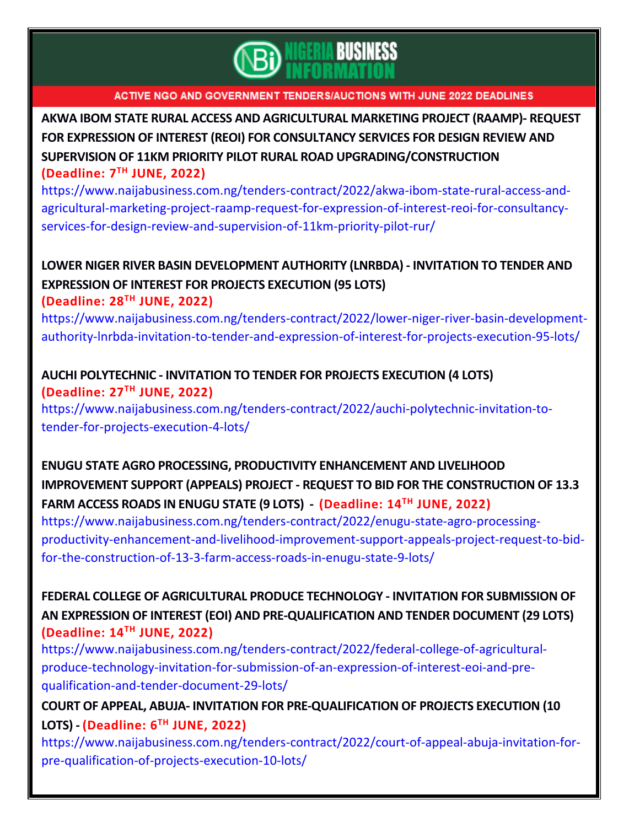

**AKWA IBOM STATE RURAL ACCESS AND [AGRICULTURAL](https://www.naijabusiness.com.ng/tenders-contract/2022/akwa-ibom-state-rural-access-and-agricultural-marketing-project-raamp-request-for-expression-of-interest-reoi-for-consultancy-services-for-design-review-and-supervision-of-11km-priority-pilot-rur/) MARKETING PROJECT (RAAMP)- REQUEST FOR EXPRESSION OF INTEREST (REOI) FOR [CONSULTANCY](https://www.naijabusiness.com.ng/tenders-contract/2022/akwa-ibom-state-rural-access-and-agricultural-marketing-project-raamp-request-for-expression-of-interest-reoi-for-consultancy-services-for-design-review-and-supervision-of-11km-priority-pilot-rur/) SERVICES FOR DESIGN REVIEW AND SUPERVISION OF 11KM PRIORITY PILOT RURAL ROAD [UPGRADING/CONSTRUCTION](https://www.naijabusiness.com.ng/tenders-contract/2022/akwa-ibom-state-rural-access-and-agricultural-marketing-project-raamp-request-for-expression-of-interest-reoi-for-consultancy-services-for-design-review-and-supervision-of-11km-priority-pilot-rur/) (Deadline: 7 TH JUNE, 2022)**

[https://www.naijabusiness.com.ng/tenders-contract/2022/akwa-ibom-state-rural-access-and](https://www.naijabusiness.com.ng/tenders-contract/2022/akwa-ibom-state-rural-access-and-agricultural-marketing-project-raamp-request-for-expression-of-interest-reoi-for-consultancy-services-for-design-review-and-supervision-of-11km-priority-pilot-rur/)[agricultural-marketing-project-raamp-request-for-expression-of-interest-reoi-for-consultancy](https://www.naijabusiness.com.ng/tenders-contract/2022/akwa-ibom-state-rural-access-and-agricultural-marketing-project-raamp-request-for-expression-of-interest-reoi-for-consultancy-services-for-design-review-and-supervision-of-11km-priority-pilot-rur/)[services-for-design-review-and-supervision-of-11km-priority-pilot-rur/](https://www.naijabusiness.com.ng/tenders-contract/2022/akwa-ibom-state-rural-access-and-agricultural-marketing-project-raamp-request-for-expression-of-interest-reoi-for-consultancy-services-for-design-review-and-supervision-of-11km-priority-pilot-rur/)

# **LOWER NIGER RIVER BASIN [DEVELOPMENT](https://www.naijabusiness.com.ng/tenders-contract/2022/lower-niger-river-basin-development-authority-lnrbda-invitation-to-tender-and-expression-of-interest-for-projects-execution-95-lots/) AUTHORITY (LNRBDA) - INVITATION TO TENDER AND [EXPRESSION](https://www.naijabusiness.com.ng/tenders-contract/2022/lower-niger-river-basin-development-authority-lnrbda-invitation-to-tender-and-expression-of-interest-for-projects-execution-95-lots/) OF INTEREST FOR PROJECTS EXECUTION (95 LOTS)**

**(Deadline: 28TH JUNE, 2022)**

[https://www.naijabusiness.com.ng/tenders-contract/2022/lower-niger-river-basin-development](https://www.naijabusiness.com.ng/tenders-contract/2022/lower-niger-river-basin-development-authority-lnrbda-invitation-to-tender-and-expression-of-interest-for-projects-execution-95-lots/)[authority-lnrbda-invitation-to-tender-and-expression-of-interest-for-projects-execution-95-lots/](https://www.naijabusiness.com.ng/tenders-contract/2022/lower-niger-river-basin-development-authority-lnrbda-invitation-to-tender-and-expression-of-interest-for-projects-execution-95-lots/)

## **AUCHI [POLYTECHNIC](https://www.naijabusiness.com.ng/tenders-contract/2022/auchi-polytechnic-invitation-to-tender-for-projects-execution-4-lots/) - INVITATION TO TENDER FOR PROJECTS EXECUTION (4 LOTS) (Deadline: 27TH JUNE, 2022)**

[https://www.naijabusiness.com.ng/tenders-contract/2022/auchi-polytechnic-invitation-to](https://www.naijabusiness.com.ng/tenders-contract/2022/auchi-polytechnic-invitation-to-tender-for-projects-execution-4-lots/)[tender-for-projects-execution-4-lots/](https://www.naijabusiness.com.ng/tenders-contract/2022/auchi-polytechnic-invitation-to-tender-for-projects-execution-4-lots/)

**ENUGU STATE AGRO PROCESSING, PRODUCTIVITY [ENHANCEMENT](https://www.naijabusiness.com.ng/tenders-contract/2022/enugu-state-agro-processing-productivity-enhancement-and-livelihood-improvement-support-appeals-project-request-to-bid-for-the-construction-of-13-3-farm-access-roads-in-enugu-state-9-lots/) AND LIVELIHOOD IMPROVEMENT SUPPORT (APPEALS) PROJECT - REQUEST TO BID FOR THE [CONSTRUCTION](https://www.naijabusiness.com.ng/tenders-contract/2022/enugu-state-agro-processing-productivity-enhancement-and-livelihood-improvement-support-appeals-project-request-to-bid-for-the-construction-of-13-3-farm-access-roads-in-enugu-state-9-lots/) OF 13.3 FARM ACCESS ROADS IN [ENUGU](https://www.naijabusiness.com.ng/tenders-contract/2022/enugu-state-agro-processing-productivity-enhancement-and-livelihood-improvement-support-appeals-project-request-to-bid-for-the-construction-of-13-3-farm-access-roads-in-enugu-state-9-lots/) STATE (9 LOTS) - (Deadline: 14TH JUNE, 2022)**

[https://www.naijabusiness.com.ng/tenders-contract/2022/enugu-state-agro-processing](https://www.naijabusiness.com.ng/tenders-contract/2022/enugu-state-agro-processing-productivity-enhancement-and-livelihood-improvement-support-appeals-project-request-to-bid-for-the-construction-of-13-3-farm-access-roads-in-enugu-state-9-lots/)[productivity-enhancement-and-livelihood-improvement-support-appeals-project-request-to-bid](https://www.naijabusiness.com.ng/tenders-contract/2022/enugu-state-agro-processing-productivity-enhancement-and-livelihood-improvement-support-appeals-project-request-to-bid-for-the-construction-of-13-3-farm-access-roads-in-enugu-state-9-lots/)[for-the-construction-of-13-3-farm-access-roads-in-enugu-state-9-lots/](https://www.naijabusiness.com.ng/tenders-contract/2022/enugu-state-agro-processing-productivity-enhancement-and-livelihood-improvement-support-appeals-project-request-to-bid-for-the-construction-of-13-3-farm-access-roads-in-enugu-state-9-lots/)

**FEDERAL COLLEGE OF [AGRICULTURAL](https://www.naijabusiness.com.ng/tenders-contract/2022/federal-college-of-agricultural-produce-technology-invitation-for-submission-of-an-expression-of-interest-eoi-and-pre-qualification-and-tender-document-29-lots/) PRODUCE TECHNOLOGY - INVITATION FOR SUBMISSION OF AN EXPRESSION OF INTEREST (EOI) AND [PRE-QUALIFICATION](https://www.naijabusiness.com.ng/tenders-contract/2022/federal-college-of-agricultural-produce-technology-invitation-for-submission-of-an-expression-of-interest-eoi-and-pre-qualification-and-tender-document-29-lots/) AND TENDER DOCUMENT (29 LOTS) (Deadline: 14TH JUNE, 2022)**

[https://www.naijabusiness.com.ng/tenders-contract/2022/federal-college-of-agricultural](https://www.naijabusiness.com.ng/tenders-contract/2022/federal-college-of-agricultural-produce-technology-invitation-for-submission-of-an-expression-of-interest-eoi-and-pre-qualification-and-tender-document-29-lots/)[produce-technology-invitation-for-submission-of-an-expression-of-interest-eoi-and-pre](https://www.naijabusiness.com.ng/tenders-contract/2022/federal-college-of-agricultural-produce-technology-invitation-for-submission-of-an-expression-of-interest-eoi-and-pre-qualification-and-tender-document-29-lots/)[qualification-and-tender-document-29-lots/](https://www.naijabusiness.com.ng/tenders-contract/2022/federal-college-of-agricultural-produce-technology-invitation-for-submission-of-an-expression-of-interest-eoi-and-pre-qualification-and-tender-document-29-lots/)

**COURT OF APPEAL, ABUJA- INVITATION FOR [PRE-QUALIFICATION](https://www.naijabusiness.com.ng/tenders-contract/2022/court-of-appeal-abuja-invitation-for-pre-qualification-of-projects-execution-10-lots/) OF PROJECTS EXECUTION (10 [LOTS\)](https://www.naijabusiness.com.ng/tenders-contract/2022/court-of-appeal-abuja-invitation-for-pre-qualification-of-projects-execution-10-lots/) - (Deadline: 6 TH JUNE, 2022)**

[https://www.naijabusiness.com.ng/tenders-contract/2022/court-of-appeal-abuja-invitation-for](https://www.naijabusiness.com.ng/tenders-contract/2022/court-of-appeal-abuja-invitation-for-pre-qualification-of-projects-execution-10-lots/)[pre-qualification-of-projects-execution-10-lots/](https://www.naijabusiness.com.ng/tenders-contract/2022/court-of-appeal-abuja-invitation-for-pre-qualification-of-projects-execution-10-lots/)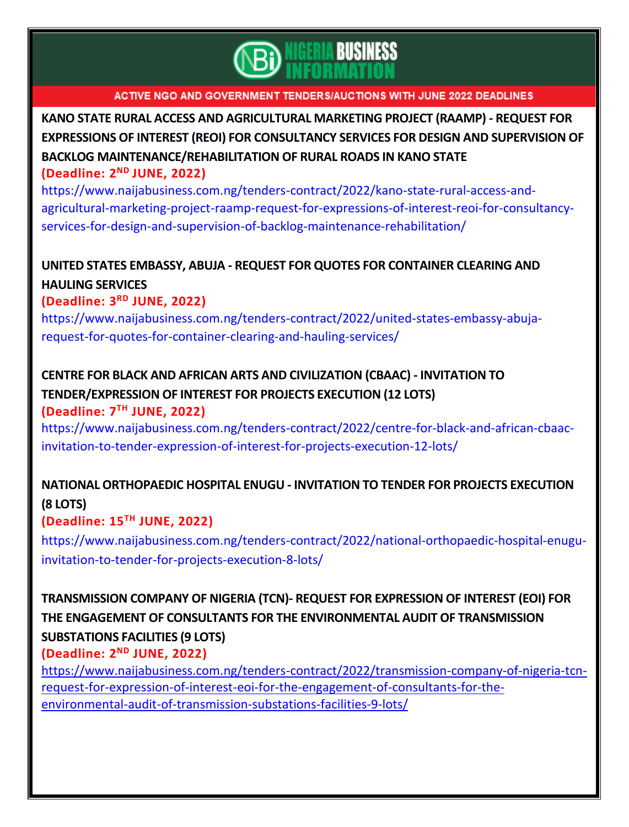

**KANO STATE RURAL ACCESS AND [AGRICULTURAL](https://www.naijabusiness.com.ng/tenders-contract/2022/kano-state-rural-access-and-agricultural-marketing-project-raamp-request-for-expressions-of-interest-reoi-for-consultancy-services-for-design-and-supervision-of-backlog-maintenance-rehabilitation/) MARKETING PROJECT (RAAMP) - REQUEST FOR EXPRESSIONS OF INTEREST (REOI) FOR [CONSULTANCY](https://www.naijabusiness.com.ng/tenders-contract/2022/kano-state-rural-access-and-agricultural-marketing-project-raamp-request-for-expressions-of-interest-reoi-for-consultancy-services-for-design-and-supervision-of-backlog-maintenance-rehabilitation/) SERVICES FOR DESIGN AND SUPERVISION OF BACKLOG [MAINTENANCE/REHABILITATION](https://www.naijabusiness.com.ng/tenders-contract/2022/kano-state-rural-access-and-agricultural-marketing-project-raamp-request-for-expressions-of-interest-reoi-for-consultancy-services-for-design-and-supervision-of-backlog-maintenance-rehabilitation/) OF RURAL ROADS IN KANO STATE (Deadline: 2 ND JUNE, 2022)**

[https://www.naijabusiness.com.ng/tenders-contract/2022/kano-state-rural-access-and](https://www.naijabusiness.com.ng/tenders-contract/2022/kano-state-rural-access-and-agricultural-marketing-project-raamp-request-for-expressions-of-interest-reoi-for-consultancy-services-for-design-and-supervision-of-backlog-maintenance-rehabilitation/)[agricultural-marketing-project-raamp-request-for-expressions-of-interest-reoi-for-consultancy](https://www.naijabusiness.com.ng/tenders-contract/2022/kano-state-rural-access-and-agricultural-marketing-project-raamp-request-for-expressions-of-interest-reoi-for-consultancy-services-for-design-and-supervision-of-backlog-maintenance-rehabilitation/)[services-for-design-and-supervision-of-backlog-maintenance-rehabilitation/](https://www.naijabusiness.com.ng/tenders-contract/2022/kano-state-rural-access-and-agricultural-marketing-project-raamp-request-for-expressions-of-interest-reoi-for-consultancy-services-for-design-and-supervision-of-backlog-maintenance-rehabilitation/)

## **UNITED STATES EMBASSY, ABUJA - REQUEST FOR QUOTES FOR [CONTAINER](https://www.naijabusiness.com.ng/tenders-contract/2022/united-states-embassy-abuja-request-for-quotes-for-container-clearing-and-hauling-services/) CLEARING AND [HAULING](https://www.naijabusiness.com.ng/tenders-contract/2022/united-states-embassy-abuja-request-for-quotes-for-container-clearing-and-hauling-services/) SERVICES**

## **(Deadline: 3 RD JUNE, 2022)**

[https://www.naijabusiness.com.ng/tenders-contract/2022/united-states-embassy-abuja](https://www.naijabusiness.com.ng/tenders-contract/2022/united-states-embassy-abuja-request-for-quotes-for-container-clearing-and-hauling-services/)[request-for-quotes-for-container-clearing-and-hauling-services/](https://www.naijabusiness.com.ng/tenders-contract/2022/united-states-embassy-abuja-request-for-quotes-for-container-clearing-and-hauling-services/)

# **CENTRE FOR BLACK AND AFRICAN ARTS AND [CIVILIZATION](https://www.naijabusiness.com.ng/tenders-contract/2022/centre-for-black-and-african-cbaac-invitation-to-tender-expression-of-interest-for-projects-execution-12-lots/) (CBAAC) - INVITATION TO [TENDER/EXPRESSION](https://www.naijabusiness.com.ng/tenders-contract/2022/centre-for-black-and-african-cbaac-invitation-to-tender-expression-of-interest-for-projects-execution-12-lots/) OF INTEREST FOR PROJECTS EXECUTION (12 LOTS)**

**(Deadline: 7 TH JUNE, 2022)**

[https://www.naijabusiness.com.ng/tenders-contract/2022/centre-for-black-and-african-cbaac](https://www.naijabusiness.com.ng/tenders-contract/2022/centre-for-black-and-african-cbaac-invitation-to-tender-expression-of-interest-for-projects-execution-12-lots/)[invitation-to-tender-expression-of-interest-for-projects-execution-12-lots/](https://www.naijabusiness.com.ng/tenders-contract/2022/centre-for-black-and-african-cbaac-invitation-to-tender-expression-of-interest-for-projects-execution-12-lots/)

# **NATIONAL [ORTHOPAEDIC](https://www.naijabusiness.com.ng/tenders-contract/2022/national-orthopaedic-hospital-enugu-invitation-to-tender-for-projects-execution-8-lots/) HOSPITAL ENUGU - INVITATION TO TENDER FOR PROJECTS EXECUTION (8 [LOTS\)](https://www.naijabusiness.com.ng/tenders-contract/2022/national-orthopaedic-hospital-enugu-invitation-to-tender-for-projects-execution-8-lots/)**

**(Deadline: 15TH JUNE, 2022)**

[https://www.naijabusiness.com.ng/tenders-contract/2022/national-orthopaedic-hospital-enugu](https://www.naijabusiness.com.ng/tenders-contract/2022/national-orthopaedic-hospital-enugu-invitation-to-tender-for-projects-execution-8-lots/)[invitation-to-tender-for-projects-execution-8-lots/](https://www.naijabusiness.com.ng/tenders-contract/2022/national-orthopaedic-hospital-enugu-invitation-to-tender-for-projects-execution-8-lots/)

## **[TRANSMISSION](https://www.naijabusiness.com.ng/tenders-contract/2022/transmission-company-of-nigeria-tcn-request-for-expression-of-interest-eoi-for-the-engagement-of-consultants-for-the-environmental-audit-of-transmission-substations-facilities-9-lots/) COMPANY OF NIGERIA (TCN)- REQUEST FOR EXPRESSION OF INTEREST (EOI) FOR THE ENGAGEMENT OF CONSULTANTS FOR THE [ENVIRONMENTAL](https://www.naijabusiness.com.ng/tenders-contract/2022/transmission-company-of-nigeria-tcn-request-for-expression-of-interest-eoi-for-the-engagement-of-consultants-for-the-environmental-audit-of-transmission-substations-facilities-9-lots/) AUDIT OF TRANSMISSION [SUBSTATIONS](https://www.naijabusiness.com.ng/tenders-contract/2022/transmission-company-of-nigeria-tcn-request-for-expression-of-interest-eoi-for-the-engagement-of-consultants-for-the-environmental-audit-of-transmission-substations-facilities-9-lots/) FACILITIES (9 LOTS)**

## **(Deadline: 2 ND JUNE, 2022)**

[https://www.naijabusiness.com.ng/tenders-contract/2022/transmission-company-of-nigeria-tcn](https://www.naijabusiness.com.ng/tenders-contract/2022/transmission-company-of-nigeria-tcn-request-for-expression-of-interest-eoi-for-the-engagement-of-consultants-for-the-environmental-audit-of-transmission-substations-facilities-9-lots/)[request-for-expression-of-interest-eoi-for-the-engagement-of-consultants-for-the](https://www.naijabusiness.com.ng/tenders-contract/2022/transmission-company-of-nigeria-tcn-request-for-expression-of-interest-eoi-for-the-engagement-of-consultants-for-the-environmental-audit-of-transmission-substations-facilities-9-lots/)[environmental-audit-of-transmission-substations-facilities-9-lots/](https://www.naijabusiness.com.ng/tenders-contract/2022/transmission-company-of-nigeria-tcn-request-for-expression-of-interest-eoi-for-the-engagement-of-consultants-for-the-environmental-audit-of-transmission-substations-facilities-9-lots/)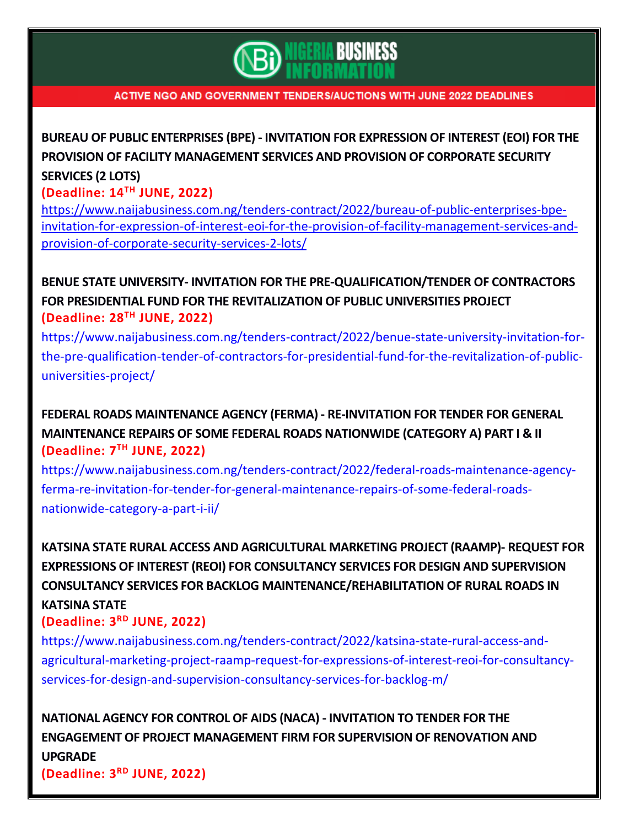

**BUREAU OF PUBLIC [ENTERPRISES](https://www.naijabusiness.com.ng/tenders-contract/2022/bureau-of-public-enterprises-bpe-invitation-for-expression-of-interest-eoi-for-the-provision-of-facility-management-services-and-provision-of-corporate-security-services-2-lots/) (BPE) - INVITATION FOR EXPRESSION OF INTEREST (EOI) FOR THE PROVISION OF FACILITY [MANAGEMENT](https://www.naijabusiness.com.ng/tenders-contract/2022/bureau-of-public-enterprises-bpe-invitation-for-expression-of-interest-eoi-for-the-provision-of-facility-management-services-and-provision-of-corporate-security-services-2-lots/) SERVICES AND PROVISION OF CORPORATE SECURITY [SERVICES](https://www.naijabusiness.com.ng/tenders-contract/2022/bureau-of-public-enterprises-bpe-invitation-for-expression-of-interest-eoi-for-the-provision-of-facility-management-services-and-provision-of-corporate-security-services-2-lots/) (2 LOTS)**

**(Deadline: 14TH JUNE, 2022)**

[https://www.naijabusiness.com.ng/tenders-contract/2022/bureau-of-public-enterprises-bpe](https://www.naijabusiness.com.ng/tenders-contract/2022/bureau-of-public-enterprises-bpe-invitation-for-expression-of-interest-eoi-for-the-provision-of-facility-management-services-and-provision-of-corporate-security-services-2-lots/)[invitation-for-expression-of-interest-eoi-for-the-provision-of-facility-management-services-and](https://www.naijabusiness.com.ng/tenders-contract/2022/bureau-of-public-enterprises-bpe-invitation-for-expression-of-interest-eoi-for-the-provision-of-facility-management-services-and-provision-of-corporate-security-services-2-lots/)[provision-of-corporate-security-services-2-lots/](https://www.naijabusiness.com.ng/tenders-contract/2022/bureau-of-public-enterprises-bpe-invitation-for-expression-of-interest-eoi-for-the-provision-of-facility-management-services-and-provision-of-corporate-security-services-2-lots/)

**BENUE STATE UNIVERSITY- INVITATION FOR THE [PRE-QUALIFICATION/TENDER](https://www.naijabusiness.com.ng/tenders-contract/2022/benue-state-university-invitation-for-the-pre-qualification-tender-of-contractors-for-presidential-fund-for-the-revitalization-of-public-universities-project/) OF CONTRACTORS FOR PRESIDENTIAL FUND FOR THE [REVITALIZATION](https://www.naijabusiness.com.ng/tenders-contract/2022/benue-state-university-invitation-for-the-pre-qualification-tender-of-contractors-for-presidential-fund-for-the-revitalization-of-public-universities-project/) OF PUBLIC UNIVERSITIES PROJECT (Deadline: 28TH JUNE, 2022)**

[https://www.naijabusiness.com.ng/tenders-contract/2022/benue-state-university-invitation-for](https://www.naijabusiness.com.ng/tenders-contract/2022/benue-state-university-invitation-for-the-pre-qualification-tender-of-contractors-for-presidential-fund-for-the-revitalization-of-public-universities-project/)[the-pre-qualification-tender-of-contractors-for-presidential-fund-for-the-revitalization-of-public](https://www.naijabusiness.com.ng/tenders-contract/2022/benue-state-university-invitation-for-the-pre-qualification-tender-of-contractors-for-presidential-fund-for-the-revitalization-of-public-universities-project/)[universities-project/](https://www.naijabusiness.com.ng/tenders-contract/2022/benue-state-university-invitation-for-the-pre-qualification-tender-of-contractors-for-presidential-fund-for-the-revitalization-of-public-universities-project/)

**FEDERAL ROADS [MAINTENANCE](https://www.naijabusiness.com.ng/tenders-contract/2022/federal-roads-maintenance-agency-ferma-re-invitation-for-tender-for-general-maintenance-repairs-of-some-federal-roads-nationwide-category-a-part-i-ii/) AGENCY (FERMA) - RE-INVITATION FOR TENDER FOR GENERAL [MAINTENANCE](https://www.naijabusiness.com.ng/tenders-contract/2022/federal-roads-maintenance-agency-ferma-re-invitation-for-tender-for-general-maintenance-repairs-of-some-federal-roads-nationwide-category-a-part-i-ii/) REPAIRS OF SOME FEDERAL ROADS NATIONWIDE (CATEGORY A) PART I & II (Deadline: 7 TH JUNE, 2022)**

[https://www.naijabusiness.com.ng/tenders-contract/2022/federal-roads-maintenance-agency](https://www.naijabusiness.com.ng/tenders-contract/2022/federal-roads-maintenance-agency-ferma-re-invitation-for-tender-for-general-maintenance-repairs-of-some-federal-roads-nationwide-category-a-part-i-ii/)[ferma-re-invitation-for-tender-for-general-maintenance-repairs-of-some-federal-roads](https://www.naijabusiness.com.ng/tenders-contract/2022/federal-roads-maintenance-agency-ferma-re-invitation-for-tender-for-general-maintenance-repairs-of-some-federal-roads-nationwide-category-a-part-i-ii/)[nationwide-category-a-part-i-ii/](https://www.naijabusiness.com.ng/tenders-contract/2022/federal-roads-maintenance-agency-ferma-re-invitation-for-tender-for-general-maintenance-repairs-of-some-federal-roads-nationwide-category-a-part-i-ii/)

**KATSINA STATE RURAL ACCESS AND [AGRICULTURAL](https://www.naijabusiness.com.ng/tenders-contract/2022/katsina-state-rural-access-and-agricultural-marketing-project-raamp-request-for-expressions-of-interest-reoi-for-consultancy-services-for-design-and-supervision-consultancy-services-for-backlog-m/) MARKETING PROJECT (RAAMP)- REQUEST FOR EXPRESSIONS OF INTEREST (REOI) FOR [CONSULTANCY](https://www.naijabusiness.com.ng/tenders-contract/2022/katsina-state-rural-access-and-agricultural-marketing-project-raamp-request-for-expressions-of-interest-reoi-for-consultancy-services-for-design-and-supervision-consultancy-services-for-backlog-m/) SERVICES FOR DESIGN AND SUPERVISION CONSULTANCY SERVICES FOR BACKLOG [MAINTENANCE/REHABILITATION](https://www.naijabusiness.com.ng/tenders-contract/2022/katsina-state-rural-access-and-agricultural-marketing-project-raamp-request-for-expressions-of-interest-reoi-for-consultancy-services-for-design-and-supervision-consultancy-services-for-backlog-m/) OF RURAL ROADS IN [KATSINA](https://www.naijabusiness.com.ng/tenders-contract/2022/katsina-state-rural-access-and-agricultural-marketing-project-raamp-request-for-expressions-of-interest-reoi-for-consultancy-services-for-design-and-supervision-consultancy-services-for-backlog-m/) STATE**

### **(Deadline: 3 RD JUNE, 2022)**

[https://www.naijabusiness.com.ng/tenders-contract/2022/katsina-state-rural-access-and](https://www.naijabusiness.com.ng/tenders-contract/2022/katsina-state-rural-access-and-agricultural-marketing-project-raamp-request-for-expressions-of-interest-reoi-for-consultancy-services-for-design-and-supervision-consultancy-services-for-backlog-m/)[agricultural-marketing-project-raamp-request-for-expressions-of-interest-reoi-for-consultancy](https://www.naijabusiness.com.ng/tenders-contract/2022/katsina-state-rural-access-and-agricultural-marketing-project-raamp-request-for-expressions-of-interest-reoi-for-consultancy-services-for-design-and-supervision-consultancy-services-for-backlog-m/)[services-for-design-and-supervision-consultancy-services-for-backlog-m/](https://www.naijabusiness.com.ng/tenders-contract/2022/katsina-state-rural-access-and-agricultural-marketing-project-raamp-request-for-expressions-of-interest-reoi-for-consultancy-services-for-design-and-supervision-consultancy-services-for-backlog-m/)

**NATIONAL AGENCY FOR CONTROL OF AIDS (NACA) - [INVITATION](https://www.naijabusiness.com.ng/tenders-contract/2022/national-agency-for-control-of-aids-naca-invitation-to-tender-for-the-engagement-of-project-management-firm-for-supervision-of-renovation-and-upgrade/) TO TENDER FOR THE ENGAGEMENT OF PROJECT [MANAGEMENT](https://www.naijabusiness.com.ng/tenders-contract/2022/national-agency-for-control-of-aids-naca-invitation-to-tender-for-the-engagement-of-project-management-firm-for-supervision-of-renovation-and-upgrade/) FIRM FOR SUPERVISION OF RENOVATION AND [UPGRADE](https://www.naijabusiness.com.ng/tenders-contract/2022/national-agency-for-control-of-aids-naca-invitation-to-tender-for-the-engagement-of-project-management-firm-for-supervision-of-renovation-and-upgrade/) (Deadline: 3 RD JUNE, 2022)**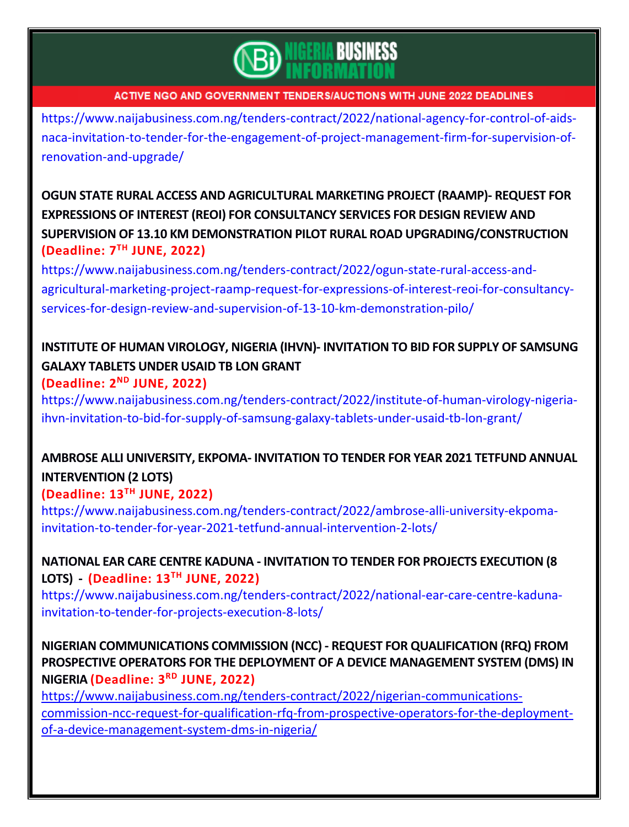

[https://www.naijabusiness.com.ng/tenders-contract/2022/national-agency-for-control-of-aids](https://www.naijabusiness.com.ng/tenders-contract/2022/national-agency-for-control-of-aids-naca-invitation-to-tender-for-the-engagement-of-project-management-firm-for-supervision-of-renovation-and-upgrade/)[naca-invitation-to-tender-for-the-engagement-of-project-management-firm-for-supervision-of](https://www.naijabusiness.com.ng/tenders-contract/2022/national-agency-for-control-of-aids-naca-invitation-to-tender-for-the-engagement-of-project-management-firm-for-supervision-of-renovation-and-upgrade/)[renovation-and-upgrade/](https://www.naijabusiness.com.ng/tenders-contract/2022/national-agency-for-control-of-aids-naca-invitation-to-tender-for-the-engagement-of-project-management-firm-for-supervision-of-renovation-and-upgrade/)

**OGUN STATE RURAL ACCESS AND [AGRICULTURAL](https://www.naijabusiness.com.ng/tenders-contract/2022/ogun-state-rural-access-and-agricultural-marketing-project-raamp-request-for-expressions-of-interest-reoi-for-consultancy-services-for-design-review-and-supervision-of-13-10-km-demonstration-pilo/) MARKETING PROJECT (RAAMP)- REQUEST FOR EXPRESSIONS OF INTEREST (REOI) FOR [CONSULTANCY](https://www.naijabusiness.com.ng/tenders-contract/2022/ogun-state-rural-access-and-agricultural-marketing-project-raamp-request-for-expressions-of-interest-reoi-for-consultancy-services-for-design-review-and-supervision-of-13-10-km-demonstration-pilo/) SERVICES FOR DESIGN REVIEW AND SUPERVISION OF 13.10 KM DEMONSTRATION PILOT RURAL ROAD [UPGRADING/CONSTRUCTION](https://www.naijabusiness.com.ng/tenders-contract/2022/ogun-state-rural-access-and-agricultural-marketing-project-raamp-request-for-expressions-of-interest-reoi-for-consultancy-services-for-design-review-and-supervision-of-13-10-km-demonstration-pilo/) (Deadline: 7 TH JUNE, 2022)**

[https://www.naijabusiness.com.ng/tenders-contract/2022/ogun-state-rural-access-and](https://www.naijabusiness.com.ng/tenders-contract/2022/ogun-state-rural-access-and-agricultural-marketing-project-raamp-request-for-expressions-of-interest-reoi-for-consultancy-services-for-design-review-and-supervision-of-13-10-km-demonstration-pilo/)[agricultural-marketing-project-raamp-request-for-expressions-of-interest-reoi-for-consultancy](https://www.naijabusiness.com.ng/tenders-contract/2022/ogun-state-rural-access-and-agricultural-marketing-project-raamp-request-for-expressions-of-interest-reoi-for-consultancy-services-for-design-review-and-supervision-of-13-10-km-demonstration-pilo/)[services-for-design-review-and-supervision-of-13-10-km-demonstration-pilo/](https://www.naijabusiness.com.ng/tenders-contract/2022/ogun-state-rural-access-and-agricultural-marketing-project-raamp-request-for-expressions-of-interest-reoi-for-consultancy-services-for-design-review-and-supervision-of-13-10-km-demonstration-pilo/)

# **INSTITUTE OF HUMAN VIROLOGY, NIGERIA (IHVN)- [INVITATION](https://www.naijabusiness.com.ng/tenders-contract/2022/institute-of-human-virology-nigeria-ihvn-invitation-to-bid-for-supply-of-samsung-galaxy-tablets-under-usaid-tb-lon-grant/) TO BID FOR SUPPLY OF SAMSUNG GALAXY [TABLETS](https://www.naijabusiness.com.ng/tenders-contract/2022/institute-of-human-virology-nigeria-ihvn-invitation-to-bid-for-supply-of-samsung-galaxy-tablets-under-usaid-tb-lon-grant/) UNDER USAID TB LON GRANT**

**(Deadline: 2 ND JUNE, 2022)**

[https://www.naijabusiness.com.ng/tenders-contract/2022/institute-of-human-virology-nigeria](https://www.naijabusiness.com.ng/tenders-contract/2022/institute-of-human-virology-nigeria-ihvn-invitation-to-bid-for-supply-of-samsung-galaxy-tablets-under-usaid-tb-lon-grant/)[ihvn-invitation-to-bid-for-supply-of-samsung-galaxy-tablets-under-usaid-tb-lon-grant/](https://www.naijabusiness.com.ng/tenders-contract/2022/institute-of-human-virology-nigeria-ihvn-invitation-to-bid-for-supply-of-samsung-galaxy-tablets-under-usaid-tb-lon-grant/)

# **AMBROSE ALLI [UNIVERSITY,](https://www.naijabusiness.com.ng/tenders-contract/2022/ambrose-alli-university-ekpoma-invitation-to-tender-for-year-2021-tetfund-annual-intervention-2-lots/) EKPOMA- INVITATION TO TENDER FOR YEAR 2021 TETFUND ANNUAL [INTERVENTION](https://www.naijabusiness.com.ng/tenders-contract/2022/ambrose-alli-university-ekpoma-invitation-to-tender-for-year-2021-tetfund-annual-intervention-2-lots/) (2 LOTS)**

## **(Deadline: 13TH JUNE, 2022)**

[https://www.naijabusiness.com.ng/tenders-contract/2022/ambrose-alli-university-ekpoma](https://www.naijabusiness.com.ng/tenders-contract/2022/ambrose-alli-university-ekpoma-invitation-to-tender-for-year-2021-tetfund-annual-intervention-2-lots/)[invitation-to-tender-for-year-2021-tetfund-annual-intervention-2-lots/](https://www.naijabusiness.com.ng/tenders-contract/2022/ambrose-alli-university-ekpoma-invitation-to-tender-for-year-2021-tetfund-annual-intervention-2-lots/)

## **NATIONAL EAR CARE CENTRE KADUNA - [INVITATION](https://www.naijabusiness.com.ng/tenders-contract/2022/national-ear-care-centre-kaduna-invitation-to-tender-for-projects-execution-8-lots/) TO TENDER FOR PROJECTS EXECUTION (8 [LOTS\)](https://www.naijabusiness.com.ng/tenders-contract/2022/national-ear-care-centre-kaduna-invitation-to-tender-for-projects-execution-8-lots/) - (Deadline: 13TH JUNE, 2022)**

[https://www.naijabusiness.com.ng/tenders-contract/2022/national-ear-care-centre-kaduna](https://www.naijabusiness.com.ng/tenders-contract/2022/national-ear-care-centre-kaduna-invitation-to-tender-for-projects-execution-8-lots/)[invitation-to-tender-for-projects-execution-8-lots/](https://www.naijabusiness.com.ng/tenders-contract/2022/national-ear-care-centre-kaduna-invitation-to-tender-for-projects-execution-8-lots/)

## **NIGERIAN [COMMUNICATIONS](https://www.naijabusiness.com.ng/tenders-contract/2022/nigerian-communications-commission-ncc-request-for-qualification-rfq-from-prospective-operators-for-the-deployment-of-a-device-management-system-dms-in-nigeria/) COMMISSION (NCC) - REQUEST FOR QUALIFICATION (RFQ) FROM PROSPECTIVE OPERATORS FOR THE DEPLOYMENT OF A DEVICE [MANAGEMENT](https://www.naijabusiness.com.ng/tenders-contract/2022/nigerian-communications-commission-ncc-request-for-qualification-rfq-from-prospective-operators-for-the-deployment-of-a-device-management-system-dms-in-nigeria/) SYSTEM (DMS) IN [NIGERIA](https://www.naijabusiness.com.ng/tenders-contract/2022/nigerian-communications-commission-ncc-request-for-qualification-rfq-from-prospective-operators-for-the-deployment-of-a-device-management-system-dms-in-nigeria/) (Deadline: 3 RD JUNE, 2022)**

[https://www.naijabusiness.com.ng/tenders-contract/2022/nigerian-communications](https://www.naijabusiness.com.ng/tenders-contract/2022/nigerian-communications-commission-ncc-request-for-qualification-rfq-from-prospective-operators-for-the-deployment-of-a-device-management-system-dms-in-nigeria/)[commission-ncc-request-for-qualification-rfq-from-prospective-operators-for-the-deployment](https://www.naijabusiness.com.ng/tenders-contract/2022/nigerian-communications-commission-ncc-request-for-qualification-rfq-from-prospective-operators-for-the-deployment-of-a-device-management-system-dms-in-nigeria/)[of-a-device-management-system-dms-in-nigeria/](https://www.naijabusiness.com.ng/tenders-contract/2022/nigerian-communications-commission-ncc-request-for-qualification-rfq-from-prospective-operators-for-the-deployment-of-a-device-management-system-dms-in-nigeria/)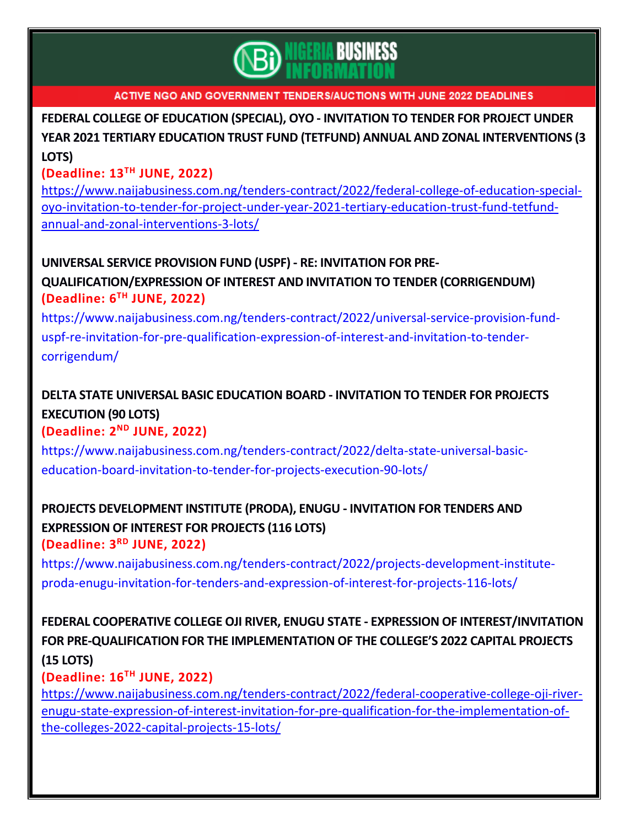

**FEDERAL COLLEGE OF [EDUCATION](https://www.naijabusiness.com.ng/tenders-contract/2022/federal-college-of-education-special-oyo-invitation-to-tender-for-project-under-year-2021-tertiary-education-trust-fund-tetfund-annual-and-zonal-interventions-3-lots/) (SPECIAL), OYO - INVITATION TO TENDER FOR PROJECT UNDER YEAR 2021 TERTIARY EDUCATION TRUST FUND (TETFUND) ANNUAL AND ZONAL [INTERVENTIONS](https://www.naijabusiness.com.ng/tenders-contract/2022/federal-college-of-education-special-oyo-invitation-to-tender-for-project-under-year-2021-tertiary-education-trust-fund-tetfund-annual-and-zonal-interventions-3-lots/) (3 [LOTS\)](https://www.naijabusiness.com.ng/tenders-contract/2022/federal-college-of-education-special-oyo-invitation-to-tender-for-project-under-year-2021-tertiary-education-trust-fund-tetfund-annual-and-zonal-interventions-3-lots/)**

### **(Deadline: 13TH JUNE, 2022)**

[https://www.naijabusiness.com.ng/tenders-contract/2022/federal-college-of-education-special](https://www.naijabusiness.com.ng/tenders-contract/2022/federal-college-of-education-special-oyo-invitation-to-tender-for-project-under-year-2021-tertiary-education-trust-fund-tetfund-annual-and-zonal-interventions-3-lots/)[oyo-invitation-to-tender-for-project-under-year-2021-tertiary-education-trust-fund-tetfund](https://www.naijabusiness.com.ng/tenders-contract/2022/federal-college-of-education-special-oyo-invitation-to-tender-for-project-under-year-2021-tertiary-education-trust-fund-tetfund-annual-and-zonal-interventions-3-lots/)[annual-and-zonal-interventions-3-lots/](https://www.naijabusiness.com.ng/tenders-contract/2022/federal-college-of-education-special-oyo-invitation-to-tender-for-project-under-year-2021-tertiary-education-trust-fund-tetfund-annual-and-zonal-interventions-3-lots/)

## **UNIVERSAL SERVICE PROVISION FUND (USPF) - RE: [INVITATION](https://www.naijabusiness.com.ng/tenders-contract/2022/universal-service-provision-fund-uspf-re-invitation-for-pre-qualification-expression-of-interest-and-invitation-to-tender-corrigendum/) FOR PRE-**

**[QUALIFICATION/EXPRESSION](https://www.naijabusiness.com.ng/tenders-contract/2022/universal-service-provision-fund-uspf-re-invitation-for-pre-qualification-expression-of-interest-and-invitation-to-tender-corrigendum/) OF INTEREST AND INVITATION TO TENDER (CORRIGENDUM) (Deadline: 6 TH JUNE, 2022)**

[https://www.naijabusiness.com.ng/tenders-contract/2022/universal-service-provision-fund](https://www.naijabusiness.com.ng/tenders-contract/2022/universal-service-provision-fund-uspf-re-invitation-for-pre-qualification-expression-of-interest-and-invitation-to-tender-corrigendum/)[uspf-re-invitation-for-pre-qualification-expression-of-interest-and-invitation-to-tender](https://www.naijabusiness.com.ng/tenders-contract/2022/universal-service-provision-fund-uspf-re-invitation-for-pre-qualification-expression-of-interest-and-invitation-to-tender-corrigendum/)[corrigendum/](https://www.naijabusiness.com.ng/tenders-contract/2022/universal-service-provision-fund-uspf-re-invitation-for-pre-qualification-expression-of-interest-and-invitation-to-tender-corrigendum/)

# **DELTA STATE UNIVERSAL BASIC [EDUCATION](https://www.naijabusiness.com.ng/tenders-contract/2022/delta-state-universal-basic-education-board-invitation-to-tender-for-projects-execution-90-lots/) BOARD - INVITATION TO TENDER FOR PROJECTS [EXECUTION](https://www.naijabusiness.com.ng/tenders-contract/2022/delta-state-universal-basic-education-board-invitation-to-tender-for-projects-execution-90-lots/) (90 LOTS)**

### **(Deadline: 2 ND JUNE, 2022)**

[https://www.naijabusiness.com.ng/tenders-contract/2022/delta-state-universal-basic](https://www.naijabusiness.com.ng/tenders-contract/2022/delta-state-universal-basic-education-board-invitation-to-tender-for-projects-execution-90-lots/)[education-board-invitation-to-tender-for-projects-execution-90-lots/](https://www.naijabusiness.com.ng/tenders-contract/2022/delta-state-universal-basic-education-board-invitation-to-tender-for-projects-execution-90-lots/)

## **PROJECTS [DEVELOPMENT](https://www.naijabusiness.com.ng/tenders-contract/2022/projects-development-institute-proda-enugu-invitation-for-tenders-and-expression-of-interest-for-projects-116-lots/) INSTITUTE (PRODA), ENUGU - INVITATION FOR TENDERS AND [EXPRESSION](https://www.naijabusiness.com.ng/tenders-contract/2022/projects-development-institute-proda-enugu-invitation-for-tenders-and-expression-of-interest-for-projects-116-lots/) OF INTEREST FOR PROJECTS (116 LOTS) (Deadline: 3 RD JUNE, 2022)**

[https://www.naijabusiness.com.ng/tenders-contract/2022/projects-development-institute](https://www.naijabusiness.com.ng/tenders-contract/2022/projects-development-institute-proda-enugu-invitation-for-tenders-and-expression-of-interest-for-projects-116-lots/)[proda-enugu-invitation-for-tenders-and-expression-of-interest-for-projects-116-lots/](https://www.naijabusiness.com.ng/tenders-contract/2022/projects-development-institute-proda-enugu-invitation-for-tenders-and-expression-of-interest-for-projects-116-lots/)

## **FEDERAL COOPERATIVE COLLEGE OJI RIVER, ENUGU STATE - EXPRESSION OF [INTEREST/INVITATION](https://www.naijabusiness.com.ng/tenders-contract/2022/federal-cooperative-college-oji-river-enugu-state-expression-of-interest-invitation-for-pre-qualification-for-the-implementation-of-the-colleges-2022-capital-projects-15-lots/) FOR [PRE-QUALIFICATION](https://www.naijabusiness.com.ng/tenders-contract/2022/federal-cooperative-college-oji-river-enugu-state-expression-of-interest-invitation-for-pre-qualification-for-the-implementation-of-the-colleges-2022-capital-projects-15-lots/) FOR THE IMPLEMENTATION OF THE COLLEGE'S 2022 CAPITAL PROJECTS (15 [LOTS\)](https://www.naijabusiness.com.ng/tenders-contract/2022/federal-cooperative-college-oji-river-enugu-state-expression-of-interest-invitation-for-pre-qualification-for-the-implementation-of-the-colleges-2022-capital-projects-15-lots/)**

## **(Deadline: 16TH JUNE, 2022)**

[https://www.naijabusiness.com.ng/tenders-contract/2022/federal-cooperative-college-oji-river](https://www.naijabusiness.com.ng/tenders-contract/2022/federal-cooperative-college-oji-river-enugu-state-expression-of-interest-invitation-for-pre-qualification-for-the-implementation-of-the-colleges-2022-capital-projects-15-lots/)[enugu-state-expression-of-interest-invitation-for-pre-qualification-for-the-implementation-of](https://www.naijabusiness.com.ng/tenders-contract/2022/federal-cooperative-college-oji-river-enugu-state-expression-of-interest-invitation-for-pre-qualification-for-the-implementation-of-the-colleges-2022-capital-projects-15-lots/)[the-colleges-2022-capital-projects-15-lots/](https://www.naijabusiness.com.ng/tenders-contract/2022/federal-cooperative-college-oji-river-enugu-state-expression-of-interest-invitation-for-pre-qualification-for-the-implementation-of-the-colleges-2022-capital-projects-15-lots/)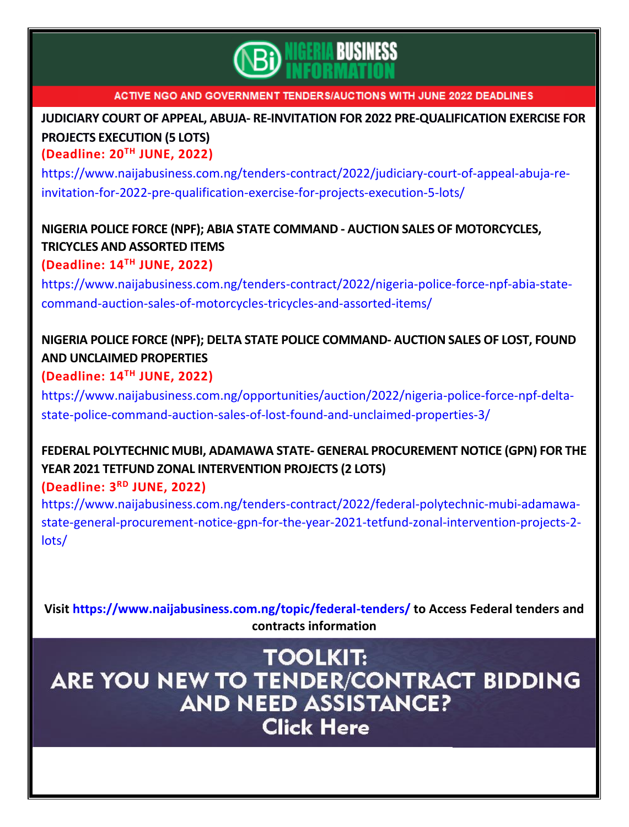

**JUDICIARY COURT OF APPEAL, ABUJA- RE-INVITATION FOR 2022 [PRE-QUALIFICATION](https://www.naijabusiness.com.ng/tenders-contract/2022/judiciary-court-of-appeal-abuja-re-invitation-for-2022-pre-qualification-exercise-for-projects-execution-5-lots/) EXERCISE FOR PROJECTS [EXECUTION](https://www.naijabusiness.com.ng/tenders-contract/2022/judiciary-court-of-appeal-abuja-re-invitation-for-2022-pre-qualification-exercise-for-projects-execution-5-lots/) (5 LOTS)**

**(Deadline: 20TH JUNE, 2022)**

[https://www.naijabusiness.com.ng/tenders-contract/2022/judiciary-court-of-appeal-abuja-re](https://www.naijabusiness.com.ng/tenders-contract/2022/judiciary-court-of-appeal-abuja-re-invitation-for-2022-pre-qualification-exercise-for-projects-execution-5-lots/)[invitation-for-2022-pre-qualification-exercise-for-projects-execution-5-lots/](https://www.naijabusiness.com.ng/tenders-contract/2022/judiciary-court-of-appeal-abuja-re-invitation-for-2022-pre-qualification-exercise-for-projects-execution-5-lots/)

## **NIGERIA POLICE FORCE (NPF); ABIA STATE COMMAND - AUCTION SALES OF [MOTORCYCLES,](https://www.naijabusiness.com.ng/tenders-contract/2022/nigeria-police-force-npf-abia-state-command-auction-sales-of-motorcycles-tricycles-and-assorted-items/) TRICYCLES AND [ASSORTED](https://www.naijabusiness.com.ng/tenders-contract/2022/nigeria-police-force-npf-abia-state-command-auction-sales-of-motorcycles-tricycles-and-assorted-items/) ITEMS**

**(Deadline: 14TH JUNE, 2022)**

[https://www.naijabusiness.com.ng/tenders-contract/2022/nigeria-police-force-npf-abia-state](https://www.naijabusiness.com.ng/tenders-contract/2022/nigeria-police-force-npf-abia-state-command-auction-sales-of-motorcycles-tricycles-and-assorted-items/)[command-auction-sales-of-motorcycles-tricycles-and-assorted-items/](https://www.naijabusiness.com.ng/tenders-contract/2022/nigeria-police-force-npf-abia-state-command-auction-sales-of-motorcycles-tricycles-and-assorted-items/)

# **NIGERIA POLICE FORCE (NPF); DELTA STATE POLICE [COMMAND-](https://www.naijabusiness.com.ng/opportunities/auction/2022/nigeria-police-force-npf-delta-state-police-command-auction-sales-of-lost-found-and-unclaimed-properties-3/) AUCTION SALES OF LOST, FOUND AND [UNCLAIMED](https://www.naijabusiness.com.ng/opportunities/auction/2022/nigeria-police-force-npf-delta-state-police-command-auction-sales-of-lost-found-and-unclaimed-properties-3/) PROPERTIES**

## **(Deadline: 14TH JUNE, 2022)**

[https://www.naijabusiness.com.ng/opportunities/auction/2022/nigeria-police-force-npf-delta](https://www.naijabusiness.com.ng/opportunities/auction/2022/nigeria-police-force-npf-delta-state-police-command-auction-sales-of-lost-found-and-unclaimed-properties-3/)[state-police-command-auction-sales-of-lost-found-and-unclaimed-properties-3/](https://www.naijabusiness.com.ng/opportunities/auction/2022/nigeria-police-force-npf-delta-state-police-command-auction-sales-of-lost-found-and-unclaimed-properties-3/)

# **FEDERAL POLYTECHNIC MUBI, ADAMAWA STATE- GENERAL [PROCUREMENT](https://www.naijabusiness.com.ng/tenders-contract/2022/federal-polytechnic-mubi-adamawa-state-general-procurement-notice-gpn-for-the-year-2021-tetfund-zonal-intervention-projects-2-lots/) NOTICE (GPN) FOR THE YEAR 2021 TETFUND ZONAL [INTERVENTION](https://www.naijabusiness.com.ng/tenders-contract/2022/federal-polytechnic-mubi-adamawa-state-general-procurement-notice-gpn-for-the-year-2021-tetfund-zonal-intervention-projects-2-lots/) PROJECTS (2 LOTS)**

## **(Deadline: 3 RD JUNE, 2022)**

[https://www.naijabusiness.com.ng/tenders-contract/2022/federal-polytechnic-mubi-adamawa](https://www.naijabusiness.com.ng/tenders-contract/2022/federal-polytechnic-mubi-adamawa-state-general-procurement-notice-gpn-for-the-year-2021-tetfund-zonal-intervention-projects-2-lots/)[state-general-procurement-notice-gpn-for-the-year-2021-tetfund-zonal-intervention-projects-2](https://www.naijabusiness.com.ng/tenders-contract/2022/federal-polytechnic-mubi-adamawa-state-general-procurement-notice-gpn-for-the-year-2021-tetfund-zonal-intervention-projects-2-lots/) [lots/](https://www.naijabusiness.com.ng/tenders-contract/2022/federal-polytechnic-mubi-adamawa-state-general-procurement-notice-gpn-for-the-year-2021-tetfund-zonal-intervention-projects-2-lots/)

**Visit<https://www.naijabusiness.com.ng/topic/federal-tenders/> to Access Federal tenders and contracts information**

**TOOLKIT:** ARE YOU NEW TO TENDER/CONTRACT BIDDING **AND NEED ASSISTANCE? Click Here**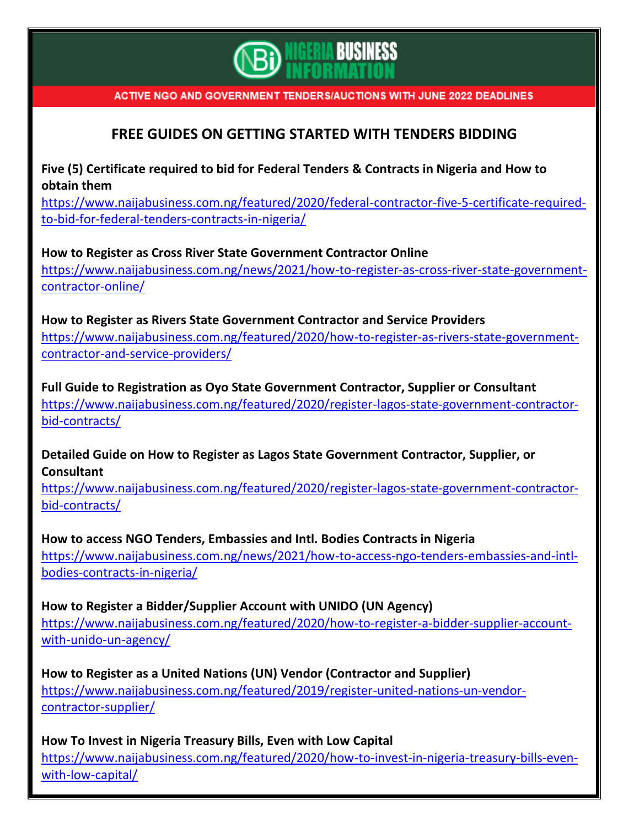

## **FREE GUIDES ON GETTING STARTED WITH TENDERS BIDDING**

**Five (5) Certificate required to bid for Federal Tenders & Contracts in Nigeria and How to obtain them**

[https://www.naijabusiness.com.ng/featured/2020/federal-contractor-five-5-certificate-required](https://www.naijabusiness.com.ng/featured/2020/federal-contractor-five-5-certificate-required-to-bid-for-federal-tenders-contracts-in-nigeria/)[to-bid-for-federal-tenders-contracts-in-nigeria/](https://www.naijabusiness.com.ng/featured/2020/federal-contractor-five-5-certificate-required-to-bid-for-federal-tenders-contracts-in-nigeria/)

**How to Register as Cross River State Government Contractor Online** [https://www.naijabusiness.com.ng/news/2021/how-to-register-as-cross-river-state-government](https://www.naijabusiness.com.ng/news/2021/how-to-register-as-cross-river-state-government-contractor-online/)[contractor-online/](https://www.naijabusiness.com.ng/news/2021/how-to-register-as-cross-river-state-government-contractor-online/)

**How to Register as Rivers State Government Contractor and Service Providers** [https://www.naijabusiness.com.ng/featured/2020/how-to-register-as-rivers-state-government](https://www.naijabusiness.com.ng/featured/2020/how-to-register-as-rivers-state-government-contractor-and-service-providers/)[contractor-and-service-providers/](https://www.naijabusiness.com.ng/featured/2020/how-to-register-as-rivers-state-government-contractor-and-service-providers/)

**Full Guide to Registration as Oyo State Government Contractor, Supplier or Consultant** [https://www.naijabusiness.com.ng/featured/2020/register-lagos-state-government-contractor](https://www.naijabusiness.com.ng/featured/2020/register-lagos-state-government-contractor-bid-contracts/)[bid-contracts/](https://www.naijabusiness.com.ng/featured/2020/register-lagos-state-government-contractor-bid-contracts/)

**Detailed Guide on How to Register as Lagos State Government Contractor, Supplier, or Consultant**

[https://www.naijabusiness.com.ng/featured/2020/register-lagos-state-government-contractor](https://www.naijabusiness.com.ng/featured/2020/register-lagos-state-government-contractor-bid-contracts/)[bid-contracts/](https://www.naijabusiness.com.ng/featured/2020/register-lagos-state-government-contractor-bid-contracts/)

**How to access NGO Tenders, Embassies and Intl. Bodies Contracts in Nigeria** [https://www.naijabusiness.com.ng/news/2021/how-to-access-ngo-tenders-embassies-and-intl](https://www.naijabusiness.com.ng/news/2021/how-to-access-ngo-tenders-embassies-and-intl-bodies-contracts-in-nigeria/)[bodies-contracts-in-nigeria/](https://www.naijabusiness.com.ng/news/2021/how-to-access-ngo-tenders-embassies-and-intl-bodies-contracts-in-nigeria/)

**How to Register a Bidder/Supplier Account with UNIDO (UN Agency)** [https://www.naijabusiness.com.ng/featured/2020/how-to-register-a-bidder-supplier-account](https://www.naijabusiness.com.ng/featured/2020/how-to-register-a-bidder-supplier-account-with-unido-un-agency/)[with-unido-un-agency/](https://www.naijabusiness.com.ng/featured/2020/how-to-register-a-bidder-supplier-account-with-unido-un-agency/)

**How to Register as a United Nations (UN) Vendor (Contractor and Supplier)** [https://www.naijabusiness.com.ng/featured/2019/register-united-nations-un-vendor](https://www.naijabusiness.com.ng/featured/2019/register-united-nations-un-vendor-contractor-supplier/)[contractor-supplier/](https://www.naijabusiness.com.ng/featured/2019/register-united-nations-un-vendor-contractor-supplier/)

**How To Invest in Nigeria Treasury Bills, Even with Low Capital** [https://www.naijabusiness.com.ng/featured/2020/how-to-invest-in-nigeria-treasury-bills-even](https://www.naijabusiness.com.ng/featured/2020/how-to-invest-in-nigeria-treasury-bills-even-with-low-capital/)[with-low-capital/](https://www.naijabusiness.com.ng/featured/2020/how-to-invest-in-nigeria-treasury-bills-even-with-low-capital/)